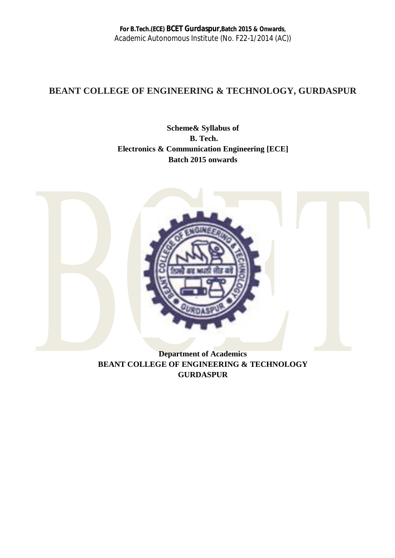## **BEANT COLLEGE OF ENGINEERING & TECHNOLOGY, GURDASPUR**

**Scheme& Syllabus of B. Tech. Electronics & Communication Engineering [ECE] Batch 2015 onwards**



**Department of Academics BEANT COLLEGE OF ENGINEERING & TECHNOLOGY GURDASPUR**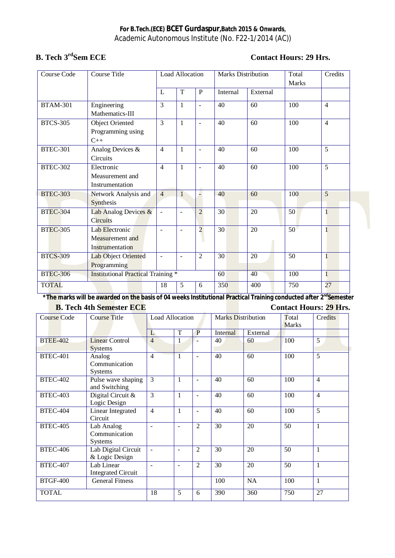# **B. Tech 3<sup>rd</sup>Sem ECE Contact Hours: 29 Hrs.**

| Course Code     | <b>Course Title</b>                                  | Load Allocation |                | <b>Marks Distribution</b> |          | Total<br><b>Marks</b> | Credits |                |
|-----------------|------------------------------------------------------|-----------------|----------------|---------------------------|----------|-----------------------|---------|----------------|
|                 |                                                      | L               | T              | P                         | Internal | External              |         |                |
| <b>BTAM-301</b> | Engineering<br>Mathematics-III                       | 3               | $\mathbf{1}$   | $\sim$                    | 40       | 60                    | 100     | $\overline{4}$ |
| <b>BTCS-305</b> | <b>Object Oriented</b><br>Programming using<br>$C++$ | 3               | $\mathbf{1}$   | $\sim$                    | 40       | 60                    | 100     | $\overline{4}$ |
| <b>BTEC-301</b> | Analog Devices &<br>Circuits                         | $\overline{4}$  | 1              | $\sim$                    | 40       | 60                    | 100     | 5              |
| <b>BTEC-302</b> | Electronic<br>Measurement and<br>Instrumentation     | $\overline{4}$  | 1              | $\sim$                    | 40       | 60                    | 100     | 5              |
| <b>BTEC-303</b> | Network Analysis and<br>Synthesis                    | $\overline{4}$  | $\mathbf{1}$   |                           | 40       | 60                    | 100     | $\overline{5}$ |
| <b>BTEC-304</b> | Lab Analog Devices &<br><b>Circuits</b>              | $\blacksquare$  | L,             | $\overline{2}$            | 30       | 20                    | 50      | 1              |
| <b>BTEC-305</b> | Lab Electronic<br>Measurement and<br>Instrumentation | $\overline{a}$  | $\overline{a}$ | $\overline{2}$            | 30       | 20                    | 50      | $\mathbf{1}$   |
| <b>BTCS-309</b> | Lab Object Oriented<br>Programming                   | $\blacksquare$  |                | $\overline{2}$            | 30       | 20                    | 50      | 1              |
| <b>BTEC-306</b> | <b>Institutional Practical Training *</b>            |                 |                |                           | 60       | 40                    | 100     | 1              |
| <b>TOTAL</b>    |                                                      | 18              | 5              | 6                         | 350      | 400                   | 750     | 27             |

**\*The marks will be awarded on the basis of 04 weeks Institutional Practical Training conducted after 2ndSemester**

#### **B. Tech 4th Semester ECE** Contact Hours: 29 Hrs.

| <b>Course Code</b> | <b>Course Title</b>                           | Load Allocation |        | <b>Marks Distribution</b> |          | Total<br><b>Marks</b> | Credits |                |
|--------------------|-----------------------------------------------|-----------------|--------|---------------------------|----------|-----------------------|---------|----------------|
|                    |                                               | L               | T      | P                         | Internal | External              |         |                |
| <b>BTEE-402</b>    | <b>Linear Control</b><br><b>Systems</b>       | $\overline{4}$  | 1      |                           | 40       | 60                    | 100     | 5              |
| <b>BTEC-401</b>    | Analog<br>Communication<br><b>Systems</b>     | $\overline{4}$  | 1      |                           | 40       | 60                    | 100     | 5              |
| <b>BTEC-402</b>    | Pulse wave shaping<br>and Switching           | 3               | 1      | $\overline{\phantom{0}}$  | 40       | 60                    | 100     | $\overline{4}$ |
| <b>BTEC-403</b>    | Digital Circuit &<br>Logic Design             | 3               | 1      | $\overline{\phantom{0}}$  | 40       | 60                    | 100     | $\overline{4}$ |
| <b>BTEC-404</b>    | Linear Integrated<br>Circuit                  | 4               | 1      | $\overline{\phantom{a}}$  | 40       | 60                    | 100     | 5              |
| <b>BTEC-405</b>    | Lab Analog<br>Communication<br><b>Systems</b> |                 |        | $\overline{2}$            | 30       | 20                    | 50      | $\mathbf{1}$   |
| <b>BTEC-406</b>    | Lab Digital Circuit<br>& Logic Design         | $\overline{a}$  | $\sim$ | 2                         | 30       | 20                    | 50      | $\mathbf{1}$   |
| <b>BTEC-407</b>    | Lab Linear<br><b>Integrated Circuit</b>       |                 |        | $\overline{2}$            | 30       | 20                    | 50      | $\mathbf{1}$   |
| <b>BTGF-400</b>    | <b>General Fitness</b>                        |                 |        |                           | 100      | <b>NA</b>             | 100     | $\mathbf{1}$   |
| <b>TOTAL</b>       |                                               | 18              | 5      | 6                         | 390      | 360                   | 750     | 27             |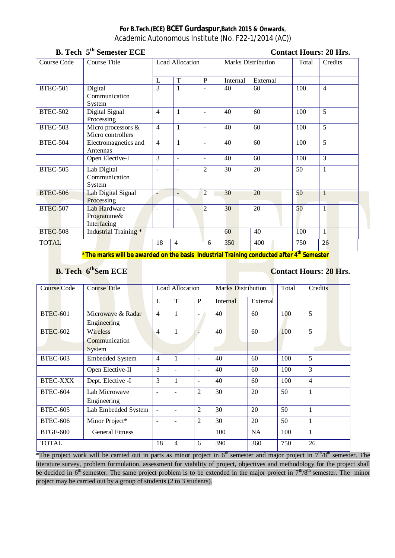|                 | <b>B.</b> Tech 5 <sup>th</sup> Semester ECE<br><b>Contact Hours: 28 Hrs.</b> |                 |                          |                           |          |          |                          |                |  |
|-----------------|------------------------------------------------------------------------------|-----------------|--------------------------|---------------------------|----------|----------|--------------------------|----------------|--|
| Course Code     | <b>Course Title</b>                                                          | Load Allocation |                          | <b>Marks Distribution</b> |          | Total    | Credits                  |                |  |
|                 |                                                                              | L               | T                        | $\mathbf{P}$              | Internal | External |                          |                |  |
| <b>BTEC-501</b> | Digital<br>Communication<br>System                                           | 3               | 1                        |                           | 40       | 60       | 100                      | $\overline{4}$ |  |
| <b>BTEC-502</b> | Digital Signal<br>Processing                                                 | $\overline{4}$  | $\mathbf{1}$             | $\blacksquare$            | 40       | 60       | 100                      | $\overline{5}$ |  |
| <b>BTEC-503</b> | Micro processors &<br>Micro controllers                                      | $\overline{4}$  | $\mathbf{1}$             | $\overline{\phantom{a}}$  | 40       | 60       | 100                      | $\overline{5}$ |  |
| <b>BTEC-504</b> | Electromagnetics and<br>Antennas                                             | $\overline{4}$  | 1                        | $\overline{\phantom{a}}$  | 40       | 60       | 100                      | $\overline{5}$ |  |
|                 | Open Elective-I                                                              | 3               | $\blacksquare$           | $\blacksquare$            | 40       | 60       | 100                      | 3              |  |
| <b>BTEC-505</b> | Lab Digital<br>Communication<br>System                                       | $\blacksquare$  | $\blacksquare$           | $\overline{2}$            | 30       | 20       | 50                       | $\mathbf{1}$   |  |
| <b>BTEC-506</b> | Lab Digital Signal<br>Processing                                             |                 | $\overline{\phantom{a}}$ | $\overline{2}$            | 30       | 20       | 50                       | $\mathbf{1}$   |  |
| <b>BTEC-507</b> | Lab Hardware<br>Programme&<br>Interfacing                                    |                 | $\blacksquare$           | $\mathfrak{D}$            | 30       | 20       | 50                       | $\mathbf{1}$   |  |
| <b>BTEC-508</b> | Industrial Training *                                                        |                 |                          |                           | 60       | 40       | 100                      | $\mathbf{1}$   |  |
| <b>TOTAL</b>    | $\sim$<br>$2.11 - 1.0$                                                       | 18              | $\overline{4}$           | 6                         | 350      | 400      | 750<br>$\cdot$ th $\sim$ | 26             |  |

**\*The marks will be awarded on the basis Industrial Training conducted after 4th Semester**

# **B. Tech 6<sup>th</sup>Sem ECE Contact Hours: 28 Hrs.**

| Course Code     | Course Title           | Load Allocation          |                          | <b>Marks Distribution</b> |          | Total     | Credits |                |
|-----------------|------------------------|--------------------------|--------------------------|---------------------------|----------|-----------|---------|----------------|
|                 |                        | L                        | T                        | P                         | Internal | External  |         |                |
| <b>BTEC-601</b> | Microwaye & Radar      | $\overline{4}$           | 1                        |                           | 40       | 60        | 100     | 5              |
|                 | Engineering            |                          |                          |                           |          |           |         |                |
| <b>BTEC-602</b> | Wireless               | 4                        | 1                        |                           | 40       | 60        | 100     | 5              |
|                 | Communication          |                          |                          |                           |          |           |         |                |
|                 | System                 |                          |                          |                           |          |           |         |                |
| <b>BTEC-603</b> | <b>Embedded System</b> | $\overline{4}$           |                          | $\overline{\phantom{a}}$  | 40       | 60        | 100     | 5              |
|                 | Open Elective-II       | 3                        | $\overline{\phantom{a}}$ | $\sim$                    | 40       | 60        | 100     | 3              |
| <b>BTEC-XXX</b> | Dept. Elective -I      | 3                        |                          | $\overline{\phantom{a}}$  | 40       | 60        | 100     | $\overline{4}$ |
| <b>BTEC-604</b> | Lab Microwave          | $\overline{\phantom{a}}$ |                          | $\overline{2}$            | 30       | 20        | 50      | 1              |
|                 | Engineering            |                          |                          |                           |          |           |         |                |
| <b>BTEC-605</b> | Lab Embedded System    |                          | $\overline{\phantom{a}}$ | $\overline{2}$            | 30       | 20        | 50      | 1              |
| <b>BTEC-606</b> | Minor Project*         | $\overline{\phantom{a}}$ | $\overline{\phantom{a}}$ | $\overline{2}$            | 30       | 20        | 50      | 1              |
| <b>BTGF-600</b> | <b>General Fitness</b> |                          |                          |                           | 100      | <b>NA</b> | 100     | 1              |
| <b>TOTAL</b>    |                        | 18                       | $\overline{4}$           | 6                         | 390      | 360       | 750     | 26             |

<sup>\*</sup>The project work will be carried out in parts as minor project in  $6<sup>th</sup>$  semester and major project in  $7<sup>th</sup>/8<sup>th</sup>$  semester. The literature survey, problem formulation, assessment for viability of project, objectives and methodology for the project shall be decided in  $6<sup>th</sup>$  semester. The same project problem is to be extended in the major project in  $7<sup>th</sup>/8<sup>th</sup>$  semester. The minor project may be carried out by a group of students (2 to 3 students).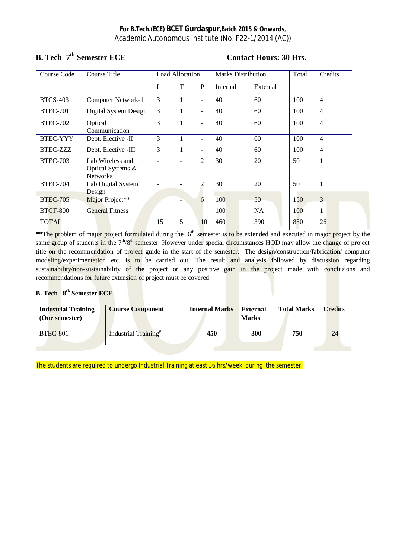# **B. Tech**  $7^{\text{th}}$  **Semester ECE Contact Hours: 30 Hrs.**

| Course Code     | Course Title                                             | Load Allocation          |              | <b>Marks Distribution</b> |          | Total     | Credits |                |
|-----------------|----------------------------------------------------------|--------------------------|--------------|---------------------------|----------|-----------|---------|----------------|
|                 |                                                          | L                        | T            | P                         | Internal | External  |         |                |
| <b>BTCS-403</b> | Computer Network-1                                       | 3                        | 1            | $\overline{\phantom{a}}$  | 40       | 60        | 100     | $\overline{4}$ |
| <b>BTEC-701</b> | Digital System Design                                    | 3                        | 1            | ۰                         | 40       | 60        | 100     | $\overline{4}$ |
| <b>BTEC-702</b> | Optical<br>Communication                                 | 3                        | 1            | ۰                         | 40       | 60        | 100     | $\overline{4}$ |
| <b>BTEC-YYY</b> | Dept. Elective -II                                       | 3                        | $\mathbf{I}$ | ۰                         | 40       | 60        | 100     | $\overline{4}$ |
| BTEC-ZZZ        | Dept. Elective -III                                      | 3                        | $\mathbf{I}$ | ۰                         | 40       | 60        | 100     | $\overline{4}$ |
| <b>BTEC-703</b> | Lab Wireless and<br>Optical Systems &<br><b>Networks</b> |                          |              | $\overline{2}$            | 30       | 20        | 50      | 1              |
| <b>BTEC-704</b> | Lab Digital System<br>Design                             | $\overline{\phantom{a}}$ |              | $\overline{c}$            | 30       | 20        | 50      | 1              |
| <b>BTEC-705</b> | Major Project**                                          |                          |              | 6                         | 100      | 50        | 150     | 3              |
| <b>BTGF-800</b> | <b>General Fitness</b>                                   |                          |              |                           | 100      | <b>NA</b> | 100     | 1              |
| <b>TOTAL</b>    |                                                          | 15                       | 5            | 10                        | 460      | 390       | 850     | 26             |

**\*\***The problem of major project formulated during the 6<sup>th</sup> semester is to be extended and executed in major project by the same group of students in the  $7<sup>th</sup>/8<sup>th</sup>$  semester. However under special circumstances HOD may allow the change of project title on the recommendation of project guide in the start of the semester. The design/construction/fabrication/ computer modeling/experimentation etc. is to be carried out. The result and analysis followed by discussion regarding sustainability/non-sustainability of the project or any positive gain in the project made with conclusions and recommendations for future extension of project must be covered.

#### **B. Tech 8th Semester ECE**

| <b>Industrial Training</b><br>(One semester) | <b>Course Component</b>    | <b>Internal Marks</b> | External<br><b>Marks</b> | <b>Total Marks</b> | Credits |
|----------------------------------------------|----------------------------|-----------------------|--------------------------|--------------------|---------|
| <b>BTEC-801</b>                              | Industrial $Training^{\#}$ | 450                   | 300                      | 750                |         |

The students are required to undergo Industrial Training atleast 36 hrs/week during the semester.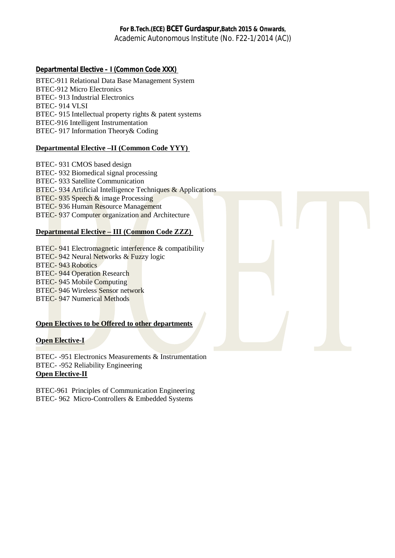**Departmental Elective – I (Common Code XXX)** 

BTEC-911 Relational Data Base Management System BTEC-912 Micro Electronics BTEC- 913 Industrial Electronics BTEC- 914 VLSI BTEC- 915 Intellectual property rights & patent systems BTEC-916 Intelligent Instrumentation BTEC- 917 Information Theory& Coding

#### **Departmental Elective –II (Common Code YYY)**

BTEC- 931 CMOS based design BTEC- 932 Biomedical signal processing BTEC- 933 Satellite Communication BTEC- 934 Artificial Intelligence Techniques & Applications BTEC- 935 Speech & image Processing BTEC- 936 Human Resource Management BTEC- 937 Computer organization and Architecture

## **Departmental Elective – III (Common Code ZZZ)**

BTEC- 941 Electromagnetic interference & compatibility BTEC- 942 Neural Networks & Fuzzy logic BTEC- 943 Robotics BTEC- 944 Operation Research BTEC- 945 Mobile Computing BTEC- 946 Wireless Sensor network BTEC- 947 Numerical Methods

#### **Open Electives to be Offered to other departments**

#### **Open Elective-I**

BTEC- -951 Electronics Measurements & Instrumentation BTEC- -952 Reliability Engineering **Open Elective-II**

BTEC-961 Principles of Communication Engineering BTEC- 962 Micro-Controllers & Embedded Systems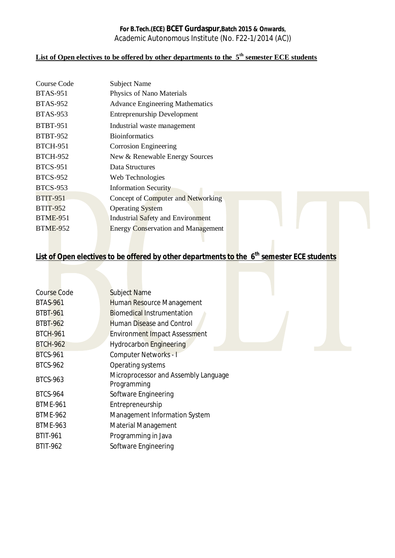# List of Open electives to be offered by other departments to the 5<sup>th</sup> semester ECE students

| <b>Subject Name</b>                       |  |  |  |  |  |  |
|-------------------------------------------|--|--|--|--|--|--|
| Physics of Nano Materials                 |  |  |  |  |  |  |
| <b>Advance Engineering Mathematics</b>    |  |  |  |  |  |  |
| <b>Entreprenurship Development</b>        |  |  |  |  |  |  |
| Industrial waste management               |  |  |  |  |  |  |
| <b>Bioinformatics</b>                     |  |  |  |  |  |  |
| <b>Corrosion Engineering</b>              |  |  |  |  |  |  |
| New & Renewable Energy Sources            |  |  |  |  |  |  |
| Data Structures                           |  |  |  |  |  |  |
| Web Technologies                          |  |  |  |  |  |  |
| <b>Information Security</b>               |  |  |  |  |  |  |
| Concept of Computer and Networking        |  |  |  |  |  |  |
| <b>Operating System</b>                   |  |  |  |  |  |  |
| Industrial Safety and Environment         |  |  |  |  |  |  |
| <b>Energy Conservation and Management</b> |  |  |  |  |  |  |
|                                           |  |  |  |  |  |  |

# **List of Open electives to be offered by other departments to the 6th semester ECE students**

| <b>Subject Name</b><br><b>Human Resource Management</b> |
|---------------------------------------------------------|
|                                                         |
|                                                         |
| <b>Biomedical Instrumentation</b>                       |
| <b>Human Disease and Control</b>                        |
| <b>Environment Impact Assessment</b>                    |
| <b>Hydrocarbon Engineering</b>                          |
| <b>Computer Networks - I</b>                            |
| Operating systems                                       |
| Microprocessor and Assembly Language<br>Programming     |
| Software Engineering                                    |
| Entrepreneurship                                        |
| Management Information System                           |
| <b>Material Management</b>                              |
| Programming in Java                                     |
| Software Engineering                                    |
|                                                         |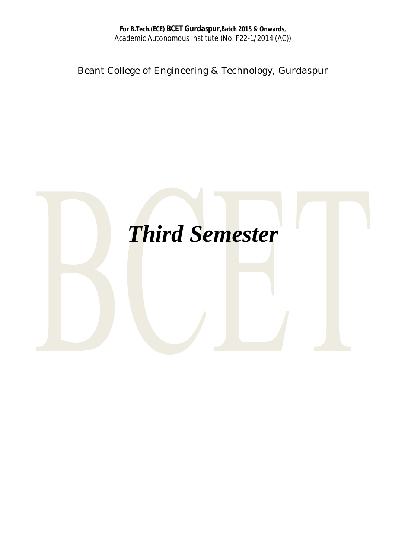Beant College of Engineering & Technology, Gurdaspur

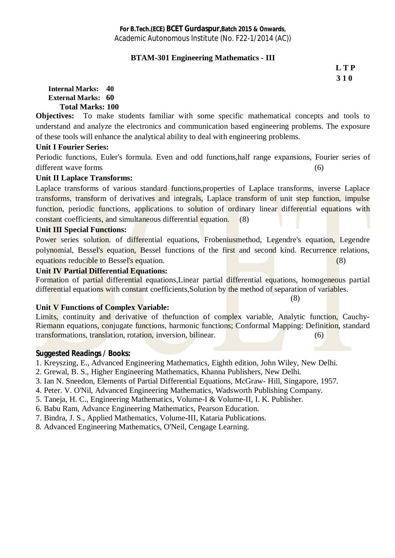## **BTAM-301 Engineering Mathematics - III**

**L T P 3 1 0** 

#### **Internal Marks: 40 External Marks: 60 Total Marks: 100**

**Objectives:** To make students familiar with some specific mathematical concepts and tools to understand and analyze the electronics and communication based engineering problems. The exposure of these tools will enhance the analytical ability to deal with engineering problems.

## **Unit I Fourier Series:**

Periodic functions, Euler's formula. Even and odd functions,half range expansions, Fourier series of different wave forms (6)

## **Unit II Laplace Transforms:**

Laplace transforms of various standard functions,properties of Laplace transforms, inverse Laplace transforms, transform of derivatives and integrals, Laplace transform of unit step function, impulse function, periodic functions, applications to solution of ordinary linear differential equations with constant coefficients, and simultaneous differential equation. (8)

## **Unit III Special Functions:**

Power series solution, of differential equations, Frobeniusmethod, Legendre's equation, Legendre polynomial, Bessel's equation, Bessel functions of the first and second kind. Recurrence relations, equations reducible to Bessel's equation.(8)

### **Unit IV Partial Differential Equations:**

Formation of partial differential equations,Linear partial differential equations, homogeneous partial differential equations with constant coefficients, Solution by the method of separation of variables.

## **Unit V Functions of Complex Variable:**

Limits, continuity and derivative of thefunction of complex variable, Analytic function, Cauchy-Riemann equations, conjugate functions, harmonic functions; Conformal Mapping: Definition, standard transformations, translation, rotation, inversion, bilinear.(6)

## **Suggested Readings / Books:**

- 1. Kreyszing, E., Advanced Engineering Mathematics, Eighth edition, John Wiley, New Delhi.
- 2. Grewal, B. S., Higher Engineering Mathematics, Khanna Publishers, New Delhi.
- 3. Ian N. Sneedon, Elements of Partial Differential Equations, McGraw- Hill, Singapore, 1957.
- 4. Peter. V. O'Nil, Advanced Engineering Mathematics, Wadsworth Publishing Company.
- 5. Taneja, H. C., Engineering Mathematics, Volume-I & Volume-II, I. K. Publisher.
- 6. Babu Ram, Advance Engineering Mathematics, Pearson Education.
- 7. Bindra, J. S., Applied Mathematics, Volume-III, Kataria Publications.
- 8. Advanced Engineering Mathematics, O'Neil, Cengage Learning.

 $(8)$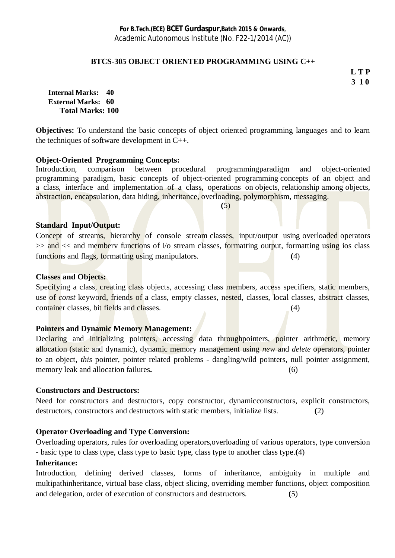### **BTCS-305 OBJECT ORIENTED PROGRAMMING USING C++**

**L T P 3 1 0** 

**Internal Marks: 40 External Marks: 60 Total Marks: 100** 

**Objectives:** To understand the basic concepts of object oriented programming languages and to learn the techniques of software development in C++.

### **Object-Oriented Programming Concepts:**

Introduction, comparison between procedural programmingparadigm and object-oriented programming paradigm, basic concepts of object-oriented programming concepts of an object and a class, interface and implementation of a class, operations on objects, relationship among objects, abstraction, encapsulation, data hiding, inheritance, overloading, polymorphism, messaging.

**(**5)

### **Standard Input/Output:**

Concept of streams, hierarchy of console stream classes, input/output using overloaded operators  $\gg$  and  $\ll$  and membery functions of i/o stream classes, formatting output, formatting using ios class functions and flags, formatting using manipulators. **(**4)

### **Classes and Objects:**

Specifying a class, creating class objects, accessing class members, access specifiers, static members, use of *const* keyword, friends of a class, empty classes, nested, classes, local classes, abstract classes, container classes, bit fields and classes.(4)

## **Pointers and Dynamic Memory Management:**

Declaring and initializing pointers, accessing data throughpointers, pointer arithmetic, memory allocation (static and dynamic), dynamic memory management using *new* and *delete* operators, pointer to an object, *this* pointer, pointer related problems - dangling/wild pointers, null pointer assignment, memory leak and allocation failures**.** (6)

#### **Constructors and Destructors:**

Need for constructors and destructors, copy constructor, dynamicconstructors, explicit constructors, destructors, constructors and destructors with static members, initialize lists. **(**2)

## **Operator Overloading and Type Conversion:**

Overloading operators, rules for overloading operators,overloading of various operators, type conversion - basic type to class type, class type to basic type, class type to another class type.**(**4)

## **Inheritance:**

Introduction, defining derived classes, forms of inheritance, ambiguity in multiple and multipathinheritance, virtual base class, object slicing, overriding member functions, object composition and delegation, order of execution of constructors and destructors. **(**5)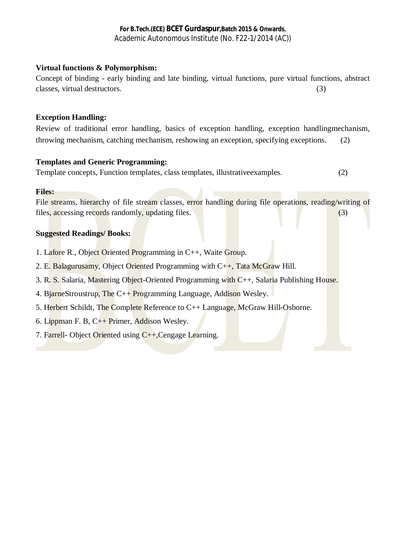## **Virtual functions & Polymorphism:**

Concept of binding - early binding and late binding, virtual functions, pure virtual functions, abstract classes, virtual destructors. (3)

#### **Exception Handling:**

Review of traditional error handling, basics of exception handling, exception handlingmechanism, throwing mechanism, catching mechanism, reshowing an exception, specifying exceptions. (2)

#### **Templates and Generic Programming:**

Template concepts, Function templates, class templates, illustrativeexamples. (2)

#### **Files:**

File streams, hierarchy of file stream classes, error handling during file operations, reading/writing of files, accessing records randomly, updating files. (3)

#### **Suggested Readings/ Books:**

- 1. Lafore R., Object Oriented Programming in C++, Waite Group.
- 2. E. Balagurusamy, Object Oriented Programming with C++, Tata McGraw Hill.
- 3. R. S. Salaria, Mastering Object-Oriented Programming with C++, Salaria Publishing House.
- 4. BjarneStroustrup, The C++ Programming Language, Addison Wesley.
- 5. Herbert Schildt, The Complete Reference to C++ Language, McGraw Hill-Osborne.
- 6. Lippman F. B,  $C_{++}$  Primer, Addison Wesley.
- 7. Farrell- Object Oriented using C++,Cengage Learning.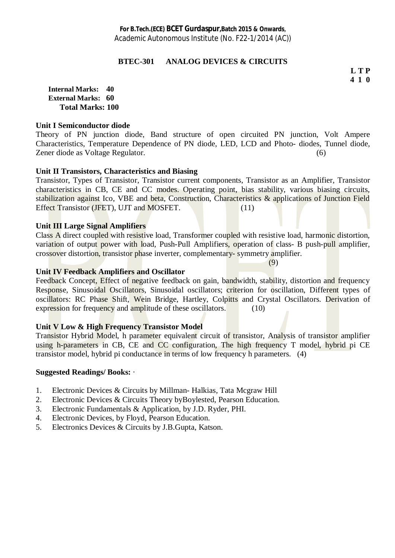## **BTEC-301 ANALOG DEVICES & CIRCUITS**

**L T P 4 1 0** 

**Internal Marks: 40 External Marks: 60 Total Marks: 100** 

#### **Unit I Semiconductor diode**

Theory of PN junction diode, Band structure of open circuited PN junction, Volt Ampere Characteristics, Temperature Dependence of PN diode, LED, LCD and Photo- diodes, Tunnel diode, Zener diode as Voltage Regulator. (6)

## **Unit II Transistors, Characteristics and Biasing**

Transistor, Types of Transistor, Transistor current components, Transistor as an Amplifier, Transistor characteristics in CB, CE and CC modes. Operating point, bias stability, various biasing circuits, stabilization against Ico, VBE and beta, Construction, Characteristics & applications of Junction Field Effect Transistor (JFET), UJT and MOSFET. (11)

## **Unit III Large Signal Amplifiers**

Class A direct coupled with resistive load, Transformer coupled with resistive load, harmonic distortion, variation of output power with load, Push-Pull Amplifiers, operation of class- B push-pull amplifier, crossover distortion, transistor phase inverter, complementary- symmetry amplifier.

(9)

### **Unit IV Feedback Amplifiers and Oscillator**

Feedback Concept. Effect of negative feedback on gain, bandwidth, stability, distortion and frequency Response, Sinusoidal Oscillators, Sinusoidal oscillators; criterion for oscillation, Different types of oscillators: RC Phase Shift, Wein Bridge, Hartley, Colpitts and Crystal Oscillators. Derivation of expression for frequency and amplitude of these oscillators. (10)

## **Unit V Low & High Frequency Transistor Model**

Transistor Hybrid Model, h parameter equivalent circuit of transistor, Analysis of transistor amplifier using h-parameters in CB, CE and CC configuration. The high frequency T model, hybrid pi CE transistor model, hybrid pi conductance in terms of low frequency h parameters. (4)

## **Suggested Readings/ Books:** ·

- 1. Electronic Devices & Circuits by Millman- Halkias, Tata Mcgraw Hill
- 2. Electronic Devices & Circuits Theory byBoylested, Pearson Education.
- 3. Electronic Fundamentals & Application, by J.D. Ryder, PHI.
- 4. Electronic Devices, by Floyd, Pearson Education.
- 5. Electronics Devices & Circuits by J.B.Gupta, Katson.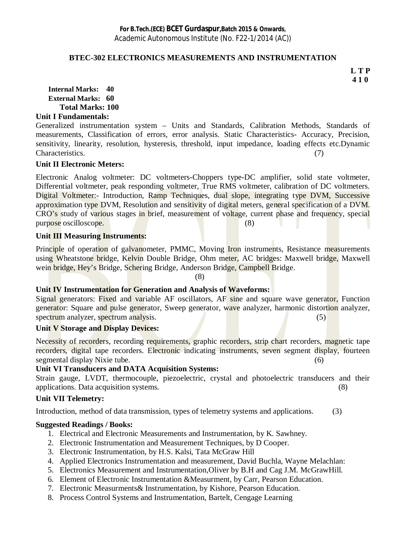#### **BTEC-302 ELECTRONICS MEASUREMENTS AND INSTRUMENTATION**

**L T P 4 1 0** 

**Internal Marks: 40 External Marks: 60 Total Marks: 100** 

## **Unit I Fundamentals:**

Generalized instrumentation system – Units and Standards, Calibration Methods, Standards of measurements, Classification of errors, error analysis. Static Characteristics- Accuracy, Precision, sensitivity, linearity, resolution, hysteresis, threshold, input impedance, loading effects etc.Dynamic Characteristics. (7)

## **Unit II Electronic Meters:**

Electronic Analog voltmeter: DC voltmeters-Choppers type-DC amplifier, solid state voltmeter, Differential voltmeter, peak responding voltmeter, True RMS voltmeter, calibration of DC voltmeters. Digital Voltmeter:- Introduction, Ramp Techniques, dual slope, integrating type DVM, Successive approximation type DVM, Resolution and sensitivity of digital meters, general specification of a DVM. CRO's study of various stages in brief, measurement of voltage, current phase and frequency, special purpose oscilloscope. (8)

### **Unit III Measuring Instruments:**

Principle of operation of galvanometer, PMMC, Moving Iron instruments, Resistance measurements using Wheatstone bridge, Kelvin Double Bridge, Ohm meter, AC bridges: Maxwell bridge, Maxwell wein bridge, Hey's Bridge, Schering Bridge, Anderson Bridge, Campbell Bridge.

(8)

## **Unit IV Instrumentation for Generation and Analysis of Waveforms:**

Signal generators: Fixed and variable AF oscillators, AF sine and square wave generator, Function generator: Square and pulse generator, Sweep generator, wave analyzer, harmonic distortion analyzer, spectrum analyzer, spectrum analysis. (5)

#### **Unit V Storage and Display Devices:**

Necessity of recorders, recording requirements, graphic recorders, strip chart recorders, magnetic tape recorders, digital tape recorders. Electronic indicating instruments, seven segment display, fourteen segmental display Nixie tube. (6)

#### **Unit VI Transducers and DATA Acquisition Systems:**

Strain gauge, LVDT, thermocouple, piezoelectric, crystal and photoelectric transducers and their applications. Data acquisition systems. (8)

## **Unit VII Telemetry:**

Introduction, method of data transmission, types of telemetry systems and applications. (3)

### **Suggested Readings / Books:**

- 1. Electrical and Electronic Measurements and Instrumentation, by K. Sawhney.
- 2. Electronic Instrumentation and Measurement Techniques, by D Cooper.
- 3. Electronic Instrumentation, by H.S. Kalsi, Tata McGraw Hill
- 4. Applied Electronics Instrumentation and measurement, David Buchla, Wayne Melachlan:
- 5. Electronics Measurement and Instrumentation,Oliver by B.H and Cag J.M. McGrawHill.
- 6. Element of Electronic Instrumentation &Measurment, by Carr, Pearson Education.
- 7. Electronic Measurments& Instrumentation, by Kishore, Pearson Education.
- 8. Process Control Systems and Instrumentation, Bartelt, Cengage Learning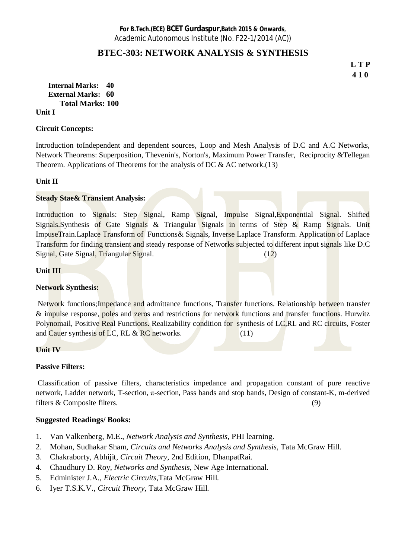## **BTEC-303: NETWORK ANALYSIS & SYNTHESIS**

**L T P 4 1 0**

**Internal Marks: 40 External Marks: 60 Total Marks: 100 Unit I** 

#### **Circuit Concepts:**

Introduction toIndependent and dependent sources, Loop and Mesh Analysis of D.C and A.C Networks, Network Theorems: Superposition, Thevenin's, Norton's, Maximum Power Transfer, Reciprocity &Tellegan Theorem. Applications of Theorems for the analysis of DC  $\&$  AC network.(13)

## **Unit II**

### **Steady Stae& Transient Analysis:**

Introduction to Signals: Step Signal, Ramp Signal, Impulse Signal, Exponential Signal. Shifted Signals.Synthesis of Gate Signals & Triangular Signals in terms of Step & Ramp Signals. Unit ImpuseTrain.Laplace Transform of Functions& Signals, Inverse Laplace Transform. Application of Laplace Transform for finding transient and steady response of Networks subjected to different input signals like D.C Signal, Gate Signal, Triangular Signal. *(12)* (12)

### **Unit III**

#### **Network Synthesis:**

Network functions;Impedance and admittance functions, Transfer functions. Relationship between transfer & impulse response, poles and zeros and restrictions for network functions and transfer functions. Hurwitz Polynomail, Positive Real Functions. Realizability condition for synthesis of LC,RL and RC circuits, Foster and Cauer synthesis of LC, RL & RC networks.  $(11)$ 

#### **Unit IV**

#### **Passive Filters:**

Classification of passive filters, characteristics impedance and propagation constant of pure reactive network, Ladder network, T-section,  $\pi$ -section, Pass bands and stop bands, Design of constant-K, m-derived filters  $\&$  Composite filters. (9)

#### **Suggested Readings/ Books:**

- 1. Van Valkenberg, M.E., *Network Analysis and Synthesis*, PHI learning.
- 2. Mohan, Sudhakar Sham, *Circuits and Networks Analysis and Synthesis*, Tata McGraw Hill.
- 3. Chakraborty, Abhijit, *Circuit Theory*, 2nd Edition, DhanpatRai.
- 4. Chaudhury D. Roy, *Networks and Synthesis*, New Age International.
- 5. Edminister J.A., *Electric Circuits*,Tata McGraw Hill.
- 6. Iyer T.S.K.V., *Circuit Theory*, Tata McGraw Hill.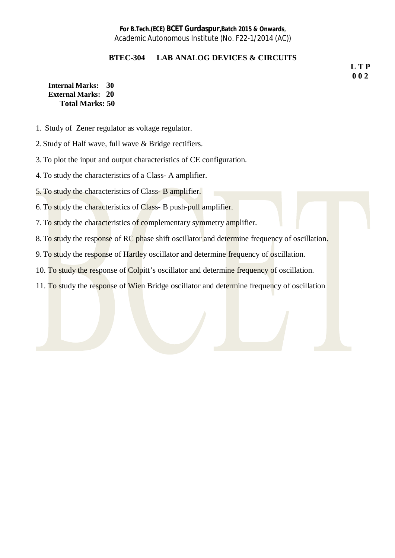## **BTEC-304 LAB ANALOG DEVICES & CIRCUITS**

**L T P 0 0 2**

**Internal Marks: 30 External Marks: 20 Total Marks: 50** 

- 1. Study of Zener regulator as voltage regulator.
- 2. Study of Half wave, full wave & Bridge rectifiers.
- 3.To plot the input and output characteristics of CE configuration.
- 4.To study the characteristics of a Class- A amplifier.
- 5.To study the characteristics of Class- B amplifier.
- 6.To study the characteristics of Class- B push-pull amplifier.
- 7. To study the characteristics of complementary symmetry amplifier.
- 8. To study the response of RC phase shift oscillator and determine frequency of oscillation.
- 9. To study the response of Hartley oscillator and determine frequency of oscillation.
- 10. To study the response of Colpitt's oscillator and determine frequency of oscillation.
- 11. To study the response of Wien Bridge oscillator and determine frequency of oscillation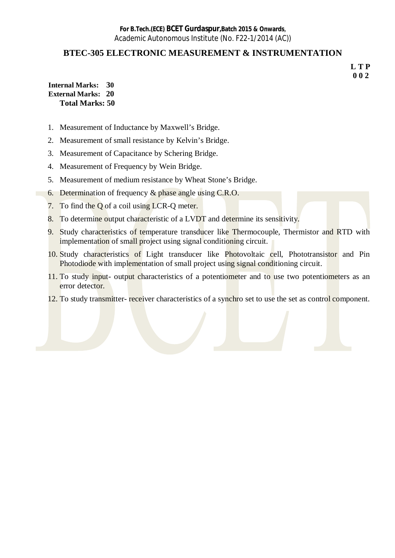## **BTEC-305 ELECTRONIC MEASUREMENT & INSTRUMENTATION**

**L T P 0 0 2**

**Internal Marks: 30 External Marks: 20 Total Marks: 50** 

- 1. Measurement of Inductance by Maxwell's Bridge.
- 2. Measurement of small resistance by Kelvin's Bridge.
- 3. Measurement of Capacitance by Schering Bridge.
- 4. Measurement of Frequency by Wein Bridge.
- 5. Measurement of medium resistance by Wheat Stone's Bridge.
- 6. Determination of frequency & phase angle using C.R.O.
- 7. To find the Q of a coil using LCR-Q meter.
- 8. To determine output characteristic of a LVDT and determine its sensitivity.
- 9. Study characteristics of temperature transducer like Thermocouple, Thermistor and RTD with implementation of small project using signal conditioning circuit.
- 10. Study characteristics of Light transducer like Photovoltaic cell, Phototransistor and Pin Photodiode with implementation of small project using signal conditioning circuit.
- 11. To study input- output characteristics of a potentiometer and to use two potentiometers as an error detector.
- 12. To study transmitter- receiver characteristics of a synchro set to use the set as control component.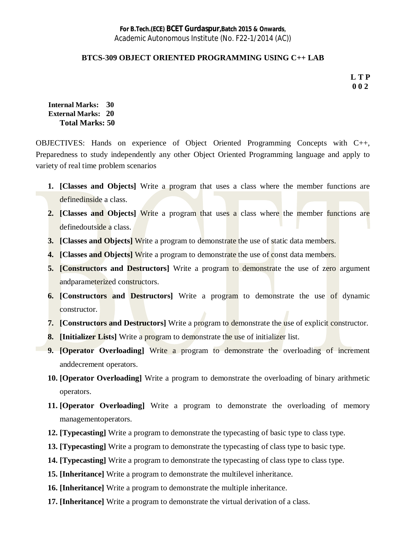### **BTCS-309 OBJECT ORIENTED PROGRAMMING USING C++ LAB**

**L T P 0 0 2**

**Internal Marks: 30 External Marks: 20 Total Marks: 50** 

OBJECTIVES: Hands on experience of Object Oriented Programming Concepts with C++, Preparedness to study independently any other Object Oriented Programming language and apply to variety of real time problem scenarios

- **1. [Classes and Objects]** Write a program that uses a class where the member functions are definedinside a class.
- **2. [Classes and Objects]** Write a program that uses a class where the member functions are definedoutside a class.
- **3. [Classes and Objects]** Write a program to demonstrate the use of static data members.
- **4. [Classes and Objects]** Write a program to demonstrate the use of const data members.
- **5. [Constructors and Destructors]** Write a program to demonstrate the use of zero argument andparameterized constructors.
- **6. [Constructors and Destructors]** Write a program to demonstrate the use of dynamic constructor.
- **7. [Constructors and Destructors]** Write a program to demonstrate the use of explicit constructor.
- **8. [Initializer Lists]** Write a program to demonstrate the use of initializer list.
- **9. [Operator Overloading]** Write a program to demonstrate the overloading of increment anddecrement operators.
- **10. [Operator Overloading]** Write a program to demonstrate the overloading of binary arithmetic operators.
- **11. [Operator Overloading]** Write a program to demonstrate the overloading of memory managementoperators.
- **12. <b>[Typecasting]** Write a program to demonstrate the typecasting of basic type to class type.
- **13. [Typecasting]** Write a program to demonstrate the typecasting of class type to basic type.
- **14. [Typecasting]** Write a program to demonstrate the typecasting of class type to class type.
- **15. [Inheritance]** Write a program to demonstrate the multilevel inheritance.
- **16. [Inheritance]** Write a program to demonstrate the multiple inheritance.
- **17. [Inheritance]** Write a program to demonstrate the virtual derivation of a class.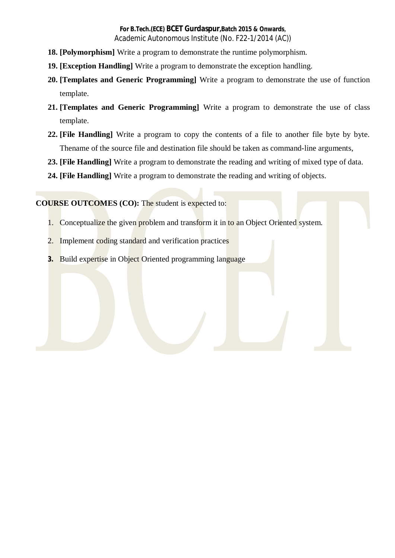- **18. [Polymorphism]** Write a program to demonstrate the runtime polymorphism.
- **19. [Exception Handling]** Write a program to demonstrate the exception handling.
- **20. [Templates and Generic Programming]** Write a program to demonstrate the use of function template.
- **21. [Templates and Generic Programming]** Write a program to demonstrate the use of class template.
- 22. **[File Handling]** Write a program to copy the contents of a file to another file byte by byte. Thename of the source file and destination file should be taken as command-line arguments,
- **23. [File Handling]** Write a program to demonstrate the reading and writing of mixed type of data.
- **24. [File Handling]** Write a program to demonstrate the reading and writing of objects.

**COURSE OUTCOMES (CO):** The student is expected to:

- 1. Conceptualize the given problem and transform it in to an Object Oriented system.
- 2. Implement coding standard and verification practices
- **3.** Build expertise in Object Oriented programming language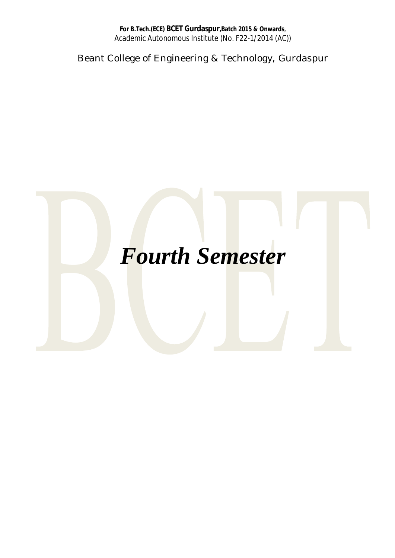Beant College of Engineering & Technology, Gurdaspur

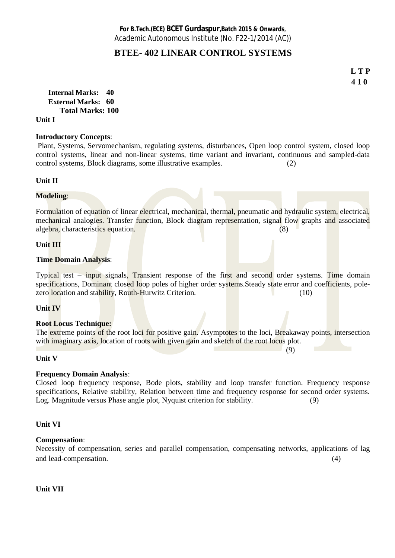## **BTEE- 402 LINEAR CONTROL SYSTEMS**

**L T P 4 1 0**

**Internal Marks: 40 External Marks: 60 Total Marks: 100 Unit I** 

#### **Introductory Concepts**:

 Plant, Systems, Servomechanism, regulating systems, disturbances, Open loop control system, closed loop control systems, linear and non-linear systems, time variant and invariant, continuous and sampled-data control systems, Block diagrams, some illustrative examples. (2)

#### **Unit II**

#### **Modeling**:

Formulation of equation of linear electrical, mechanical, thermal, pneumatic and hydraulic system, electrical, mechanical analogies. Transfer function, Block diagram representation, signal flow graphs and associated algebra, characteristics equation. (8)

#### **Unit III**

#### **Time Domain Analysis**:

Typical test – input signals, Transient response of the first and second order systems. Time domain specifications, Dominant closed loop poles of higher order systems. Steady state error and coefficients, polezero location and stability, Routh-Hurwitz Criterion. (10)

#### **Unit IV**

#### **Root Locus Technique:**

The extreme points of the root loci for positive gain. Asymptotes to the loci, Breakaway points, intersection with imaginary axis, location of roots with given gain and sketch of the root locus plot.

(9)

#### **Unit V**

#### **Frequency Domain Analysis**:

Closed loop frequency response, Bode plots, stability and loop transfer function. Frequency response specifications, Relative stability, Relation between time and frequency response for second order systems. Log. Magnitude versus Phase angle plot, Nyquist criterion for stability. (9)

#### **Unit VI**

#### **Compensation**:

Necessity of compensation, series and parallel compensation, compensating networks, applications of lag and lead-compensation. (4)

#### **Unit VII**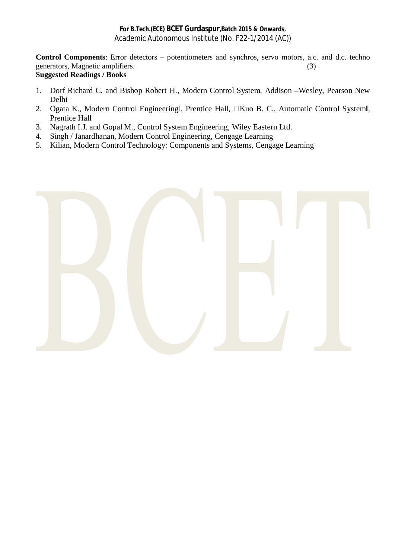**Control Components**: Error detectors – potentiometers and synchros, servo motors, a.c. and d.c. techno generators, Magnetic amplifiers. (3) **Suggested Readings / Books** 

## 1. Dorf Richard C. and Bishop Robert H., Modern Control System, Addison –Wesley, Pearson New Delhi

- 2. Ogata K., Modern Control Engineering||, Prentice Hall, □Kuo B. C., Automatic Control System||, Prentice Hall
- 3. Nagrath I.J. and Gopal M., Control System Engineering, Wiley Eastern Ltd.
- 4. Singh / Janardhanan, Modern Control Engineering, Cengage Learning
- 5. Kilian, Modern Control Technology: Components and Systems, Cengage Learning

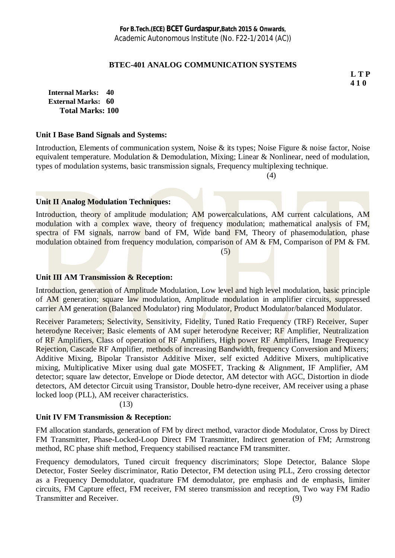## **BTEC-401 ANALOG COMMUNICATION SYSTEMS**

**L T P 4 1 0**

**Internal Marks: 40 External Marks: 60 Total Marks: 100** 

#### **Unit I Base Band Signals and Systems:**

Introduction, Elements of communication system, Noise & its types; Noise Figure & noise factor, Noise equivalent temperature. Modulation & Demodulation, Mixing; Linear & Nonlinear, need of modulation, types of modulation systems, basic transmission signals, Frequency multiplexing technique.

(4)

### **Unit II Analog Modulation Techniques:**

Introduction, theory of amplitude modulation; AM powercalculations, AM current calculations, AM modulation with a complex wave, theory of frequency modulation; mathematical analysis of FM, spectra of FM signals, narrow band of FM, Wide band FM, Theory of phasemodulation, phase modulation obtained from frequency modulation, comparison of AM & FM, Comparison of PM & FM.

(5)

#### **Unit III AM Transmission & Reception:**

Introduction, generation of Amplitude Modulation, Low level and high level modulation, basic principle of AM generation; square law modulation, Amplitude modulation in amplifier circuits, suppressed carrier AM generation (Balanced Modulator) ring Modulator, Product Modulator/balanced Modulator.

Receiver Parameters; Selectivity, Sensitivity, Fidelity, Tuned Ratio Frequency (TRF) Receiver, Super heterodyne Receiver; Basic elements of AM super heterodyne Receiver; RF Amplifier, Neutralization of RF Amplifiers, Class of operation of RF Amplifiers, High power RF Amplifiers, Image Frequency Rejection, Cascade RF Amplifier, methods of increasing Bandwidth, frequency Conversion and Mixers; Additive Mixing, Bipolar Transistor Additive Mixer, self exicted Additive Mixers, multiplicative mixing, Multiplicative Mixer using dual gate MOSFET, Tracking & Alignment, IF Amplifier, AM detector; square law detector, Envelope or Diode detector, AM detector with AGC, Distortion in diode detectors, AM detector Circuit using Transistor, Double hetro-dyne receiver, AM receiver using a phase locked loop (PLL), AM receiver characteristics.

#### (13)

#### **Unit IV FM Transmission & Reception:**

FM allocation standards, generation of FM by direct method, varactor diode Modulator, Cross by Direct FM Transmitter, Phase-Locked-Loop Direct FM Transmitter, Indirect generation of FM; Armstrong method, RC phase shift method, Frequency stabilised reactance FM transmitter.

Frequency demodulators, Tuned circuit frequency discriminators; Slope Detector, Balance Slope Detector, Foster Seeley discriminator, Ratio Detector, FM detection using PLL, Zero crossing detector as a Frequency Demodulator, quadrature FM demodulator, pre emphasis and de emphasis, limiter circuits, FM Capture effect, FM receiver, FM stereo transmission and reception, Two way FM Radio Transmitter and Receiver. (9)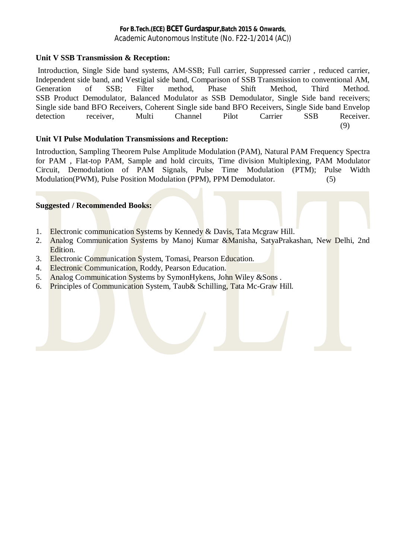#### **Unit V SSB Transmission & Reception:**

Introduction, Single Side band systems, AM-SSB; Full carrier, Suppressed carrier , reduced carrier, Independent side band, and Vestigial side band, Comparison of SSB Transmission to conventional AM, Generation of SSB; Filter method, Phase Shift Method, Third Method. SSB Product Demodulator, Balanced Modulator as SSB Demodulator, Single Side band receivers; Single side band BFO Receivers, Coherent Single side band BFO Receivers, Single Side band Envelop detection receiver, Multi Channel Pilot Carrier SSB Receiver. (9)

#### **Unit VI Pulse Modulation Transmissions and Reception:**

Introduction, Sampling Theorem Pulse Amplitude Modulation (PAM), Natural PAM Frequency Spectra for PAM , Flat-top PAM, Sample and hold circuits, Time division Multiplexing, PAM Modulator Circuit, Demodulation of PAM Signals, Pulse Time Modulation (PTM); Pulse Width Modulation(PWM), Pulse Position Modulation (PPM), PPM Demodulator. (5)

#### **Suggested / Recommended Books:**

- 1. Electronic communication Systems by Kennedy & Davis, Tata Mcgraw Hill.
- 2. Analog Communication Systems by Manoj Kumar &Manisha, SatyaPrakashan, New Delhi, 2nd Edition.
- 3. Electronic Communication System, Tomasi, Pearson Education.
- 4. Electronic Communication, Roddy, Pearson Education.
- 5. Analog Communication Systems by SymonHykens, John Wiley &Sons .
- 6. Principles of Communication System, Taub& Schilling, Tata Mc-Graw Hill.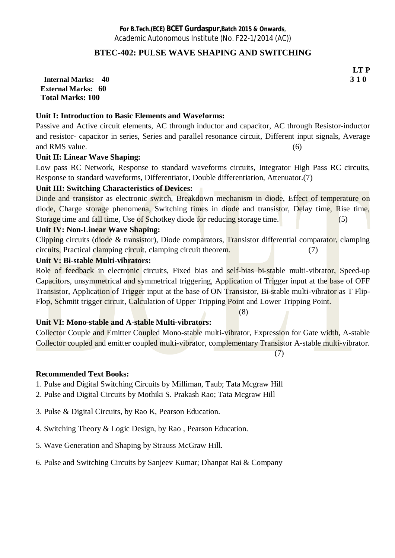## **BTEC-402: PULSE WAVE SHAPING AND SWITCHING**

 **LT P** 

 **Internal Marks: 40 3 1 0 External Marks: 60 Total Marks: 100** 

## **Unit I: Introduction to Basic Elements and Waveforms:**

Passive and Active circuit elements, AC through inductor and capacitor, AC through Resistor-inductor and resistor- capacitor in series, Series and parallel resonance circuit, Different input signals, Average and RMS value. (6) (6)

## **Unit II: Linear Wave Shaping:**

Low pass RC Network, Response to standard waveforms circuits, Integrator High Pass RC circuits, Response to standard waveforms, Differentiator, Double differentiation, Attenuator.(7)

## **Unit III: Switching Characteristics of Devices:**

Diode and transistor as electronic switch, Breakdown mechanism in diode, Effect of temperature on diode, Charge storage phenomena, Switching times in diode and transistor, Delay time, Rise time, Storage time and fall time, Use of Schotkey diode for reducing storage time. (5)

## **Unit IV: Non-Linear Wave Shaping:**

Clipping circuits (diode & transistor), Diode comparators, Transistor differential comparator, clamping circuits, Practical clamping circuit, clamping circuit theorem. (7)

## **Unit V: Bi-stable Multi-vibrators:**

Role of feedback in electronic circuits, Fixed bias and self-bias bi-stable multi-vibrator, Speed-up Capacitors, unsymmetrical and symmetrical triggering, Application of Trigger input at the base of OFF Transistor, Application of Trigger input at the base of ON Transistor, Bi-stable multi-vibrator as T Flip-Flop, Schmitt trigger circuit, Calculation of Upper Tripping Point and Lower Tripping Point.

## **Unit VI: Mono-stable and A-stable Multi-vibrators:**

Collector Couple and Emitter Coupled Mono-stable multi-vibrator, Expression for Gate width, A-stable Collector coupled and emitter coupled multi-vibrator, complementary Transistor A-stable multi-vibrator.

 $(7)$ 

(8)

## **Recommended Text Books:**

1. Pulse and Digital Switching Circuits by Milliman, Taub; Tata Mcgraw Hill

2. Pulse and Digital Circuits by Mothiki S. Prakash Rao; Tata Mcgraw Hill

- 3. Pulse & Digital Circuits, by Rao K, Pearson Education.
- 4. Switching Theory & Logic Design, by Rao , Pearson Education.
- 5. Wave Generation and Shaping by Strauss McGraw Hill.
- 6. Pulse and Switching Circuits by Sanjeev Kumar; Dhanpat Rai & Company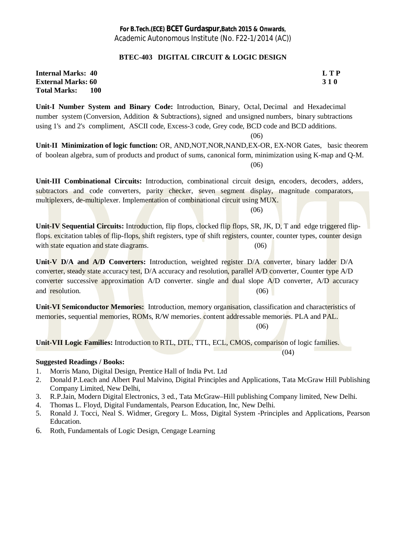#### **BTEC-403 DIGITAL CIRCUIT & LOGIC DESIGN**

**Internal Marks: 40 L T P External Marks: 60** 3 1 0 **Total Marks: 100** 

**Unit-I Number System and Binary Code:** Introduction, Binary, Octal, Decimal and Hexadecimal number system (Conversion, Addition & Subtractions), signed and unsigned numbers, binary subtractions using 1's and 2's compliment, ASCII code, Excess-3 code, Grey code, BCD code and BCD additions.

(06)

**Unit-II Minimization of logic function:** OR, AND,NOT,NOR,NAND,EX-OR, EX-NOR Gates, basic theorem of boolean algebra, sum of products and product of sums, canonical form, minimization using K-map and Q-M.  $(06)$ 

**Unit-III Combinational Circuits:** Introduction, combinational circuit design, encoders, decoders, adders, subtractors and code converters, parity checker, seven segment display, magnitude comparators, multiplexers, de-multiplexer. Implementation of combinational circuit using MUX.

 $(06)$ 

**Unit-IV Sequential Circuits:** Introduction, flip flops, clocked flip flops, SR, JK, D, T and edge triggered flipflops. excitation tables of flip-flops, shift registers, type of shift registers, counter, counter types, counter design with state equation and state diagrams. (06)

**Unit-V D/A and A/D Converters:** Introduction, weighted register D/A converter, binary ladder D/A converter, steady state accuracy test, D/A accuracy and resolution, parallel A/D converter, Counter type A/D converter successive approximation A/D converter. single and dual slope A/D converter, A/D accuracy and resolution. (06) and resolution. (06)

**Unit-VI Semiconductor Memories:** Introduction, memory organisation, classification and characteristics of memories, sequential memories, ROMs, R/W memories. content addressable memories. PLA and PAL.

(06)

 $(04)$ 

**Unit-VII Logic Families:** Introduction to RTL, DTL, TTL, ECL, CMOS, comparison of logic families.

**Suggested Readings / Books:** 

- 1. Morris Mano, Digital Design, Prentice Hall of India Pvt. Ltd
- 2. Donald P.Leach and Albert Paul Malvino, Digital Principles and Applications, Tata McGraw Hill Publishing Company Limited, New Delhi,
- 3. R.P.Jain, Modern Digital Electronics, 3 ed., Tata McGraw–Hill publishing Company limited, New Delhi.
- 4. Thomas L. Floyd, Digital Fundamentals, Pearson Education, Inc, New Delhi.
- 5. Ronald J. Tocci, Neal S. Widmer, Gregory L. Moss, Digital System -Principles and Applications, Pearson Education.
- 6. Roth, Fundamentals of Logic Design, Cengage Learning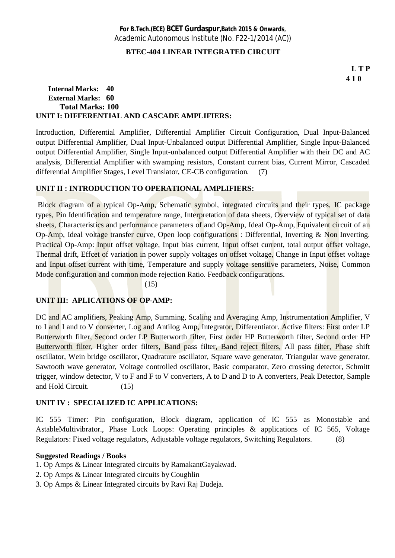#### **BTEC-404 LINEAR INTEGRATED CIRCUIT**

**L T P 4 1 0** 

#### **Internal Marks: 40 External Marks: 60 Total Marks: 100 UNIT I: DIFFERENTIAL AND CASCADE AMPLIFIERS:**

Introduction, Differential Amplifier, Differential Amplifier Circuit Configuration, Dual Input-Balanced output Differential Amplifier, Dual Input-Unbalanced output Differential Amplifier, Single Input-Balanced output Differential Amplifier, Single Input-unbalanced output Differential Amplifier with their DC and AC analysis, Differential Amplifier with swamping resistors, Constant current bias, Current Mirror, Cascaded differential Amplifier Stages, Level Translator, CE-CB configuration. (7)

## **UNIT II : INTRODUCTION TO OPERATIONAL AMPLIFIERS:**

Block diagram of a typical Op-Amp, Schematic symbol, integrated circuits and their types, IC package types, Pin Identification and temperature range, Interpretation of data sheets, Overview of typical set of data sheets, Characteristics and performance parameters of and Op-Amp, Ideal Op-Amp, Equivalent circuit of an Op-Amp, Ideal voltage transfer curve, Open loop configurations : Differential, Inverting & Non Inverting. Practical Op-Amp: Input offset voltage, Input bias current, Input offset current, total output offset voltage, Thermal drift, Effcet of variation in power supply voltages on offset voltage, Change in Input offset voltage and Input offset current with time, Temperature and supply voltage sensitive parameters, Noise, Common Mode configuration and common mode rejection Ratio. Feedback configurations.

(15)

## **UNIT III: APLICATIONS OF OP-AMP:**

DC and AC amplifiers, Peaking Amp, Summing, Scaling and Averaging Amp, Instrumentation Amplifier, V to I and I and to V converter, Log and Antilog Amp, Integrator, Differentiator. Active filters: First order LP Butterworth filter, Second order LP Butterworth filter, First order HP Butterworth filter, Second order HP Butterworth filter, Higher order filters, Band pass filter, Band reject filters, All pass filter, Phase shift oscillator, Wein bridge oscillator, Quadrature oscillator, Square wave generator, Triangular wave generator, Sawtooth wave generator, Voltage controlled oscillator, Basic comparator, Zero crossing detector, Schmitt trigger, window detector, V to F and F to V converters, A to D and D to A converters, Peak Detector, Sample and Hold Circuit. (15)

## **UNIT IV : SPECIALIZED IC APPLICATIONS:**

IC 555 Timer: Pin configuration, Block diagram, application of IC 555 as Monostable and AstableMultivibrator., Phase Lock Loops: Operating principles & applications of IC 565, Voltage Regulators: Fixed voltage regulators, Adjustable voltage regulators, Switching Regulators. (8)

#### **Suggested Readings / Books**

- 1. Op Amps & Linear Integrated circuits by RamakantGayakwad.
- 2. Op Amps & Linear Integrated circuits by Coughlin
- 3. Op Amps & Linear Integrated circuits by Ravi Raj Dudeja.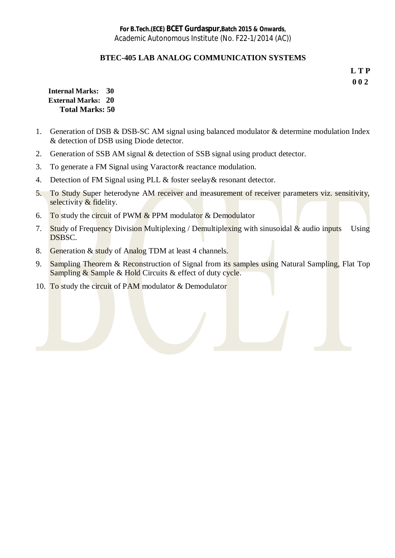## **BTEC-405 LAB ANALOG COMMUNICATION SYSTEMS**

**L T P 0 0 2** 

**Internal Marks: 30 External Marks: 20 Total Marks: 50** 

- 1. Generation of DSB & DSB-SC AM signal using balanced modulator & determine modulation Index & detection of DSB using Diode detector.
- 2. Generation of SSB AM signal & detection of SSB signal using product detector.
- 3. To generate a FM Signal using Varactor& reactance modulation.
- 4. Detection of FM Signal using PLL & foster seelay& resonant detector.
- 5. To Study Super heterodyne AM receiver and measurement of receiver parameters viz. sensitivity, selectivity & fidelity.
- 6. To study the circuit of PWM  $\&$  PPM modulator  $\&$  Demodulator
- 7. Study of Frequency Division Multiplexing / Demultiplexing with sinusoidal  $\&$  audio inputs Using DSBSC.
- 8. Generation & study of Analog TDM at least 4 channels.
- 9. Sampling Theorem & Reconstruction of Signal from its samples using Natural Sampling, Flat Top Sampling & Sample & Hold Circuits & effect of duty cycle.
- 10. To study the circuit of PAM modulator & Demodulator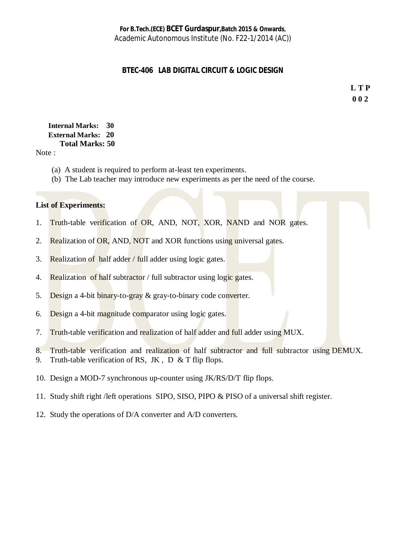## **BTEC-406 LAB DIGITAL CIRCUIT & LOGIC DESIGN**

**L T P 0 0 2**

## **Internal Marks: 30 External Marks: 20 Total Marks: 50**

Note :

- (a) A student is required to perform at-least ten experiments.
- (b) The Lab teacher may introduce new experiments as per the need of the course.

## **List of Experiments:**

- 1. Truth-table verification of OR, AND, NOT, XOR, NAND and NOR gates.
- 2. Realization of OR, AND, NOT and XOR functions using universal gates.
- 3. Realization of half adder / full adder using logic gates.
- 4. Realization of half subtractor / full subtractor using logic gates.
- 5. Design a 4-bit binary-to-gray & gray-to-binary code converter.
- 6. Design a 4-bit magnitude comparator using logic gates.
- 7. Truth-table verification and realization of half adder and full adder using MUX.
- 8. Truth-table verification and realization of half subtractor and full subtractor using DEMUX.
- 9. Truth-table verification of RS, JK , D & T flip flops.
- 10. Design a MOD-7 synchronous up-counter using JK/RS/D/T flip flops.
- 11. Study shift right /left operations SIPO, SISO, PIPO & PISO of a universal shift register.
- 12. Study the operations of D/A converter and A/D converters.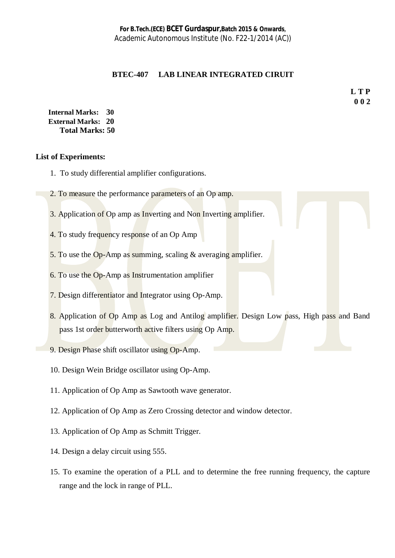#### **BTEC-407 LAB LINEAR INTEGRATED CIRUIT**

**L T P 0 0 2** 

**Internal Marks: 30 External Marks: 20 Total Marks: 50** 

#### **List of Experiments:**

- 1. To study differential amplifier configurations.
- 2. To measure the performance parameters of an Op amp.
- 3. Application of Op amp as Inverting and Non Inverting amplifier.
- 4. To study frequency response of an Op Amp
- 5. To use the Op-Amp as summing, scaling & averaging amplifier.
- 6. To use the Op-Amp as Instrumentation amplifier
- 7. Design differentiator and Integrator using Op-Amp.
- 8. Application of Op Amp as Log and Antilog amplifier. Design Low pass, High pass and Band pass 1st order butterworth active filters using Op Amp.
- 9. Design Phase shift oscillator using Op-Amp.
- 10. Design Wein Bridge oscillator using Op-Amp.
- 11. Application of Op Amp as Sawtooth wave generator.
- 12. Application of Op Amp as Zero Crossing detector and window detector.
- 13. Application of Op Amp as Schmitt Trigger.
- 14. Design a delay circuit using 555.
- 15. To examine the operation of a PLL and to determine the free running frequency, the capture range and the lock in range of PLL.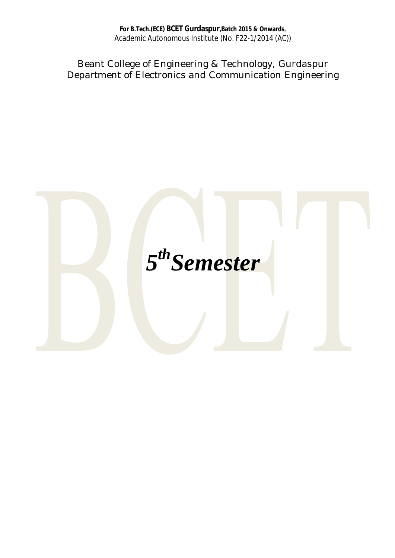Beant College of Engineering & Technology, Gurdaspur Department of Electronics and Communication Engineering

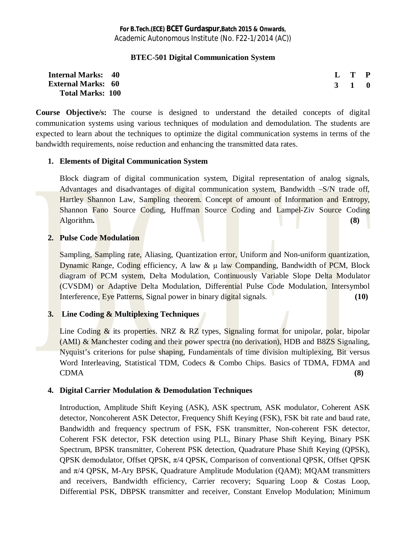#### **BTEC-501 Digital Communication System**

| <b>Internal Marks: 40</b> |  | L T P               |  |
|---------------------------|--|---------------------|--|
| <b>External Marks: 60</b> |  | $3 \quad 1 \quad 0$ |  |
| <b>Total Marks: 100</b>   |  |                     |  |

**Course Objective/s:** The course is designed to understand the detailed concepts of digital communication systems using various techniques of modulation and demodulation. The students are expected to learn about the techniques to optimize the digital communication systems in terms of the bandwidth requirements, noise reduction and enhancing the transmitted data rates.

## **1. Elements of Digital Communication System**

Block diagram of digital communication system, Digital representation of analog signals, Advantages and disadvantages of digital communication system, Bandwidth –S/N trade off, Hartley Shannon Law, Sampling theorem. Concept of amount of Information and Entropy, Shannon Fano Source Coding, Huffman Source Coding and Lampel-Ziv Source Coding Algorithm. (8) **Algorithm**. (8)

### **2. Pulse Code Modulation**

Sampling, Sampling rate, Aliasing, Quantization error, Uniform and Non-uniform quantization, Dynamic Range, Coding efficiency, A law & u law Companding, Bandwidth of PCM, Block diagram of PCM system, Delta Modulation, Continuously Variable Slope Delta Modulator (CVSDM) or Adaptive Delta Modulation, Differential Pulse Code Modulation, Intersymbol Interference, Eye Patterns, Signal power in binary digital signals. (10)

## **3. Line Coding & Multiplexing Techniques**

Line Coding  $\&$  its properties. NRZ  $\&$  RZ types, Signaling format for unipolar, polar, bipolar (AMI) & Manchester coding and their power spectra (no derivation), HDB and B8ZS Signaling, Nyquist's criterions for pulse shaping, Fundamentals of time division multiplexing, Bit versus Word Interleaving, Statistical TDM, Codecs & Combo Chips. Basics of TDMA, FDMA and CDMA **(8)** 

## **4. Digital Carrier Modulation & Demodulation Techniques**

Introduction, Amplitude Shift Keying (ASK), ASK spectrum, ASK modulator, Coherent ASK detector, Noncoherent ASK Detector, Frequency Shift Keying (FSK), FSK bit rate and baud rate, Bandwidth and frequency spectrum of FSK, FSK transmitter, Non-coherent FSK detector, Coherent FSK detector, FSK detection using PLL, Binary Phase Shift Keying, Binary PSK Spectrum, BPSK transmitter, Coherent PSK detection, Quadrature Phase Shift Keying (QPSK), QPSK demodulator, Offset QPSK,  $\pi$ /4 QPSK, Comparison of conventional QPSK, Offset QPSK and  $\pi/4$  OPSK, M-Ary BPSK, Quadrature Amplitude Modulation (QAM); MQAM transmitters and receivers, Bandwidth efficiency, Carrier recovery; Squaring Loop & Costas Loop, Differential PSK, DBPSK transmitter and receiver, Constant Envelop Modulation; Minimum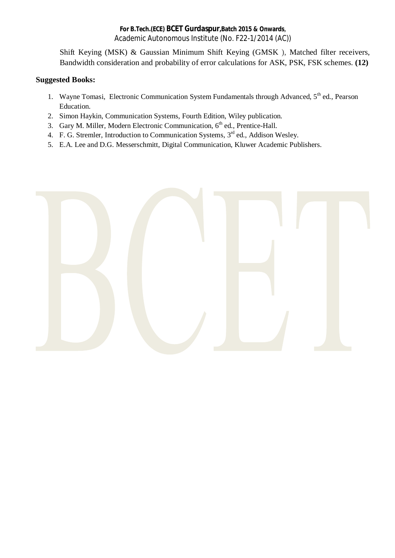Shift Keying (MSK) & Gaussian Minimum Shift Keying (GMSK ), Matched filter receivers, Bandwidth consideration and probability of error calculations for ASK, PSK, FSK schemes. **(12)** 

- 1. Wayne Tomasi, Electronic Communication System Fundamentals through Advanced,  $5<sup>th</sup>$  ed., Pearson Education.
- 2. Simon Haykin, Communication Systems, Fourth Edition, Wiley publication.
- 3. Gary M. Miller, Modern Electronic Communication,  $6<sup>th</sup>$  ed., Prentice-Hall.
- 4. F. G. Stremler, Introduction to Communication Systems,  $3<sup>rd</sup>$  ed., Addison Wesley.
- 5. E.A. Lee and D.G. Messerschmitt, Digital Communication, Kluwer Academic Publishers.

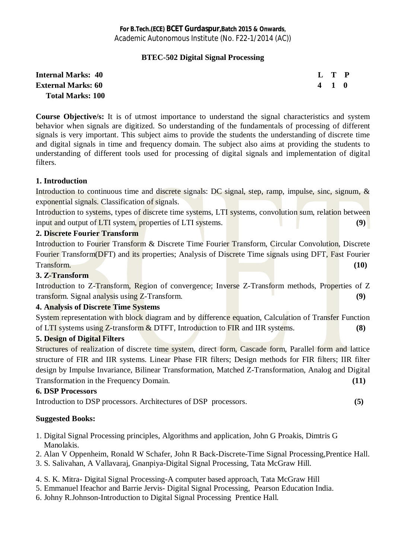## **BTEC-502 Digital Signal Processing**

## **Internal Marks: 40 L T P L T P External Marks: 60 4 1 0**  $\phantom{0}4$  **1 0**  $\phantom{0}4$  **1 0**  $\phantom{0}4$  1 0  $\phantom{0}4$  **Total Marks: 100**

**Course Objective/s:** It is of utmost importance to understand the signal characteristics and system behavior when signals are digitized. So understanding of the fundamentals of processing of different signals is very important. This subject aims to provide the students the understanding of discrete time and digital signals in time and frequency domain. The subject also aims at providing the students to understanding of different tools used for processing of digital signals and implementation of digital filters.

## **1. Introduction**

Introduction to continuous time and discrete signals: DC signal, step, ramp, impulse, sinc, signum, & exponential signals. Classification of signals.

Introduction to systems, types of discrete time systems, LTI systems, convolution sum, relation between input and output of LTI system, properties of LTI systems. **(9)** (9)

## **2. Discrete Fourier Transform**

Introduction to Fourier Transform & Discrete Time Fourier Transform, Circular Convolution, Discrete Fourier Transform(DFT) and its properties; Analysis of Discrete Time signals using DFT, Fast Fourier Transform. **(10)**

## **3. Z-Transform**

Introduction to Z-Transform, Region of convergence; Inverse Z-Transform methods, Properties of Z transform. Signal analysis using Z-Transform. **(9)**

## **4. Analysis of Discrete Time Systems**

System representation with block diagram and by difference equation, Calculation of Transfer Function of LTI systems using Z-transform & DTFT, Introduction to FIR and IIR systems. **(8)**

## **5. Design of Digital Filters**

Structures of realization of discrete time system, direct form, Cascade form, Parallel form and lattice structure of FIR and IIR systems. Linear Phase FIR filters; Design methods for FIR filters; IIR filter design by Impulse Invariance, Bilinear Transformation, Matched Z-Transformation, Analog and Digital Transformation in the Frequency Domain. **(11)**

## **6. DSP Processors**

Introduction to DSP processors. Architectures of DSP processors. **(5)** 

- 1. Digital Signal Processing principles, Algorithms and application, John G Proakis, Dimtris G Manolakis.
- 2. Alan V Oppenheim, Ronald W Schafer, John R Back-Discrete-Time Signal Processing,Prentice Hall.
- 3. S. Salivahan, A Vallavaraj, Gnanpiya-Digital Signal Processing, Tata McGraw Hill.
- 4. S. K. Mitra- Digital Signal Processing-A computer based approach, Tata McGraw Hill
- 5. Emmanuel Ifeachor and Barrie Jervis- Digital Signal Processing, Pearson Education India.
- 6. Johny R.Johnson-Introduction to Digital Signal Processing Prentice Hall.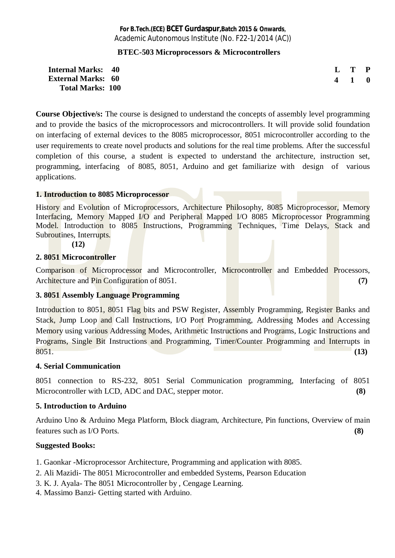#### **BTEC-503 Microprocessors & Microcontrollers**

**Internal Marks: 40 External Marks: 60 Total Marks: 100**  **L T P 4 1 0**

**Course Objective/s:** The course is designed to understand the concepts of assembly level programming and to provide the basics of the microprocessors and microcontrollers. It will provide solid foundation on interfacing of external devices to the 8085 microprocessor, 8051 microcontroller according to the user requirements to create novel products and solutions for the real time problems. After the successful completion of this course, a student is expected to understand the architecture, instruction set, programming, interfacing of 8085, 8051, Arduino and get familiarize with design of various applications.

### **1. Introduction to 8085 Microprocessor**

History and Evolution of Microprocessors, Architecture Philosophy, 8085 Microprocessor, Memory Interfacing, Memory Mapped I/O and Peripheral Mapped I/O 8085 Microprocessor Programming Model. Introduction to 8085 Instructions, Programming Techniques, Time Delays, Stack and Subroutines, Interrupts.

**(12)** 

### **2. 8051 Microcontroller**

Comparison of Microprocessor and Microcontroller, Microcontroller and Embedded Processors, Architecture and Pin Configuration of 8051. **(7)** (7)

#### **3. 8051 Assembly Language Programming**

Introduction to 8051, 8051 Flag bits and PSW Register, Assembly Programming, Register Banks and Stack, Jump Loop and Call Instructions, I/O Port Programming, Addressing Modes and Accessing Memory using various Addressing Modes, Arithmetic Instructions and Programs, Logic Instructions and Programs, Single Bit Instructions and Programming, Timer/Counter Programming and Interrupts in 8051. **(13)** 

#### **4. Serial Communication**

8051 connection to RS-232, 8051 Serial Communication programming, Interfacing of 8051 Microcontroller with LCD, ADC and DAC, stepper motor. **(8)**

#### **5. Introduction to Arduino**

Arduino Uno & Arduino Mega Platform, Block diagram, Architecture, Pin functions, Overview of main features such as I/O Ports. **(8)** 

- 1. Gaonkar -Microprocessor Architecture, Programming and application with 8085.
- 2. Ali Mazidi- The 8051 Microcontroller and embedded Systems, Pearson Education
- 3. K. J. Ayala- The 8051 Microcontroller by , Cengage Learning.
- 4. Massimo Banzi- Getting started with Arduino.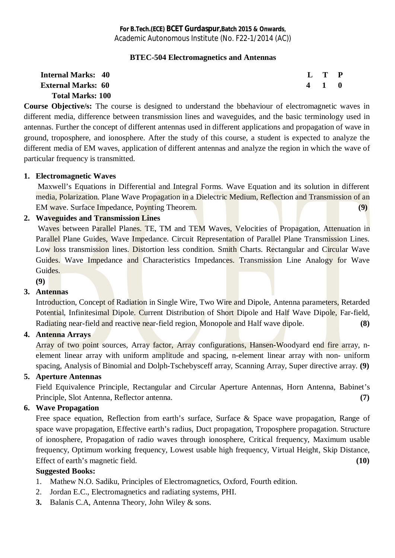## **BTEC-504 Electromagnetics and Antennas**

#### **Internal Marks: 40 External Marks: 60 Total Marks: 100 L T P 4 1 0**

**Course Objective/s:** The course is designed to understand the bbehaviour of electromagnetic waves in different media, difference between transmission lines and waveguides, and the basic terminology used in antennas. Further the concept of different antennas used in different applications and propagation of wave in ground, troposphere, and ionosphere. After the study of this course, a student is expected to analyze the different media of EM waves, application of different antennas and analyze the region in which the wave of particular frequency is transmitted.

## **1. Electromagnetic Waves**

Maxwell's Equations in Differential and Integral Forms. Wave Equation and its solution in different media, Polarization. Plane Wave Propagation in a Dielectric Medium, Reflection and Transmission of an EM wave. Surface Impedance, Poynting Theorem. **(9)**

## **2. Waveguides and Transmission Lines**

 Waves between Parallel Planes. TE, TM and TEM Waves, Velocities of Propagation, Attenuation in Parallel Plane Guides, Wave Impedance. Circuit Representation of Parallel Plane Transmission Lines. Low loss transmission lines. Distortion less condition. Smith Charts. Rectangular and Circular Wave Guides. Wave Impedance and Characteristics Impedances. Transmission Line Analogy for Wave Guides.

**(9)**

## **3. Antennas**

Introduction, Concept of Radiation in Single Wire, Two Wire and Dipole, Antenna parameters, Retarded Potential, Infinitesimal Dipole. Current Distribution of Short Dipole and Half Wave Dipole, Far-field, Radiating near-field and reactive near-field region, Monopole and Half wave dipole. **(8)**

## **4. Antenna Arrays**

Array of two point sources, Array factor, Array configurations, Hansen-Woodyard end fire array, nelement linear array with uniform amplitude and spacing, n-element linear array with non- uniform spacing, Analysis of Binomial and Dolph-Tschebysceff array, Scanning Array, Super directive array. **(9)**

## **5. Aperture Antennas**

Field Equivalence Principle, Rectangular and Circular Aperture Antennas, Horn Antenna, Babinet's Principle, Slot Antenna, Reflector antenna. **(7)**

## **6. Wave Propagation**

Free space equation, Reflection from earth's surface, Surface & Space wave propagation, Range of space wave propagation, Effective earth's radius, Duct propagation, Troposphere propagation. Structure of ionosphere, Propagation of radio waves through ionosphere, Critical frequency, Maximum usable frequency, Optimum working frequency, Lowest usable high frequency, Virtual Height, Skip Distance, Effect of earth's magnetic field. **(10) (10)** 

- 1. Mathew N.O. Sadiku, Principles of Electromagnetics, Oxford, Fourth edition.
- 2. Jordan E.C., Electromagnetics and radiating systems, PHI.
- **3.** Balanis C.A, Antenna Theory, John Wiley & sons.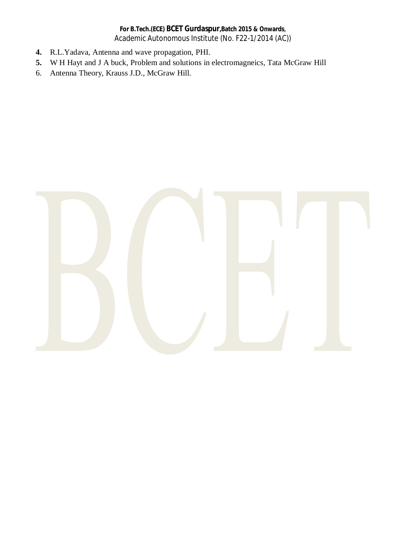- **4.** R.L.Yadava, Antenna and wave propagation, PHI.
- **5.** W H Hayt and J A buck, Problem and solutions in electromagneics, Tata McGraw Hill
- 6. Antenna Theory, Krauss J.D., McGraw Hill.

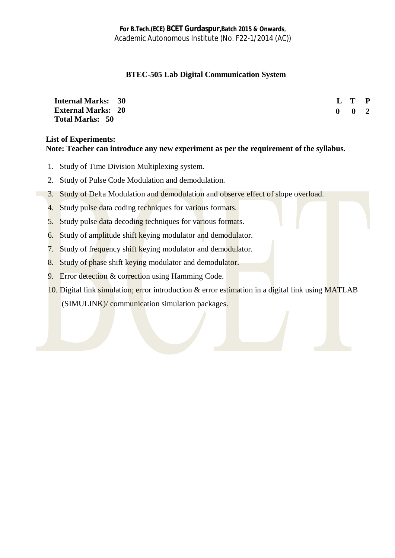## **BTEC-505 Lab Digital Communication System**

| <b>Internal Marks: 30</b> | L T P         |  |
|---------------------------|---------------|--|
| <b>External Marks: 20</b> | $0 \t 0 \t 2$ |  |
| <b>Total Marks: 50</b>    |               |  |

### **List of Experiments: Note: Teacher can introduce any new experiment as per the requirement of the syllabus.**

- 1. Study of Time Division Multiplexing system.
- 2. Study of Pulse Code Modulation and demodulation.
- 3. Study of Delta Modulation and demodulation and observe effect of slope overload.
- 4. Study pulse data coding techniques for various formats.
- 5. Study pulse data decoding techniques for various formats.
- 6. Study of amplitude shift keying modulator and demodulator.
- 7. Study of frequency shift keying modulator and demodulator.
- 8. Study of phase shift keying modulator and demodulator.
- 9. Error detection & correction using Hamming Code.
- 10. Digital link simulation; error introduction & error estimation in a digital link using MATLAB (SIMULINK)/ communication simulation packages.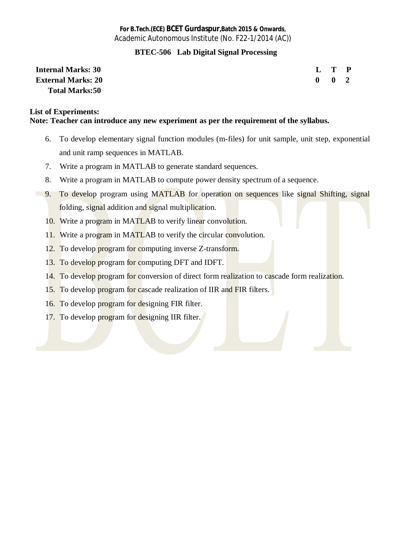#### **BTEC-506 Lab Digital Signal Processing**

| <b>Internal Marks: 30</b> | $\mathbf{L} \quad \mathbf{T} \quad \mathbf{P}$ |  |
|---------------------------|------------------------------------------------|--|
| <b>External Marks: 20</b> | $0 \quad 0 \quad 2$                            |  |
| <b>Total Marks:50</b>     |                                                |  |

#### **List of Experiments: Note: Teacher can introduce any new experiment as per the requirement of the syllabus.**

- 6. To develop elementary signal function modules (m-files) for unit sample, unit step, exponential and unit ramp sequences in MATLAB.
- 7. Write a program in MATLAB to generate standard sequences.
- 8. Write a program in MATLAB to compute power density spectrum of a sequence.
- 9. To develop program using MATLAB for operation on sequences like signal Shifting, signal folding, signal addition and signal multiplication.
	- 10. Write a program in MATLAB to verify linear convolution.
	- 11. Write a program in MATLAB to verify the circular convolution.
	- 12. To develop program for computing inverse Z-transform.
	- 13. To develop program for computing DFT and IDFT.
	- 14. To develop program for conversion of direct form realization to cascade form realization.
	- 15. To develop program for cascade realization of IIR and FIR filters.
	- 16. To develop program for designing FIR filter.
	- 17. To develop program for designing IIR filter.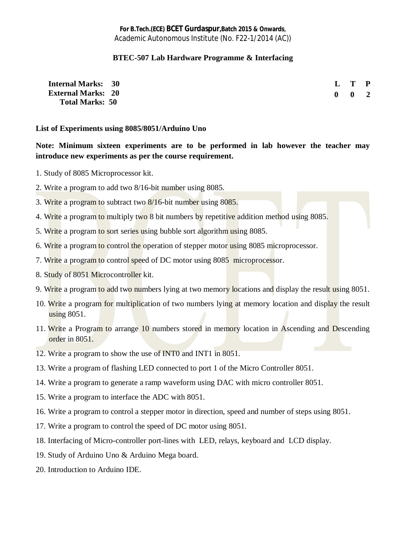#### **BTEC-507 Lab Hardware Programme & Interfacing**

| <b>Internal Marks: 30</b> | L T P         |  |
|---------------------------|---------------|--|
| <b>External Marks: 20</b> | $0 \t 0 \t 2$ |  |
| <b>Total Marks: 50</b>    |               |  |

#### **List of Experiments using 8085/8051/Arduino Uno**

# **Note: Minimum sixteen experiments are to be performed in lab however the teacher may introduce new experiments as per the course requirement.**

- 1. Study of 8085 Microprocessor kit.
- 2. Write a program to add two 8/16-bit number using 8085.
- 3. Write a program to subtract two 8/16-bit number using 8085.
- 4. Write a program to multiply two 8 bit numbers by repetitive addition method using 8085.
- 5. Write a program to sort series using bubble sort algorithm using 8085.
- 6. Write a program to control the operation of stepper motor using 8085 microprocessor.
- 7. Write a program to control speed of DC motor using 8085 microprocessor.
- 8. Study of 8051 Microcontroller kit.
- 9. Write a program to add two numbers lying at two memory locations and display the result using 8051.
- 10. Write a program for multiplication of two numbers lying at memory location and display the result using 8051.
- 11. Write a Program to arrange 10 numbers stored in memory location in Ascending and Descending order in 8051.
- 12. Write a program to show the use of INT0 and INT1 in 8051.
- 13. Write a program of flashing LED connected to port 1 of the Micro Controller 8051.
- 14. Write a program to generate a ramp waveform using DAC with micro controller 8051.
- 15. Write a program to interface the ADC with 8051.
- 16. Write a program to control a stepper motor in direction, speed and number of steps using 8051.
- 17. Write a program to control the speed of DC motor using 8051.
- 18. Interfacing of Micro-controller port-lines with LED, relays, keyboard and LCD display.
- 19. Study of Arduino Uno & Arduino Mega board.
- 20. Introduction to Arduino IDE.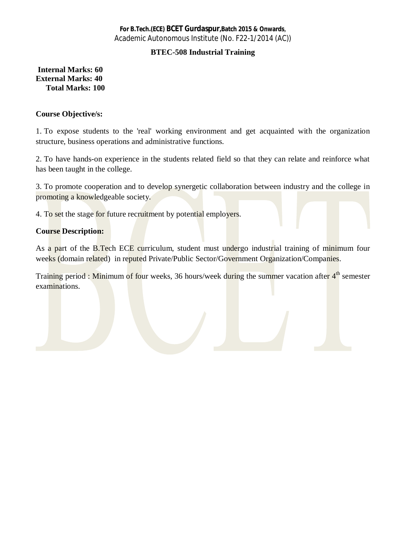# **BTEC-508 Industrial Training**

# **Internal Marks: 60 External Marks: 40 Total Marks: 100**

#### **Course Objective/s:**

1. To expose students to the 'real' working environment and get acquainted with the organization structure, business operations and administrative functions.

2. To have hands-on experience in the students related field so that they can relate and reinforce what has been taught in the college.

3. To promote cooperation and to develop synergetic collaboration between industry and the college in promoting a knowledgeable society.

4. To set the stage for future recruitment by potential employers.

#### **Course Description:**

As a part of the B.Tech ECE curriculum, student must undergo industrial training of minimum four weeks (domain related) in reputed Private/Public Sector/Government Organization/Companies.

Training period : Minimum of four weeks, 36 hours/week during the summer vacation after 4<sup>th</sup> semester examinations.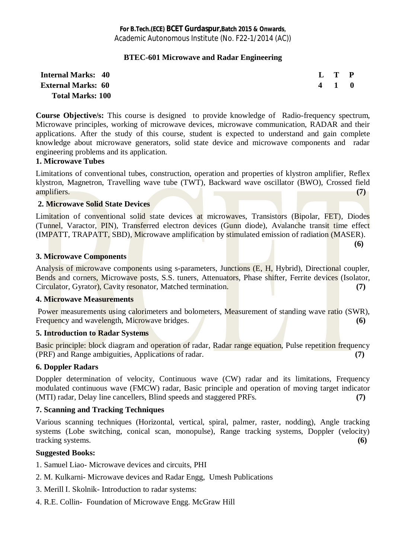#### **BTEC-601 Microwave and Radar Engineering**

| <b>Internal Marks: 40</b> | $L$ T P |  |
|---------------------------|---------|--|
| <b>External Marks: 60</b> | 4 1 0   |  |
| <b>Total Marks: 100</b>   |         |  |

**Course Objective/s:** This course is designed to provide knowledge of Radio-frequency spectrum, Microwave principles, working of microwave devices, microwave communication, RADAR and their applications. After the study of this course, student is expected to understand and gain complete knowledge about microwave generators, solid state device and microwave components and radar engineering problems and its application.

#### **1. Microwave Tubes**

Limitations of conventional tubes, construction, operation and properties of klystron amplifier, Reflex klystron, Magnetron, Travelling wave tube (TWT), Backward wave oscillator (BWO), Crossed field amplifiers. **(7)**

#### **2. Microwave Solid State Devices**

Limitation of conventional solid state devices at microwaves, Transistors (Bipolar, FET), Diodes (Tunnel, Varactor, PIN), Transferred electron devices (Gunn diode), Avalanche transit time effect (IMPATT, TRAPATT, SBD), Microwave amplification by stimulated emission of radiation (MASER).

**(6)** 

#### **3. Microwave Components**

Analysis of microwave components using s-parameters, Junctions (E, H, Hybrid), Directional coupler, Bends and corners, Microwave posts, S.S. tuners, Attenuators, Phase shifter, Ferrite devices (Isolator, Circulator, Gyrator), Cavity resonator, Matched termination. **(7)**

#### **4. Microwave Measurements**

Power measurements using calorimeters and bolometers, Measurement of standing wave ratio (SWR), Frequency and wavelength, Microwave bridges. (6)

# **5. Introduction to Radar Systems**

Basic principle: block diagram and operation of radar, Radar range equation, Pulse repetition frequency (PRF) and Range ambiguities, Applications of radar. **(7)**

# **6. Doppler Radars**

Doppler determination of velocity, Continuous wave (CW) radar and its limitations, Frequency modulated continuous wave (FMCW) radar, Basic principle and operation of moving target indicator (MTI) radar, Delay line cancellers, Blind speeds and staggered PRFs. **(7)**

# **7. Scanning and Tracking Techniques**

Various scanning techniques (Horizontal, vertical, spiral, palmer, raster, nodding), Angle tracking systems (Lobe switching, conical scan, monopulse), Range tracking systems, Doppler (velocity) tracking systems. **(6)**

#### **Suggested Books:**

1. Samuel Liao- Microwave devices and circuits, PHI

- 2. M. Kulkarni- Microwave devices and Radar Engg, Umesh Publications
- 3. Merill I. Skolnik- Introduction to radar systems:
- 4. R.E. Collin- Foundation of Microwave Engg. McGraw Hill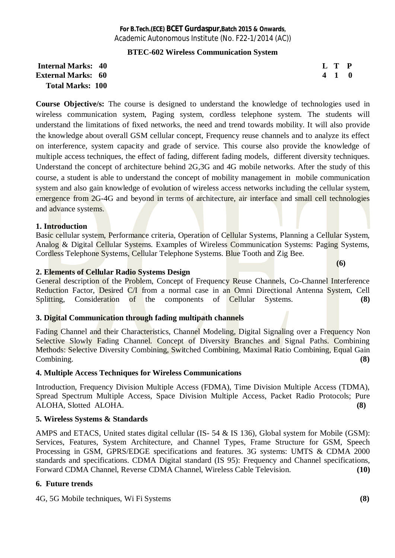#### **BTEC-602 Wireless Communication System**

# **Internal Marks: 40 L T P IL T P External Marks: 60 4 1 0 Total Marks: 100**

**(6)** 

**Course Objective/s:** The course is designed to understand the knowledge of technologies used in wireless communication system, Paging system, cordless telephone system. The students will understand the limitations of fixed networks, the need and trend towards mobility. It will also provide the knowledge about overall GSM cellular concept, Frequency reuse channels and to analyze its effect on interference, system capacity and grade of service. This course also provide the knowledge of multiple access techniques, the effect of fading, different fading models, different diversity techniques. Understand the concept of architecture behind 2G,3G and 4G mobile networks. After the study of this course, a student is able to understand the concept of mobility management in mobile communication system and also gain knowledge of evolution of wireless access networks including the cellular system, emergence from 2G-4G and beyond in terms of architecture, air interface and small cell technologies and advance systems.

#### **1. Introduction**

Basic cellular system, Performance criteria, Operation of Cellular Systems, Planning a Cellular System, Analog & Digital Cellular Systems. Examples of Wireless Communication Systems: Paging Systems, Cordless Telephone Systems, Cellular Telephone Systems. Blue Tooth and Zig Bee.

#### **2. Elements of Cellular Radio Systems Design**

General description of the Problem, Concept of Frequency Reuse Channels, Co-Channel Interference Reduction Factor, Desired C/I from a normal case in an Omni Directional Antenna System, Cell Splitting, Consideration of the components of Cellular Systems. **(8)** 

#### **3. Digital Communication through fading multipath channels**

Fading Channel and their Characteristics, Channel Modeling, Digital Signaling over a Frequency Non Selective Slowly Fading Channel. Concept of Diversity Branches and Signal Paths. Combining Methods: Selective Diversity Combining, Switched Combining, Maximal Ratio Combining, Equal Gain Combining. **(8) Combining. (8)** 

#### **4. Multiple Access Techniques for Wireless Communications**

Introduction, Frequency Division Multiple Access (FDMA), Time Division Multiple Access (TDMA), Spread Spectrum Multiple Access, Space Division Multiple Access, Packet Radio Protocols; Pure ALOHA, Slotted ALOHA. **(8)** 

#### **5. Wireless Systems & Standards**

AMPS and ETACS, United states digital cellular (IS- 54 & IS 136), Global system for Mobile (GSM): Services, Features, System Architecture, and Channel Types, Frame Structure for GSM, Speech Processing in GSM, GPRS/EDGE specifications and features. 3G systems: UMTS & CDMA 2000 standards and specifications. CDMA Digital standard (IS 95): Frequency and Channel specifications, Forward CDMA Channel, Reverse CDMA Channel, Wireless Cable Television. **(10)**

#### **6. Future trends**

4G, 5G Mobile techniques, Wi Fi Systems **(8)**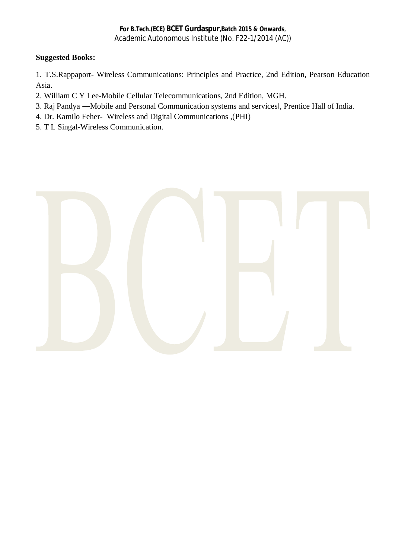# **Suggested Books:**

1. T.S.Rappaport- Wireless Communications: Principles and Practice, 2nd Edition, Pearson Education Asia.

2. William C Y Lee-Mobile Cellular Telecommunications, 2nd Edition, MGH.

- 3. Raj Pandya —Mobile and Personal Communication systems and services, Prentice Hall of India.
- 4. Dr. Kamilo Feher- Wireless and Digital Communications ,(PHI)
- 5. T L Singal-Wireless Communication.

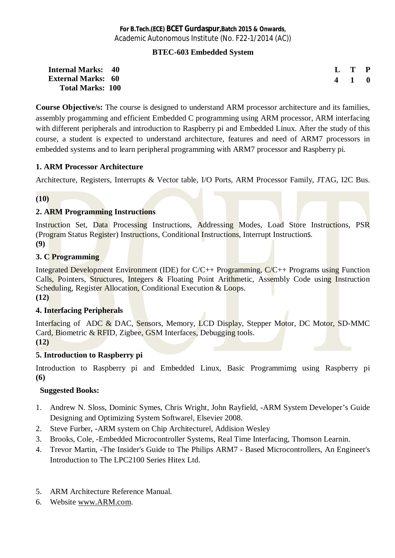#### **BTEC-603 Embedded System**

| <b>Internal Marks: 40</b> |  | L T P               |  |
|---------------------------|--|---------------------|--|
| <b>External Marks: 60</b> |  | $4 \quad 1 \quad 0$ |  |
| <b>Total Marks: 100</b>   |  |                     |  |

**Course Objective/s:** The course is designed to understand ARM processor architecture and its families, assembly progamming and efficient Embedded C programming using ARM processor, ARM interfacing with different peripherals and introduction to Raspberry pi and Embedded Linux. After the study of this course, a student is expected to understand architecture, features and need of ARM7 processors in embedded systems and to learn peripheral programming with ARM7 processor and Raspberry pi.

# **1. ARM Processor Architecture**

Architecture, Registers, Interrupts & Vector table, I/O Ports, ARM Processor Family, JTAG, I2C Bus.

**(10)**

# **2. ARM Programming Instructions**

Instruction Set, Data Processing Instructions, Addressing Modes, Load Store Instructions, PSR (Program Status Register) Instructions, Conditional Instructions, Interrupt Instructions. **(9)**

#### **3. C Programming**

Integrated Development Environment (IDE) for C/C++ Programming, C/C++ Programs using Function Calls, Pointers, Structures, Integers & Floating Point Arithmetic, Assembly Code using Instruction Scheduling, Register Allocation, Conditional Execution & Loops.

**(12)**

# **4. Interfacing Peripherals**

Interfacing of ADC & DAC, Sensors, Memory, LCD Display, Stepper Motor, DC Motor, SD-MMC Card, Biometric & RFID, Zigbee, GSM Interfaces, Debugging tools. **(12)**

# **5. Introduction to Raspberry pi**

Introduction to Raspberry pi and Embedded Linux, Basic Programmimg using Raspberry pi **(6)** 

- 1. Andrew N. Sloss, Dominic Symes, Chris Wright, John Rayfield, -ARM System Developer's Guide Designing and Optimizing System Softwarel, Elsevier 2008.
- 2. Steve Furber, -ARM system on Chip Architecturel, Addision Wesley
- 3. Brooks, Cole, -Embedded Microcontroller Systems, Real Time Interfacing, Thomson Learnin.
- 4. Trevor Martin, -The Insider's Guide to The Philips ARM7 Based Microcontrollers, An Engineer's Introduction to The LPC2100 Series Hitex Ltd.
- 5. ARM Architecture Reference Manual.
- 6. Website [www.ARM.com.](http://www.arm.com/)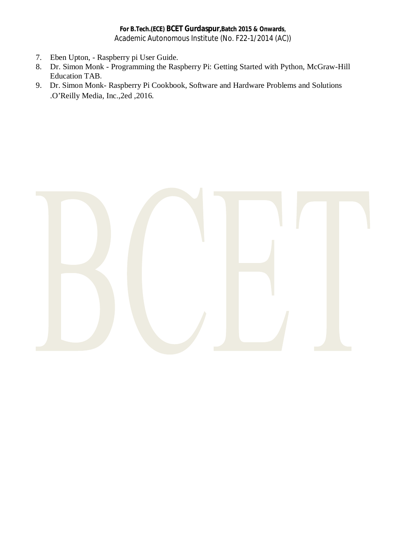- 7. Eben Upton, Raspberry pi User Guide.
- 8. Dr. Simon Monk Programming the Raspberry Pi: Getting Started with Python, McGraw-Hill Education TAB.
- 9. Dr. Simon Monk- Raspberry Pi Cookbook, Software and Hardware Problems and Solutions .O'Reilly Media, Inc.,2ed ,2016.

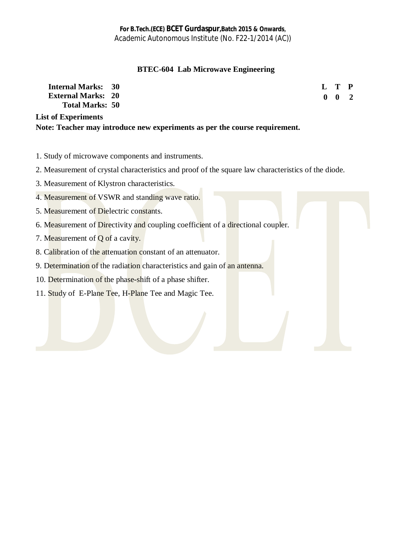#### **BTEC-604 Lab Microwave Engineering**

| <b>Internal Marks: 30</b>                           |  | L T P               |  |
|-----------------------------------------------------|--|---------------------|--|
| <b>External Marks: 20</b><br><b>Total Marks: 50</b> |  | $0 \quad 0 \quad 2$ |  |

**List of Experiments** 

**Note: Teacher may introduce new experiments as per the course requirement.** 

- 1. Study of microwave components and instruments.
- 2. Measurement of crystal characteristics and proof of the square law characteristics of the diode.
- 3. Measurement of Klystron characteristics.
- 4. Measurement of VSWR and standing wave ratio.
- 5. Measurement of Dielectric constants.
- 6. Measurement of Directivity and coupling coefficient of a directional coupler.
- 7. Measurement of  $Q$  of a cavity.
- 8. Calibration of the attenuation constant of an attenuator.
- 9. Determination of the radiation characteristics and gain of an antenna.
- 10. Determination of the phase-shift of a phase shifter.
- 11. Study of E-Plane Tee, H-Plane Tee and Magic Tee.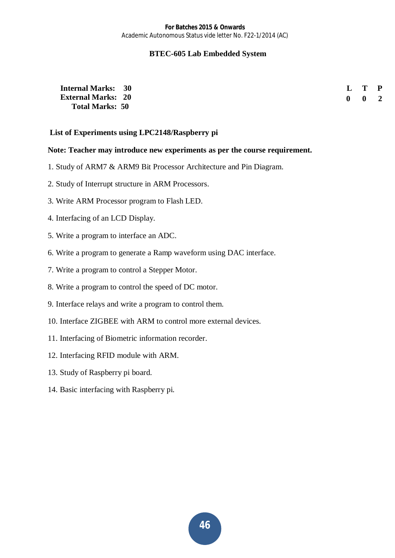#### **BTEC-605 Lab Embedded System**

| <b>Internal Marks: 30</b> | $L$ T P             |  |
|---------------------------|---------------------|--|
| <b>External Marks: 20</b> | $0 \quad 0 \quad 2$ |  |
| <b>Total Marks: 50</b>    |                     |  |

#### **List of Experiments using LPC2148/Raspberry pi**

#### **Note: Teacher may introduce new experiments as per the course requirement.**

- 1. Study of ARM7 & ARM9 Bit Processor Architecture and Pin Diagram.
- 2. Study of Interrupt structure in ARM Processors.
- 3. Write ARM Processor program to Flash LED.
- 4. Interfacing of an LCD Display.
- 5. Write a program to interface an ADC.
- 6. Write a program to generate a Ramp waveform using DAC interface.
- 7. Write a program to control a Stepper Motor.
- 8. Write a program to control the speed of DC motor.
- 9. Interface relays and write a program to control them.
- 10. Interface ZIGBEE with ARM to control more external devices.
- 11. Interfacing of Biometric information recorder.
- 12. Interfacing RFID module with ARM.
- 13. Study of Raspberry pi board.
- 14. Basic interfacing with Raspberry pi.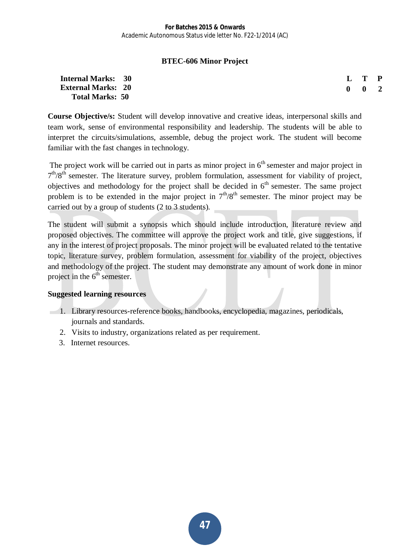#### **BTEC-606 Minor Project**

#### **Internal Marks: 30 External Marks: 20 Total Marks: 50**

**L T P 0 0 2**

**Course Objective/s:** Student will develop innovative and creative ideas, interpersonal skills and team work, sense of environmental responsibility and leadership. The students will be able to interpret the circuits/simulations, assemble, debug the project work. The student will become familiar with the fast changes in technology.

The project work will be carried out in parts as minor project in  $6<sup>th</sup>$  semester and major project in  $7<sup>th</sup>/8<sup>th</sup>$  semester. The literature survey, problem formulation, assessment for viability of project, objectives and methodology for the project shall be decided in  $6<sup>th</sup>$  semester. The same project problem is to be extended in the major project in  $7<sup>th</sup>/8<sup>th</sup>$  semester. The minor project may be carried out by a group of students (2 to 3 students).

The student will submit a synopsis which should include introduction, literature review and proposed objectives. The committee will approve the project work and title, give suggestions, if any in the interest of project proposals. The minor project will be evaluated related to the tentative topic, literature survey, problem formulation, assessment for viability of the project, objectives and methodology of the project. The student may demonstrate any amount of work done in minor project in the  $6<sup>th</sup>$  semester.

#### **Suggested learning resources**

- 1. Library resources-reference books, handbooks, encyclopedia, magazines, periodicals, journals and standards.
	- 2. Visits to industry, organizations related as per requirement.
	- 3. Internet resources.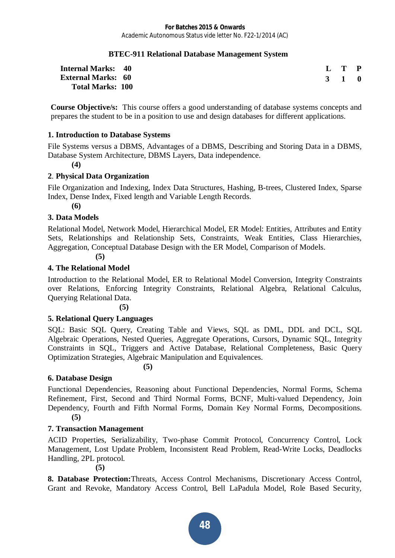# **BTEC-911 Relational Database Management System**

| <b>Internal Marks: 40</b> |  | $L$ T P |  |
|---------------------------|--|---------|--|
| <b>External Marks: 60</b> |  | 3 1 0   |  |
| <b>Total Marks: 100</b>   |  |         |  |

**Course Objective/s:** This course offers a good understanding of database systems concepts and prepares the student to be in a position to use and design databases for different applications.

# **1. Introduction to Database Systems**

File Systems versus a DBMS, Advantages of a DBMS, Describing and Storing Data in a DBMS, Database System Architecture, DBMS Layers, Data independence.

**(4)**

# **2**. **Physical Data Organization**

File Organization and Indexing, Index Data Structures, Hashing, B-trees, Clustered Index, Sparse Index, Dense Index, Fixed length and Variable Length Records.

**(6)**

# **3. Data Models**

Relational Model, Network Model, Hierarchical Model, ER Model: Entities, Attributes and Entity Sets, Relationships and Relationship Sets, Constraints, Weak Entities, Class Hierarchies, Aggregation, Conceptual Database Design with the ER Model, Comparison of Models.

**(5)**

# **4. The Relational Model**

Introduction to the Relational Model, ER to Relational Model Conversion, Integrity Constraints over Relations, Enforcing Integrity Constraints, Relational Algebra, Relational Calculus, Querying Relational Data.

**(5)**

# **5. Relational Query Languages**

SQL: Basic SQL Query, Creating Table and Views, SQL as DML, DDL and DCL, SQL Algebraic Operations, Nested Queries, Aggregate Operations, Cursors, Dynamic SQL, Integrity Constraints in SQL, Triggers and Active Database, Relational Completeness, Basic Query Optimization Strategies, Algebraic Manipulation and Equivalences.

**(5)**

# **6. Database Design**

Functional Dependencies, Reasoning about Functional Dependencies, Normal Forms, Schema Refinement, First, Second and Third Normal Forms, BCNF, Multi-valued Dependency, Join Dependency, Fourth and Fifth Normal Forms, Domain Key Normal Forms, Decompositions. **(5)**

# **7. Transaction Management**

ACID Properties, Serializability, Two-phase Commit Protocol, Concurrency Control, Lock Management, Lost Update Problem, Inconsistent Read Problem, Read-Write Locks, Deadlocks Handling, 2PL protocol.

**(5)**

**8. Database Protection:**Threats, Access Control Mechanisms, Discretionary Access Control, Grant and Revoke, Mandatory Access Control, Bell LaPadula Model, Role Based Security,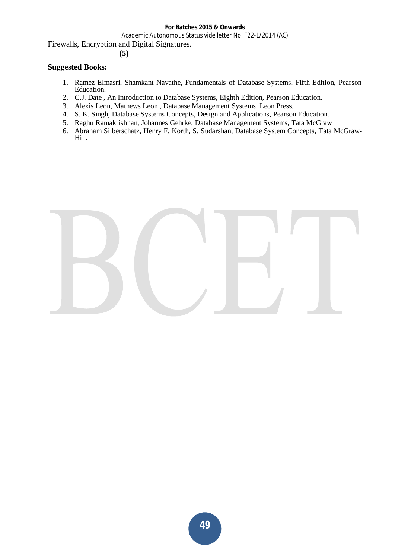#### **For Batches 2015 & Onwards**

Academic Autonomous Status vide letter No. F22-1/2014 (AC)

Firewalls, Encryption and Digital Signatures.

#### **(5)**

- 1. Ramez Elmasri, Shamkant Navathe, Fundamentals of Database Systems, Fifth Edition, Pearson Education.
- 2. C.J. Date , An Introduction to Database Systems, Eighth Edition, Pearson Education.
- 3. Alexis Leon, Mathews Leon , Database Management Systems, Leon Press.
- 4. S. K. Singh, Database Systems Concepts, Design and Applications, Pearson Education.
- 5. Raghu Ramakrishnan, Johannes Gehrke, Database Management Systems, Tata McGraw
- 6. Abraham Silberschatz, Henry F. Korth, S. Sudarshan, Database System Concepts, Tata McGraw-Hill.

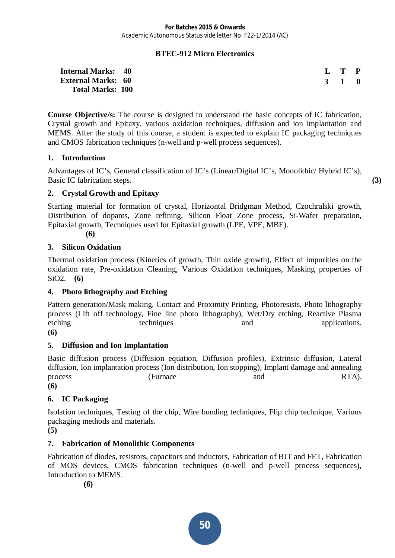# **BTEC-912 Micro Electronics**

| <b>Internal Marks: 40</b> |  |  | L T P |  |
|---------------------------|--|--|-------|--|
| <b>External Marks: 60</b> |  |  | 3 1 0 |  |
| <b>Total Marks: 100</b>   |  |  |       |  |

**Course Objective/s:** The course is designed to understand the basic concepts of IC fabrication, Crystal growth and Epitaxy, various oxidation techniques, diffusion and ion implantation and MEMS. After the study of this course, a student is expected to explain IC packaging techniques and CMOS fabrication techniques (n-well and p-well process sequences).

# **1. Introduction**

Advantages of IC's, General classification of IC's (Linear/Digital IC's, Monolithic/ Hybrid IC's), Basic IC fabrication steps. **(3)**

# **2. Crystal Growth and Epitaxy**

Starting material for formation of crystal, Horizontal Bridgman Method, Czochralski growth, Distribution of dopants, Zone refining, Silicon Float Zone process, Si-Wafer preparation, Epitaxial growth, Techniques used for Epitaxial growth (LPE, VPE, MBE).

**(6)**

# **3. Silicon Oxidation**

Thermal oxidation process (Kinetics of growth, Thin oxide growth), Effect of impurities on the oxidation rate, Pre-oxidation Cleaning, Various Oxidation techniques, Masking properties of SiO2. **(6)**

# **4. Photo lithography and Etching**

Pattern generation/Mask making, Contact and Proximity Printing, Photoresists, Photo lithography process (Lift off technology, Fine line photo lithography), Wet/Dry etching, Reactive Plasma etching techniques and applications.

**(6)**

# **5. Diffusion and Ion Implantation**

Basic diffusion process (Diffusion equation, Diffusion profiles), Extrinsic diffusion, Lateral diffusion, Ion implantation process (Ion distribution, Ion stopping), Implant damage and annealing process (Furnace and RTA).

**(6)**

# **6. IC Packaging**

Isolation techniques, Testing of the chip, Wire bonding techniques, Flip chip technique, Various packaging methods and materials.

**(5)**

# **7. Fabrication of Monolithic Components**

Fabrication of diodes, resistors, capacitors and inductors, Fabrication of BJT and FET, Fabrication of MOS devices, CMOS fabrication techniques (n-well and p-well process sequences), Introduction to MEMS.

**(6)**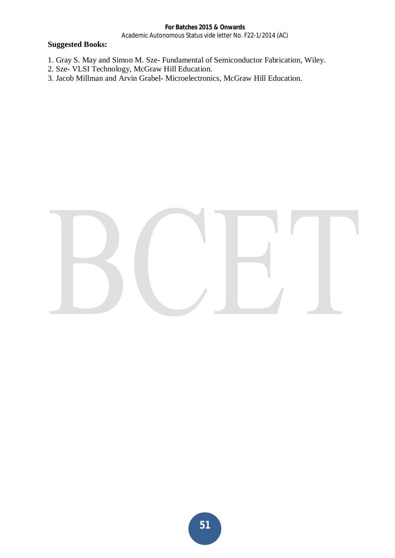#### **For Batches 2015 & Onwards**  Academic Autonomous Status vide letter No. F22-1/2014 (AC)

- 1. Gray S. May and Simon M. Sze- Fundamental of Semiconductor Fabrication, Wiley.
- 2. Sze- VLSI Technology, McGraw Hill Education.
- 3. Jacob Millman and Arvin Grabel- Microelectronics, McGraw Hill Education.

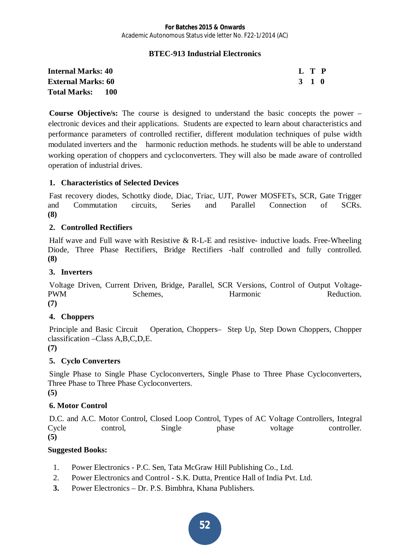# **BTEC-913 Industrial Electronics**

| <b>Internal Marks: 40</b> |       | L T P |  |
|---------------------------|-------|-------|--|
| <b>External Marks: 60</b> | 3 1 0 |       |  |
| <b>Total Marks: 100</b>   |       |       |  |

**Course Objective/s:** The course is designed to understand the basic concepts the power – electronic devices and their applications. Students are expected to learn about characteristics and performance parameters of controlled rectifier, different modulation techniques of pulse width modulated inverters and the harmonic reduction methods. he students will be able to understand working operation of choppers and cycloconverters. They will also be made aware of controlled operation of industrial drives.

# **1. Characteristics of Selected Devices**

Fast recovery diodes, Schottky diode, Diac, Triac, UJT, Power MOSFETs, SCR, Gate Trigger and Commutation circuits, Series and Parallel Connection of SCRs. **(8)** 

# **2. Controlled Rectifiers**

Half wave and Full wave with Resistive  $\&$  R-L-E and resistive- inductive loads. Free-Wheeling Diode, Three Phase Rectifiers, Bridge Rectifiers -half controlled and fully controlled. **(8)** 

# **3. Inverters**

Voltage Driven, Current Driven, Bridge, Parallel, SCR Versions, Control of Output Voltage-PWM Schemes, Harmonic Reduction. **(7)**

# **4. Choppers**

Principle and Basic Circuit Operation, Choppers– Step Up, Step Down Choppers, Chopper classification –Class A,B,C,D,E.

**(7)** 

# **5. Cyclo Converters**

Single Phase to Single Phase Cycloconverters, Single Phase to Three Phase Cycloconverters, Three Phase to Three Phase Cycloconverters.

**(5)** 

# **6. Motor Control**

D.C. and A.C. Motor Control, Closed Loop Control, Types of AC Voltage Controllers, Integral Cycle control, Single phase voltage controller. **(5)** 

- 1. Power Electronics P.C. Sen, Tata McGraw Hill Publishing Co., Ltd.
- 2. Power Electronics and Control S.K. Dutta, Prentice Hall of India Pvt. Ltd.
- **3.** Power Electronics Dr. P.S. Bimbhra, Khana Publishers.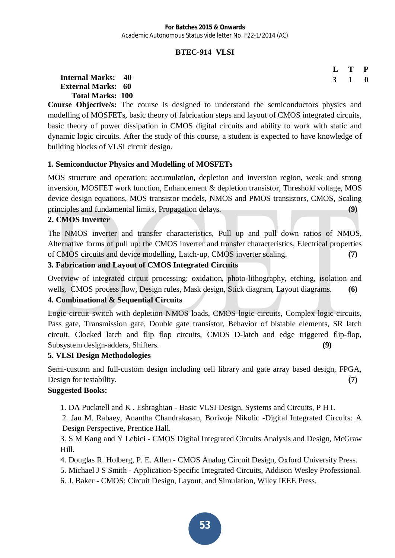# **BTEC-914 VLSI**

| $L$ T P             |  |
|---------------------|--|
| $3 \quad 1 \quad 0$ |  |

#### **Internal Marks: 40 External Marks: 60 Total Marks: 100**

**Course Objective/s:** The course is designed to understand the semiconductors physics and modelling of MOSFETs, basic theory of fabrication steps and layout of CMOS integrated circuits, basic theory of power dissipation in CMOS digital circuits and ability to work with static and dynamic logic circuits. After the study of this course, a student is expected to have knowledge of building blocks of VLSI circuit design.

# **1. Semiconductor Physics and Modelling of MOSFETs**

MOS structure and operation: accumulation, depletion and inversion region, weak and strong inversion, MOSFET work function, Enhancement & depletion transistor, Threshold voltage, MOS device design equations, MOS transistor models, NMOS and PMOS transistors, CMOS, Scaling principles and fundamental limits, Propagation delays. **(9)** 

# **2. CMOS Inverter**

The NMOS inverter and transfer characteristics, Pull up and pull down ratios of NMOS, Alternative forms of pull up: the CMOS inverter and transfer characteristics, Electrical properties of CMOS circuits and device modelling, Latch-up, CMOS inverter scaling. **(7)** 

# **3. Fabrication and Layout of CMOS Integrated Circuits**

Overview of integrated circuit processing: oxidation, photo-lithography, etching, isolation and wells, CMOS process flow, Design rules, Mask design, Stick diagram, Layout diagrams. **(6)** 

# **4. Combinational & Sequential Circuits**

Logic circuit switch with depletion NMOS loads, CMOS logic circuits, Complex logic circuits, Pass gate, Transmission gate, Double gate transistor, Behavior of bistable elements, SR latch circuit, Clocked latch and flip flop circuits, CMOS D-latch and edge triggered flip-flop, Subsystem design-adders, Shifters. **(9)** 

# **5. VLSI Design Methodologies**

Semi-custom and full-custom design including cell library and gate array based design, FPGA, Design for testability. **(7) (7)** 

# **Suggested Books:**

1. DA Pucknell and K . Eshraghian - Basic VLSI Design, Systems and Circuits, P H I.

2. Jan M. Rabaey, Anantha Chandrakasan, Borivoje Nikolic -Digital Integrated Circuits: A Design Perspective, Prentice Hall.

3. S M Kang and Y Lebici - CMOS Digital Integrated Circuits Analysis and Design, McGraw Hill.

4. Douglas R. Holberg, P. E. Allen - CMOS Analog Circuit Design, Oxford University Press.

5. Michael J S Smith - Application-Specific Integrated Circuits, Addison Wesley Professional.

6. J. Baker - CMOS: Circuit Design, Layout, and Simulation, Wiley IEEE Press.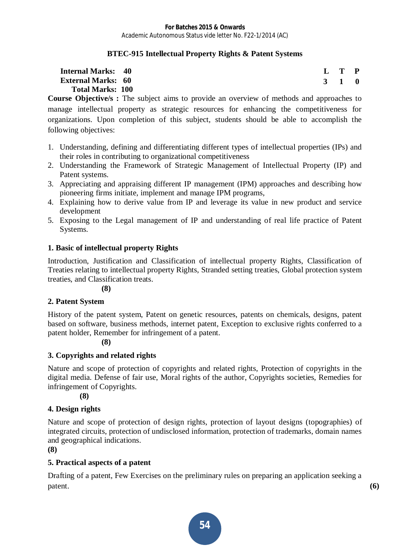# **BTEC-915 Intellectual Property Rights & Patent Systems**

**Internal Marks: 40 External Marks: 60 Total Marks: 100** 

**L T P 3 1 0**

**Course Objective/s :** The subject aims to provide an overview of methods and approaches to manage intellectual property as strategic resources for enhancing the competitiveness for organizations. Upon completion of this subject, students should be able to accomplish the following objectives:

- 1. Understanding, defining and differentiating different types of intellectual properties (IPs) and their roles in contributing to organizational competitiveness
- 2. Understanding the Framework of Strategic Management of Intellectual Property (IP) and Patent systems.
- 3. Appreciating and appraising different IP management (IPM) approaches and describing how pioneering firms initiate, implement and manage IPM programs,
- 4. Explaining how to derive value from IP and leverage its value in new product and service development
- 5. Exposing to the Legal management of IP and understanding of real life practice of Patent Systems.

# **1. Basic of intellectual property Rights**

Introduction, Justification and Classification of intellectual property Rights, Classification of Treaties relating to intellectual property Rights, Stranded setting treaties, Global protection system treaties, and Classification treats.

**(8)**

# **2. Patent System**

History of the patent system, Patent on genetic resources, patents on chemicals, designs, patent based on software, business methods, internet patent, Exception to exclusive rights conferred to a patent holder, Remember for infringement of a patent.

**(8)**

# **3. Copyrights and related rights**

Nature and scope of protection of copyrights and related rights, Protection of copyrights in the digital media. Defense of fair use, Moral rights of the author, Copyrights societies, Remedies for infringement of Copyrights.

**(8)**

# **4. Design rights**

Nature and scope of protection of design rights, protection of layout designs (topographies) of integrated circuits, protection of undisclosed information, protection of trademarks, domain names and geographical indications.

**(8)**

# **5. Practical aspects of a patent**

Drafting of a patent, Few Exercises on the preliminary rules on preparing an application seeking a patent. **(6)**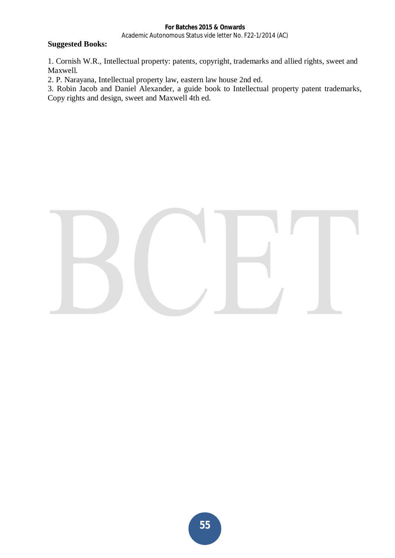#### **For Batches 2015 & Onwards**  Academic Autonomous Status vide letter No. F22-1/2014 (AC)

#### **Suggested Books:**

1. Cornish W.R., Intellectual property: patents, copyright, trademarks and allied rights, sweet and Maxwell.

2. P. Narayana, Intellectual property law, eastern law house 2nd ed.

3. Robin Jacob and Daniel Alexander, a guide book to Intellectual property patent trademarks, Copy rights and design, sweet and Maxwell 4th ed.

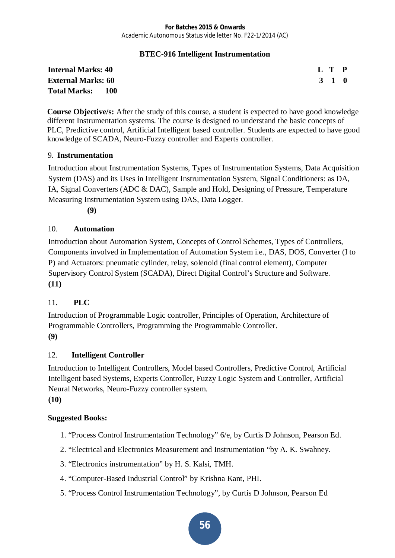# **BTEC-916 Intelligent Instrumentation**

| <b>Internal Marks: 40</b> | L T P |       |  |
|---------------------------|-------|-------|--|
| <b>External Marks: 60</b> |       | 3 1 0 |  |
| <b>Total Marks: 100</b>   |       |       |  |

**Course Objective/s:** After the study of this course, a student is expected to have good knowledge different Instrumentation systems. The course is designed to understand the basic concepts of PLC, Predictive control, Artificial Intelligent based controller. Students are expected to have good knowledge of SCADA, Neuro-Fuzzy controller and Experts controller.

# 9. **Instrumentation**

Introduction about Instrumentation Systems, Types of Instrumentation Systems, Data Acquisition System (DAS) and its Uses in Intelligent Instrumentation System, Signal Conditioners: as DA, IA, Signal Converters (ADC & DAC), Sample and Hold, Designing of Pressure, Temperature Measuring Instrumentation System using DAS, Data Logger.

**(9)** 

# 10. **Automation**

Introduction about Automation System, Concepts of Control Schemes, Types of Controllers, Components involved in Implementation of Automation System i.e., DAS, DOS, Converter (I to P) and Actuators: pneumatic cylinder, relay, solenoid (final control element), Computer Supervisory Control System (SCADA), Direct Digital Control's Structure and Software. **(11)** 

# 11. **PLC**

Introduction of Programmable Logic controller, Principles of Operation, Architecture of Programmable Controllers, Programming the Programmable Controller. **(9)** 

# 12. **Intelligent Controller**

Introduction to Intelligent Controllers, Model based Controllers, Predictive Control, Artificial Intelligent based Systems, Experts Controller, Fuzzy Logic System and Controller, Artificial Neural Networks, Neuro-Fuzzy controller system.

# **(10)**

- 1. "Process Control Instrumentation Technology" 6/e, by Curtis D Johnson, Pearson Ed.
- 2. "Electrical and Electronics Measurement and Instrumentation "by A. K. Swahney.
- 3. "Electronics instrumentation" by H. S. Kalsi, TMH.
- 4. "Computer-Based Industrial Control" by Krishna Kant, PHI.
- 5. "Process Control Instrumentation Technology", by Curtis D Johnson, Pearson Ed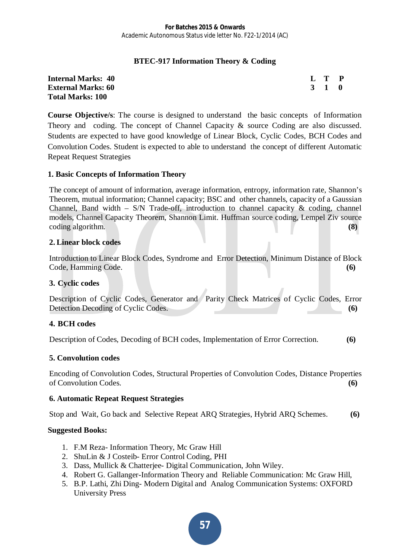# **BTEC-917 Information Theory & Coding**

#### **Internal Marks: 40 External Marks: 60 Total Marks: 100**

| $\bf{L}$ | T  | P |
|----------|----|---|
| 3        | -1 | 0 |

**Course Objective/s**: The course is designed to understand the basic concepts of Information Theory and coding. The concept of Channel Capacity & source Coding are also discussed. Students are expected to have good knowledge of Linear Block, Cyclic Codes, BCH Codes and Convolution Codes. Student is expected to able to understand the concept of different Automatic Repeat Request Strategies

# **1. Basic Concepts of Information Theory**

The concept of amount of information, average information, entropy, information rate, Shannon's Theorem, mutual information; Channel capacity; BSC and other channels, capacity of a Gaussian Channel, Band width – S/N Trade-off, introduction to channel capacity  $\&$  coding, channel models, Channel Capacity Theorem, Shannon Limit. Huffman source coding, Lempel Ziv source coding algorithm. **(8) (8)** 

#### **2. Linear block codes**

Introduction to Linear Block Codes, Syndrome and Error Detection, Minimum Distance of Block Code, Hamming Code. **(6) (6)** 

# **3. Cyclic codes**

Description of Cyclic Codes, Generator and Parity Check Matrices of Cyclic Codes, Error Detection Decoding of Cyclic Codes. **(6) (6)** 

# **4. BCH codes**

Description of Codes, Decoding of BCH codes, Implementation of Error Correction. **(6)**

# **5. Convolution codes**

Encoding of Convolution Codes, Structural Properties of Convolution Codes, Distance Properties of Convolution Codes. **(6)** 

# **6. Automatic Repeat Request Strategies**

Stop and Wait, Go back and Selective Repeat ARQ Strategies, Hybrid ARQ Schemes. **(6)** 

# **Suggested Books:**

- 1. F.M Reza- Information Theory, Mc Graw Hill
- 2. ShuLin & J Costeib- Error Control Coding, PHI
- 3. Dass, Mullick & Chatterjee- Digital Communication, John Wiley.
- 4. Robert G. Gallanger-Information Theory and Reliable Communication: Mc Graw Hill,
- 5. B.P. Lathi, Zhi Ding- Modern Digital and Analog Communication Systems: OXFORD University Press

**57**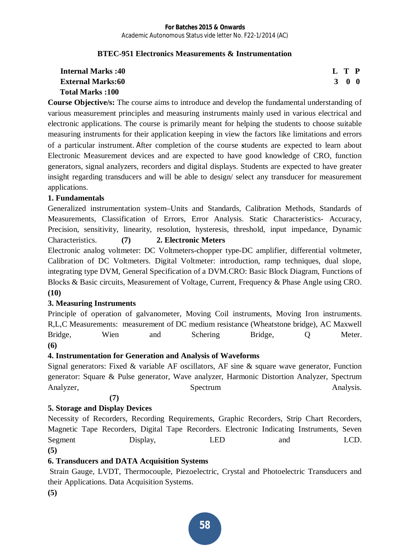# **BTEC-951 Electronics Measurements & Instrumentation**

# **Internal Marks :40 L T P L T P External Marks:60 3 0 0 Total Marks :100**

**Course Objective/s:** The course aims to introduce and develop the fundamental understanding of various measurement principles and measuring instruments mainly used in various electrical and electronic applications. The course is primarily meant for helping the students to choose suitable measuring instruments for their application keeping in view the factors like limitations and errors of a particular instrument. After completion of the course **s**tudents are expected to learn about Electronic Measurement devices and are expected to have good knowledge of CRO, function generators, signal analyzers, recorders and digital displays. Students are expected to have greater insight regarding transducers and will be able to design/ select any transducer for measurement applications.

# **1. Fundamentals**

Generalized instrumentation system–Units and Standards, Calibration Methods, Standards of Measurements, Classification of Errors, Error Analysis. Static Characteristics- Accuracy, Precision, sensitivity, linearity, resolution, hysteresis, threshold, input impedance, Dynamic Characteristics. **(7) 2. Electronic Meters**

Electronic analog voltmeter: DC Voltmeters-chopper type-DC amplifier, differential voltmeter, Calibration of DC Voltmeters. Digital Voltmeter: introduction, ramp techniques, dual slope, integrating type DVM, General Specification of a DVM.CRO: Basic Block Diagram, Functions of Blocks & Basic circuits, Measurement of Voltage, Current, Frequency & Phase Angle using CRO. **(10)** 

# **3. Measuring Instruments**

Principle of operation of galvanometer, Moving Coil instruments, Moving Iron instruments. R,L,C Measurements: measurement of DC medium resistance (Wheatstone bridge), AC Maxwell Bridge, Wien and Schering Bridge, Q Meter. **(6)** 

# **4. Instrumentation for Generation and Analysis of Waveforms**

Signal generators: Fixed & variable AF oscillators, AF sine & square wave generator, Function generator: Square & Pulse generator, Wave analyzer, Harmonic Distortion Analyzer, Spectrum Analyzer, Spectrum Spectrum Analysis.

# **(7)**

# **5. Storage and Display Devices**

Necessity of Recorders, Recording Requirements, Graphic Recorders, Strip Chart Recorders, Magnetic Tape Recorders, Digital Tape Recorders. Electronic Indicating Instruments, Seven Segment Display, LED and LCD. **(5)**

# **6. Transducers and DATA Acquisition Systems**

 Strain Gauge, LVDT, Thermocouple, Piezoelectric, Crystal and Photoelectric Transducers and their Applications. Data Acquisition Systems.

**(5)**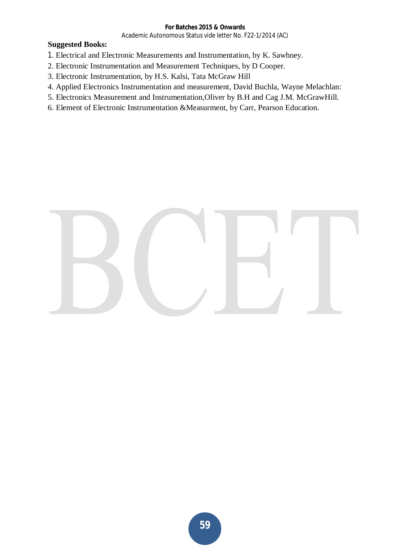#### **For Batches 2015 & Onwards**  Academic Autonomous Status vide letter No. F22-1/2014 (AC)

- 1. Electrical and Electronic Measurements and Instrumentation, by K. Sawhney.
- 2. Electronic Instrumentation and Measurement Techniques, by D Cooper.
- 3. Electronic Instrumentation, by H.S. Kalsi, Tata McGraw Hill
- 4. Applied Electronics Instrumentation and measurement, David Buchla, Wayne Melachlan:
- 5. Electronics Measurement and Instrumentation,Oliver by B.H and Cag J.M. McGrawHill.
- 6. Element of Electronic Instrumentation &Measurment, by Carr, Pearson Education.

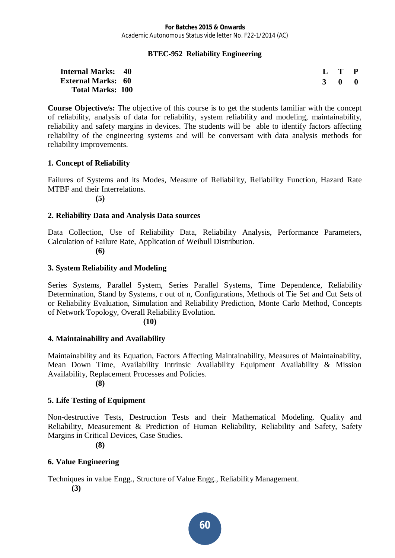#### **BTEC-952 Reliability Engineering**

| <b>Internal Marks: 40</b> |  |  |  | $L$ T P             |  |
|---------------------------|--|--|--|---------------------|--|
| <b>External Marks: 60</b> |  |  |  | $3 \quad 0 \quad 0$ |  |
| <b>Total Marks: 100</b>   |  |  |  |                     |  |

**Course Objective/s:** The objective of this course is to get the students familiar with the concept of reliability, analysis of data for reliability, system reliability and modeling, maintainability, reliability and safety margins in devices. The students will be able to identify factors affecting reliability of the engineering systems and will be conversant with data analysis methods for reliability improvements.

# **1. Concept of Reliability**

Failures of Systems and its Modes, Measure of Reliability, Reliability Function, Hazard Rate MTBF and their Interrelations.

**(5)**

#### **2. Reliability Data and Analysis Data sources**

Data Collection, Use of Reliability Data, Reliability Analysis, Performance Parameters, Calculation of Failure Rate, Application of Weibull Distribution. **(6)**

# **3. System Reliability and Modeling**

Series Systems, Parallel System, Series Parallel Systems, Time Dependence, Reliability Determination, Stand by Systems, r out of n, Configurations, Methods of Tie Set and Cut Sets of or Reliability Evaluation, Simulation and Reliability Prediction, Monte Carlo Method, Concepts of Network Topology, Overall Reliability Evolution.

**(10)**

# **4. Maintainability and Availability**

Maintainability and its Equation, Factors Affecting Maintainability, Measures of Maintainability, Mean Down Time, Availability Intrinsic Availability Equipment Availability & Mission Availability, Replacement Processes and Policies.

**(8)**

# **5. Life Testing of Equipment**

Non-destructive Tests, Destruction Tests and their Mathematical Modeling. Quality and Reliability, Measurement & Prediction of Human Reliability, Reliability and Safety, Safety Margins in Critical Devices, Case Studies.

**(8)**

# **6. Value Engineering**

Techniques in value Engg., Structure of Value Engg., Reliability Management.

**(3)**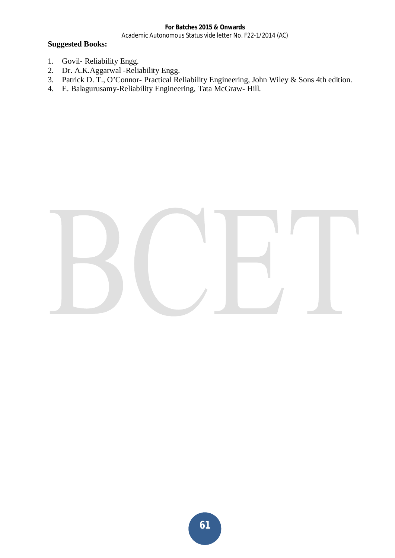**For Batches 2015 & Onwards**  Academic Autonomous Status vide letter No. F22-1/2014 (AC)

- 1. Govil- Reliability Engg.
- 2. Dr. A.K.Aggarwal -Reliability Engg.
- 3. Patrick D. T., O'Connor- Practical Reliability Engineering, John Wiley & Sons 4th edition.
- 4. E. Balagurusamy-Reliability Engineering, Tata McGraw- Hill.

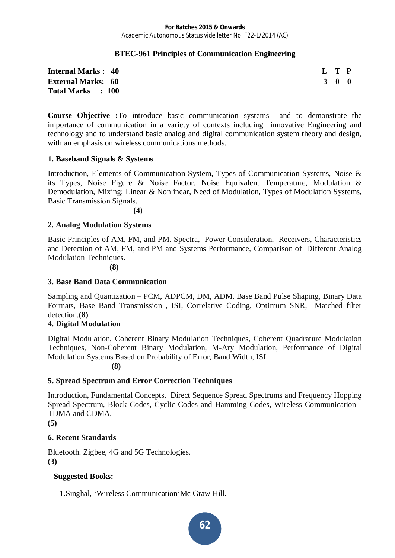#### **For Batches 2015 & Onwards**  Academic Autonomous Status vide letter No. F22-1/2014 (AC)

# **BTEC-961 Principles of Communication Engineering**

| <b>Internal Marks: 40</b> | L T P |       |  |
|---------------------------|-------|-------|--|
| <b>External Marks: 60</b> |       | 3 0 0 |  |
| Total Marks : 100         |       |       |  |

**Course Objective :**To introduce basic communication systems and to demonstrate the importance of communication in a variety of contexts including innovative Engineering and technology and to understand basic analog and digital communication system theory and design, with an emphasis on wireless communications methods.

#### **1. Baseband Signals & Systems**

Introduction, Elements of Communication System, Types of Communication Systems, Noise & its Types, Noise Figure & Noise Factor, Noise Equivalent Temperature, Modulation & Demodulation, Mixing; Linear & Nonlinear, Need of Modulation, Types of Modulation Systems, Basic Transmission Signals.

**(4)** 

#### **2. Analog Modulation Systems**

Basic Principles of AM, FM, and PM. Spectra, Power Consideration, Receivers, Characteristics and Detection of AM, FM, and PM and Systems Performance, Comparison of Different Analog Modulation Techniques.

**(8)** 

#### **3. Base Band Data Communication**

Sampling and Quantization – PCM, ADPCM, DM, ADM, Base Band Pulse Shaping, Binary Data Formats, Base Band Transmission , ISI, Correlative Coding, Optimum SNR, Matched filter detection.**(8)** 

#### **4. Digital Modulation**

Digital Modulation, Coherent Binary Modulation Techniques, Coherent Quadrature Modulation Techniques, Non-Coherent Binary Modulation, M-Ary Modulation, Performance of Digital Modulation Systems Based on Probability of Error, Band Width, ISI.

**(8)** 

#### **5. Spread Spectrum and Error Correction Techniques**

Introduction**,** Fundamental Concepts, Direct Sequence Spread Spectrums and Frequency Hopping Spread Spectrum, Block Codes, Cyclic Codes and Hamming Codes, Wireless Communication - TDMA and CDMA,

**(5)** 

#### **6. Recent Standards**

Bluetooth. Zigbee, 4G and 5G Technologies. **(3)**

#### **Suggested Books:**

1.Singhal, 'Wireless Communication'Mc Graw Hill.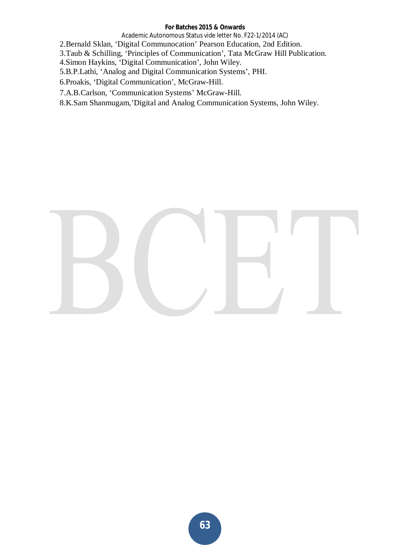#### **For Batches 2015 & Onwards**

Academic Autonomous Status vide letter No. F22-1/2014 (AC)

- 2.Bernald Sklan, 'Digital Communocation' Pearson Education, 2nd Edition.
- 3.Taub & Schilling, 'Principles of Communication', Tata McGraw Hill Publication.
- 4.Simon Haykins, 'Digital Communication', John Wiley.
- 5.B.P.Lathi, 'Analog and Digital Communication Systems', PHI.
- 6.Proakis, 'Digital Communication', McGraw-Hill.
- 7.A.B.Carlson, 'Communication Systems' McGraw-Hill.
- 8.K.Sam Shanmugam,'Digital and Analog Communication Systems, John Wiley.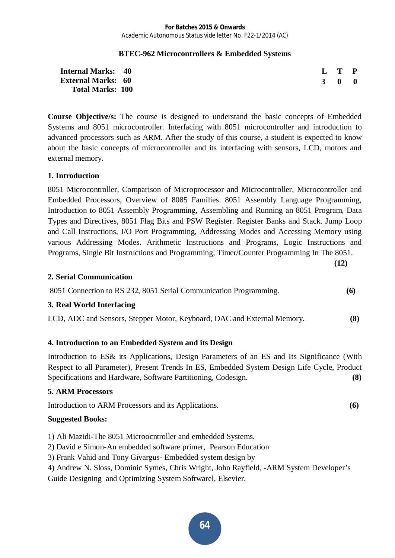#### **For Batches 2015 & Onwards**  Academic Autonomous Status vide letter No. F22-1/2014 (AC)

#### **BTEC-962 Microcontrollers & Embedded Systems**

| <b>Internal Marks: 40</b> |  | L T P               |  |
|---------------------------|--|---------------------|--|
| <b>External Marks: 60</b> |  | $3 \quad 0 \quad 0$ |  |
| <b>Total Marks: 100</b>   |  |                     |  |

**Course Objective/s:** The course is designed to understand the basic concepts of Embedded Systems and 8051 microcontroller. Interfacing with 8051 microcontroller and introduction to advanced processors such as ARM. After the study of this course, a student is expected to know about the basic concepts of microcontroller and its interfacing with sensors, LCD, motors and external memory.

# **1. Introduction**

8051 Microcontroller, Comparison of Microprocessor and Microcontroller, Microcontroller and Embedded Processors, Overview of 8085 Families. 8051 Assembly Language Programming, Introduction to 8051 Assembly Programming, Assembling and Running an 8051 Program, Data Types and Directives, 8051 Flag Bits and PSW Register. Register Banks and Stack. Jump Loop and Call Instructions, I/O Port Programming, Addressing Modes and Accessing Memory using various Addressing Modes. Arithmetic Instructions and Programs, Logic Instructions and Programs, Single Bit Instructions and Programming, Timer/Counter Programming In The 8051.

**(12)**

#### **2. Serial Communication**

8051 Connection to RS 232, 8051 Serial Communication Programming. **(6)** 

#### **3. Real World Interfacing**

LCD, ADC and Sensors, Stepper Motor, Keyboard, DAC and External Memory. **(8)**

#### **4. Introduction to an Embedded System and its Design**

Introduction to ES& its Applications, Design Parameters of an ES and Its Significance (With Respect to all Parameter), Present Trends In ES, Embedded System Design Life Cycle, Product Specifications and Hardware, Software Partitioning, Codesign. **(8)**

#### **5. ARM Processors**

Introduction to ARM Processors and its Applications*.* **(6)**

#### **Suggested Books:**

1) Ali Mazidi-The 8051 Microocntroller and embedded Systems.

2) David e Simon-An embedded software primer, Pearson Education

3) Frank Vahid and Tony Givargus- Embedded system design by

4) Andrew N. Sloss, Dominic Symes, Chris Wright, John Rayfield, -ARM System Developer's

Guide Designing and Optimizing System Softwarel, Elsevier.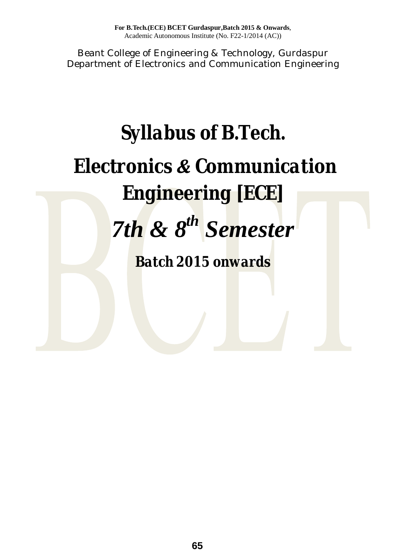Beant College of Engineering & Technology, Gurdaspur Department of Electronics and Communication Engineering

# *Syllabus of B.Tech. ElectronicsƬCommunication Engineering [ECE] 7th & 8th Semester*

*Batch 2015 onwards*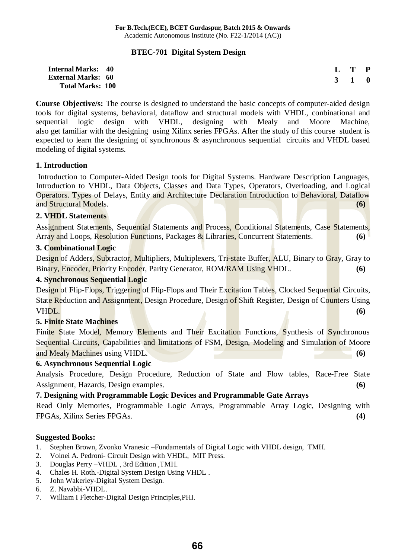#### **BTEC-701 Digital System Design**

| <b>Internal Marks: 40</b> |  | L T P               |  |
|---------------------------|--|---------------------|--|
| <b>External Marks: 60</b> |  | $3 \quad 1 \quad 0$ |  |
| <b>Total Marks: 100</b>   |  |                     |  |

**Course Objective/s:** The course is designed to understand the basic concepts of computer-aided design tools for digital systems, behavioral, dataflow and structural models with VHDL, conbinational and sequential logic design with VHDL, designing with Mealy and Moore Machine, also get familiar with the designing using Xilinx series FPGAs. After the study of this course student is expected to learn the designing of synchronous & asynchronous sequential circuits and VHDL based modeling of digital systems.

#### **1. Introduction**

Introduction to Computer-Aided Design tools for Digital Systems. Hardware Description Languages, Introduction to VHDL, Data Objects, Classes and Data Types, Operators, Overloading, and Logical Operators. Types of Delays, Entity and Architecture Declaration Introduction to Behavioral, Dataflow and Structural Models. **(6)**

#### **2. VHDL Statements**

Assignment Statements, Sequential Statements and Process, Conditional Statements, Case Statements, Array and Loops, Resolution Functions, Packages & Libraries, Concurrent Statements. **(6)**

#### **3. Combinational Logic**

Design of Adders, Subtractor, Multipliers, Multiplexers, Tri-state Buffer, ALU, Binary to Gray, Gray to Binary, Encoder, Priority Encoder, Parity Generator, ROM/RAM Using VHDL. **(6)**

#### **4. Synchronous Sequential Logic**

Design of Flip-Flops, Triggering of Flip-Flops and Their Excitation Tables, Clocked Sequential Circuits, State Reduction and Assignment, Design Procedure, Design of Shift Register, Design of Counters Using VHDL. **(6)**

# **5. Finite State Machines**

Finite State Model, Memory Elements and Their Excitation Functions, Synthesis of Synchronous Sequential Circuits, Capabilities and limitations of FSM, Design, Modeling and Simulation of Moore and Mealy Machines using VHDL. **(6)**

# **6. Asynchronous Sequential Logic**

Analysis Procedure, Design Procedure, Reduction of State and Flow tables, Race-Free State Assignment, Hazards, Design examples. **(6)**

# **7. Designing with Programmable Logic Devices and Programmable Gate Arrays**

Read Only Memories, Programmable Logic Arrays, Programmable Array Logic, Designing with FPGAs, Xilinx Series FPGAs. **(4)**

- 1. Stephen Brown, Zvonko Vranesic –Fundamentals of Digital Logic with VHDL design, TMH.
- 2. Volnei A. Pedroni- Circuit Design with VHDL, MIT Press.
- 3. Douglas Perry –VHDL , 3rd Edition ,TMH.
- 4. Chales H. Roth.-Digital System Design Using VHDL .
- 5. John Wakerley-Digital System Design.
- 6. Z. Navabbi-VHDL.
- 7. William I Fletcher-Digital Design Principles,PHI.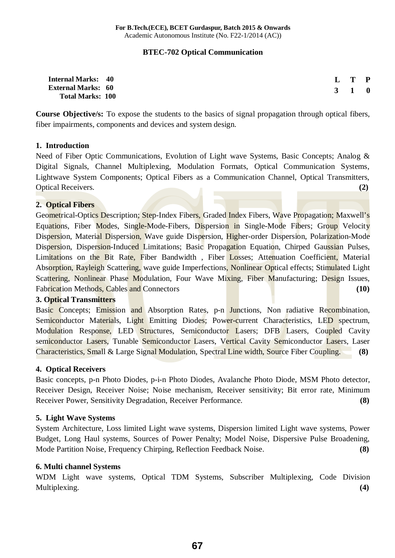#### **BTEC-702 Optical Communication**

| <b>Internal Marks: 40</b> | L T P               |  |
|---------------------------|---------------------|--|
| <b>External Marks: 60</b> | $3 \quad 1 \quad 0$ |  |
| <b>Total Marks: 100</b>   |                     |  |

**Course Objective/s:** To expose the students to the basics of signal propagation through optical fibers, fiber impairments, components and devices and system design.

#### **1. Introduction**

Need of Fiber Optic Communications, Evolution of Light wave Systems, Basic Concepts; Analog & Digital Signals, Channel Multiplexing, Modulation Formats, Optical Communication Systems, Lightwave System Components; Optical Fibers as a Communication Channel, Optical Transmitters, Optical Receivers. **(2)**

#### **2. Optical Fibers**

Geometrical-Optics Description; Step-Index Fibers, Graded Index Fibers, Wave Propagation; Maxwell's Equations, Fiber Modes, Single-Mode-Fibers, Dispersion in Single-Mode Fibers; Group Velocity Dispersion, Material Dispersion, Wave guide Dispersion, Higher-order Dispersion, Polarization-Mode Dispersion, Dispersion-Induced Limitations; Basic Propagation Equation, Chirped Gaussian Pulses, Limitations on the Bit Rate, Fiber Bandwidth, Fiber Losses; Attenuation Coefficient, Material Absorption, Rayleigh Scattering, wave guide Imperfections, Nonlinear Optical effects; Stimulated Light Scattering, Nonlinear Phase Modulation, Four Wave Mixing, Fiber Manufacturing; Design Issues, Fabrication Methods, Cables and Connectors **(10)**

#### **3. Optical Transmitters**

Basic Concepts; Emission and Absorption Rates, p-n Junctions, Non radiative Recombination, Semiconductor Materials, Light Emitting Diodes; Power-current Characteristics, LED spectrum, Modulation Response, LED Structures, Semiconductor Lasers; DFB Lasers, Coupled Cavity semiconductor Lasers, Tunable Semiconductor Lasers, Vertical Cavity Semiconductor Lasers, Laser Characteristics, Small & Large Signal Modulation, Spectral Line width, Source Fiber Coupling. **(8)**

#### **4. Optical Receivers**

Basic concepts, p-n Photo Diodes, p-i-n Photo Diodes, Avalanche Photo Diode, MSM Photo detector, Receiver Design, Receiver Noise; Noise mechanism, Receiver sensitivity; Bit error rate, Minimum Receiver Power, Sensitivity Degradation, Receiver Performance. **(8)**

#### **5. Light Wave Systems**

System Architecture, Loss limited Light wave systems, Dispersion limited Light wave systems, Power Budget, Long Haul systems, Sources of Power Penalty; Model Noise, Dispersive Pulse Broadening, Mode Partition Noise, Frequency Chirping, Reflection Feedback Noise. **(8)**

#### **6. Multi channel Systems**

WDM Light wave systems, Optical TDM Systems, Subscriber Multiplexing, Code Division Multiplexing. **(4)**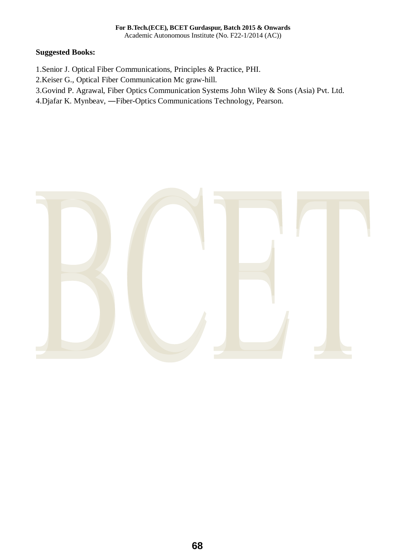- 1.Senior J. Optical Fiber Communications, Principles & Practice, PHI.
- 2.Keiser G., Optical Fiber Communication Mc graw-hill.
- 3.Govind P. Agrawal, Fiber Optics Communication Systems John Wiley & Sons (Asia) Pvt. Ltd.
- 4. Djafar K. Mynbeav, -Fiber-Optics Communications Technology, Pearson.

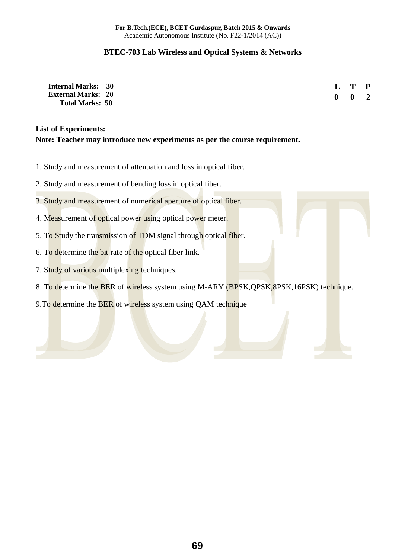#### **BTEC-703 Lab Wireless and Optical Systems & Networks**

| <b>Internal Marks: 30</b> |                           | $L$ T P |                         |
|---------------------------|---------------------------|---------|-------------------------|
| <b>External Marks: 20</b> | $\mathbf{0}$ $\mathbf{0}$ |         | $\overline{\mathbf{2}}$ |
| <b>Total Marks: 50</b>    |                           |         |                         |

# **List of Experiments: Note: Teacher may introduce new experiments as per the course requirement.**

- 1. Study and measurement of attenuation and loss in optical fiber.
- 2. Study and measurement of bending loss in optical fiber.
- 3. Study and measurement of numerical aperture of optical fiber.
- 4. Measurement of optical power using optical power meter.
- 5. To Study the transmission of TDM signal through optical fiber.
- 6. To determine the bit rate of the optical fiber link.
- 7. Study of various multiplexing techniques.
- 8. To determine the BER of wireless system using M-ARY (BPSK, QPSK, 8PSK, 16PSK) technique.
- 9.To determine the **BER** of wireless system using QAM technique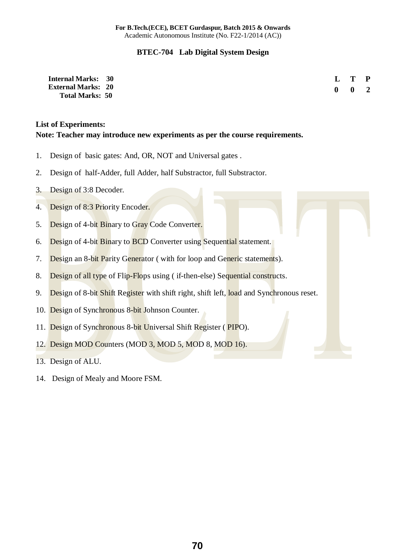#### **BTEC-704 Lab Digital System Design**

| <b>Internal Marks: 30</b> |                           | L T P |                          |
|---------------------------|---------------------------|-------|--------------------------|
| <b>External Marks: 20</b> | $\mathbf{0}$ $\mathbf{0}$ |       | $\overline{\phantom{a}}$ |
| <b>Total Marks: 50</b>    |                           |       |                          |

# **List of Experiments: Note: Teacher may introduce new experiments as per the course requirements.**

- 1. Design of basic gates: And, OR, NOT and Universal gates .
- 2. Design of half-Adder, full Adder, half Substractor, full Substractor.
- 3. Design of 3:8 Decoder.
- 4. Design of 8:3 Priority Encoder.
- 5. Design of 4-bit Binary to Gray Code Converter.
- 6. Design of 4-bit Binary to BCD Converter using Sequential statement.
- 7. Design an 8-bit Parity Generator (with for loop and Generic statements).
- 8. Design of all type of Flip-Flops using ( if-then-else) Sequential constructs.
- 9. Design of 8-bit Shift Register with shift right, shift left, load and Synchronous reset.
- 10. Design of Synchronous 8-bit Johnson Counter.
- 11. Design of Synchronous 8-bit Universal Shift Register ( PIPO).
- 12. Design MOD Counters (MOD 3, MOD 5, MOD 8, MOD 16).
- 13. Design of ALU.
- 14. Design of Mealy and Moore FSM.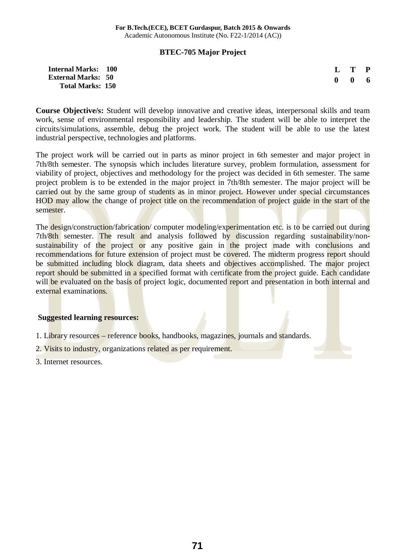#### **BTEC-705 Major Project**

| <b>Internal Marks: 100</b> |  | L T P               |  |
|----------------------------|--|---------------------|--|
| <b>External Marks: 50</b>  |  | $0 \quad 0 \quad 6$ |  |
| <b>Total Marks: 150</b>    |  |                     |  |

**Course Objective/s:** Student will develop innovative and creative ideas, interpersonal skills and team work, sense of environmental responsibility and leadership. The student will be able to interpret the circuits/simulations, assemble, debug the project work. The student will be able to use the latest industrial perspective, technologies and platforms.

The project work will be carried out in parts as minor project in 6th semester and major project in 7th/8th semester. The synopsis which includes literature survey, problem formulation, assessment for viability of project, objectives and methodology for the project was decided in 6th semester. The same project problem is to be extended in the major project in 7th/8th semester. The major project will be carried out by the same group of students as in minor project. However under special circumstances HOD may allow the change of project title on the recommendation of project guide in the start of the semester.

The design/construction/fabrication/ computer modeling/experimentation etc. is to be carried out during 7th/8th semester. The result and analysis followed by discussion regarding sustainability/nonsustainability of the project or any positive gain in the project made with conclusions and recommendations for future extension of project must be covered. The midterm progress report should be submitted including block diagram, data sheets and objectives accomplished. The major project report should be submitted in a specified format with certificate from the project guide. Each candidate will be evaluated on the basis of project logic, documented report and presentation in both internal and external examinations.

#### **Suggested learning resources:**

- 1. Library resources reference books, handbooks, magazines, journals and standards.
- 2. Visits to industry, organizations related as per requirement.
- 3. Internet resources.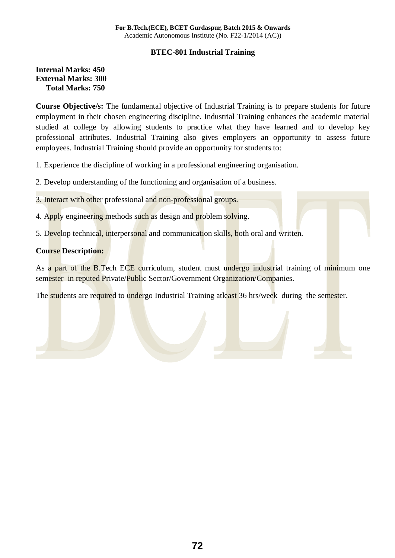#### **BTEC-801 Industrial Training**

#### **Internal Marks: 450 External Marks: 300 Total Marks: 750**

**Course Objective/s:** The fundamental objective of Industrial Training is to prepare students for future employment in their chosen engineering discipline. Industrial Training enhances the academic material studied at college by allowing students to practice what they have learned and to develop key professional attributes. Industrial Training also gives employers an opportunity to assess future employees. Industrial Training should provide an opportunity for students to:

1. Experience the discipline of working in a professional engineering organisation.

2. Develop understanding of the functioning and organisation of a business.

3. Interact with other professional and non-professional groups.

- 4. Apply engineering methods such as design and problem solving.
- 5. Develop technical, interpersonal and communication skills, both oral and written.

#### **Course Description:**

As a part of the B.Tech ECE curriculum, student must undergo industrial training of minimum one semester in reputed Private/Public Sector/Government Organization/Companies.

The students are required to undergo Industrial Training at least 36 hrs/week during the semester.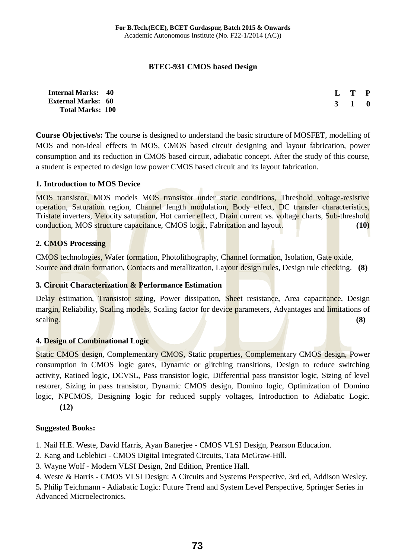### **BTEC-931 CMOS based Design**

| <b>Internal Marks: 40</b> |       | L T P |  |
|---------------------------|-------|-------|--|
| <b>External Marks: 60</b> | 3 1 0 |       |  |
| <b>Total Marks: 100</b>   |       |       |  |

**Course Objective/s:** The course is designed to understand the basic structure of MOSFET, modelling of MOS and non-ideal effects in MOS, CMOS based circuit designing and layout fabrication, power consumption and its reduction in CMOS based circuit, adiabatic concept. After the study of this course, a student is expected to design low power CMOS based circuit and its layout fabrication.

### **1. Introduction to MOS Device**

MOS transistor, MOS models MOS transistor under static conditions, Threshold voltage-resistive operation, Saturation region, Channel length modulation, Body effect, DC transfer characteristics, Tristate inverters, Velocity saturation, Hot carrier effect, Drain current vs. voltage charts, Sub-threshold conduction, MOS structure capacitance, CMOS logic, Fabrication and layout. **(10)**

### **2. CMOS Processing**

CMOS technologies, Wafer formation, Photolithography, Channel formation, Isolation, Gate oxide, Source and drain formation, Contacts and metallization, Layout design rules, Design rule checking. **(8)**

### **3. Circuit Characterization & Performance Estimation**

Delay estimation, Transistor sizing, Power dissipation, Sheet resistance, Area capacitance, Design margin, Reliability, Scaling models, Scaling factor for device parameters, Advantages and limitations of scaling. **(8) (8) (8) (8) (8) (8) (8) (8) (8) (8) (8) (8) (8) (8) (8) (8) (8) (8) (8) (8) (8) (8) (8) (8) (8) (8) (8) (8) (8) (8) (8) (8) (8) (8) (8) (8** 

### **4. Design of Combinational Logic**

Static CMOS design, Complementary CMOS, Static properties, Complementary CMOS design, Power consumption in CMOS logic gates, Dynamic or glitching transitions, Design to reduce switching activity, Ratioed logic, DCVSL, Pass transistor logic, Differential pass transistor logic, Sizing of level restorer, Sizing in pass transistor, Dynamic CMOS design, Domino logic, Optimization of Domino logic, NPCMOS, Designing logic for reduced supply voltages, Introduction to Adiabatic Logic. **(12)**

### **Suggested Books:**

1. Nail H.E. Weste, David Harris, Ayan Banerjee - CMOS VLSI Design, Pearson Education.

- 2. Kang and Leblebici CMOS Digital Integrated Circuits, Tata McGraw-Hill.
- 3. Wayne Wolf Modern VLSI Design, 2nd Edition, Prentice Hall.
- 4. Weste & Harris CMOS VLSI Design: A Circuits and Systems Perspective, 3rd ed, Addison Wesley.

5**.** Philip Teichmann - Adiabatic Logic: Future Trend and System Level Perspective, Springer Series in Advanced Microelectronics.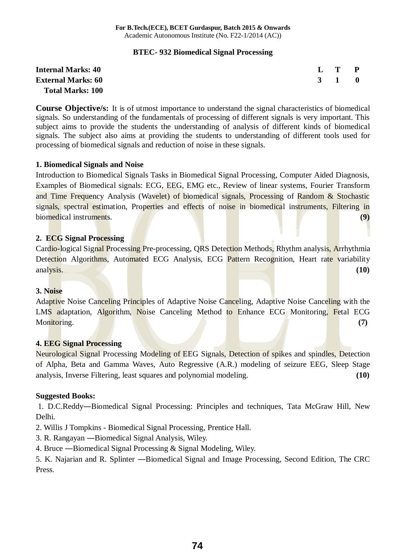### **BTEC- 932 Biomedical Signal Processing**

| <b>Internal Marks: 40</b> | $L$ T P |  |
|---------------------------|---------|--|
| <b>External Marks: 60</b> | 3 1 0   |  |
| <b>Total Marks: 100</b>   |         |  |

**Course Objective/s:** It is of utmost importance to understand the signal characteristics of biomedical signals. So understanding of the fundamentals of processing of different signals is very important. This subject aims to provide the students the understanding of analysis of different kinds of biomedical signals. The subject also aims at providing the students to understanding of different tools used for processing of biomedical signals and reduction of noise in these signals.

### **1. Biomedical Signals and Noise**

Introduction to Biomedical Signals Tasks in Biomedical Signal Processing, Computer Aided Diagnosis, Examples of Biomedical signals: ECG, EEG, EMG etc., Review of linear systems, Fourier Transform and Time Frequency Analysis (Wavelet) of biomedical signals, Processing of Random & Stochastic signals, spectral estimation, Properties and effects of noise in biomedical instruments, Filtering in biomedical instruments. **(9)**

### **2. ECG Signal Processing**

Cardio-logical Signal Processing Pre-processing, QRS Detection Methods, Rhythm analysis, Arrhythmia Detection Algorithms, Automated ECG Analysis, ECG Pattern Recognition, Heart rate variability analysis. **(10) (10)** 

### **3. Noise**

Adaptive Noise Canceling Principles of Adaptive Noise Canceling, Adaptive Noise Canceling with the LMS adaptation, Algorithm, Noise Canceling Method to Enhance ECG Monitoring, Fetal ECG Monitoring. **(7) (7) (7) (8) (8) (8) (8) (8) (8) (8) (8) (7) (8) (8) (8) (8) (8) (8) (8) (8) (8) (8) (8) (8) (8) (8) (8) (8) (8) (8) (8) (8) (8) (8) (8)**

# **4. EEG Signal Processing**

Neurological Signal Processing Modeling of EEG Signals, Detection of spikes and spindles, Detection of Alpha, Beta and Gamma Waves, Auto Regressive (A.R.) modeling of seizure EEG, Sleep Stage analysis, Inverse Filtering, least squares and polynomial modeling. **(10)** 

### **Suggested Books:**

1. D.C.Reddy—Biomedical Signal Processing: Principles and techniques, Tata McGraw Hill, New Delhi.

2. Willis J Tompkins - Biomedical Signal Processing, Prentice Hall.

3. R. Rangayan — Biomedical Signal Analysis, Wiley.

4. Bruce — Biomedical Signal Processing  $&$  Signal Modeling, Wiley.

5. K. Najarian and R. Splinter —Biomedical Signal and Image Processing, Second Edition, The CRC Press.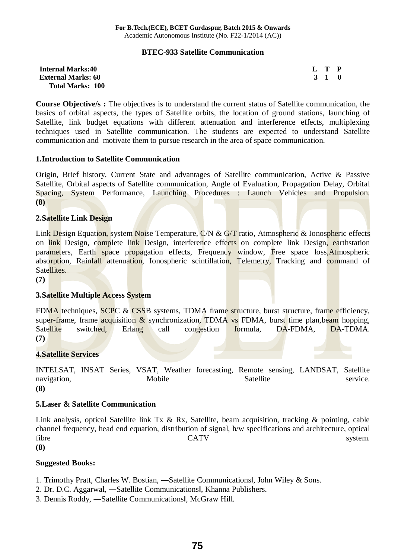### **BTEC-933 Satellite Communication**

| <b>Internal Marks:40</b>  | L T P |       |  |
|---------------------------|-------|-------|--|
| <b>External Marks: 60</b> |       | 3 1 0 |  |
| <b>Total Marks: 100</b>   |       |       |  |

**Course Objective/s :** The objectives is to understand the current status of Satellite communication, the basics of orbital aspects, the types of Satellite orbits, the location of ground stations, launching of Satellite, link budget equations with different attenuation and interference effects, multiplexing techniques used in Satellite communication. The students are expected to understand Satellite communication and motivate them to pursue research in the area of space communication.

#### **1.Introduction to Satellite Communication**

Origin, Brief history, Current State and advantages of Satellite communication, Active & Passive Satellite, Orbital aspects of Satellite communication, Angle of Evaluation, Propagation Delay, Orbital Spacing, System Performance, Launching Procedures : Launch Vehicles and Propulsion. **(8)**

### **2.Satellite Link Design**

Link Design Equation, system Noise Temperature, C/N & G/T ratio, Atmospheric & Ionospheric effects on link Design, complete link Design, interference effects on complete link Design, earthstation parameters, Earth space propagation effects, Frequency window, Free space loss,Atmospheric absorption, Rainfall attenuation, Ionospheric scintillation, Telemetry, Tracking and command of Satellites.

**(7)**

# **3.Satellite Multiple Access System**

FDMA techniques, SCPC & CSSB systems, TDMA frame structure, burst structure, frame efficiency, super-frame, frame acquisition  $\&$  synchronization, TDMA vs FDMA, burst time plan, beam hopping, Satellite switched, Erlang call congestion formula, DA-FDMA, DA-TDMA. **(7)**

### **4.Satellite Services**

INTELSAT, INSAT Series, VSAT, Weather forecasting, Remote sensing, LANDSAT, Satellite navigation, Mobile Satellite service. **(8)**

### **5.Laser & Satellite Communication**

Link analysis, optical Satellite link Tx & Rx, Satellite, beam acquisition, tracking & pointing, cable channel frequency, head end equation, distribution of signal, h/w specifications and architecture, optical fibre CATV system.

**(8)**

- 1. Trimothy Pratt, Charles W. Bostian,  $-S$ atellite Communications, John Wiley & Sons.
- 2. Dr. D.C. Aggarwal, —Satellite Communications, Khanna Publishers.
- 3. Dennis Roddy, -Satellite Communications, McGraw Hill.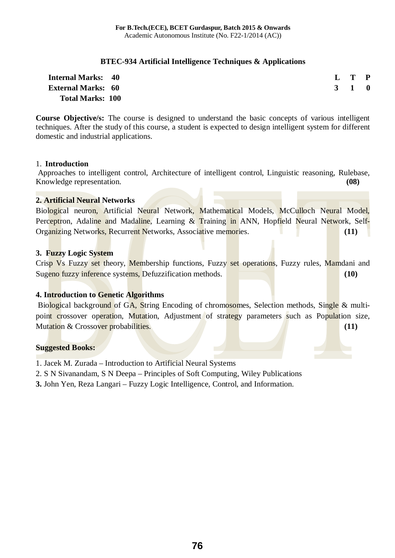### **BTEC-934 Artificial Intelligence Techniques & Applications**

| <b>Internal Marks: 40</b> |  | L T P               |  |
|---------------------------|--|---------------------|--|
| <b>External Marks: 60</b> |  | $3 \quad 1 \quad 0$ |  |
| <b>Total Marks: 100</b>   |  |                     |  |

**Course Objective/s:** The course is designed to understand the basic concepts of various intelligent techniques. After the study of this course, a student is expected to design intelligent system for different domestic and industrial applications.

### 1. **Introduction**

 Approaches to intelligent control, Architecture of intelligent control, Linguistic reasoning, Rulebase, Knowledge representation. **(08)** 

### **2. Artificial Neural Networks**

Biological neuron, Artificial Neural Network, Mathematical Models, McCulloch Neural Model, Perceptron, Adaline and Madaline, Learning & Training in ANN, Hopfield Neural Network, Self-Organizing Networks, Recurrent Networks, Associative memories. **(11)** 

### **3. Fuzzy Logic System**

Crisp Vs Fuzzy set theory, Membership functions, Fuzzy set operations, Fuzzy rules, Mamdani and Sugeno fuzzy inference systems, Defuzzification methods. **(10) (10)** 

# **4. Introduction to Genetic Algorithms**

Biological background of GA, String Encoding of chromosomes, Selection methods, Single & multipoint crossover operation, Mutation, Adjustment of strategy parameters such as Population size, Mutation & Crossover probabilities. **(11) (11) (11) (11)** 

- 1. Jacek M. Zurada Introduction to Artificial Neural Systems
- 2. S N Sivanandam, S N Deepa Principles of Soft Computing, Wiley Publications
- **3.** John Yen, Reza Langari Fuzzy Logic Intelligence, Control, and Information.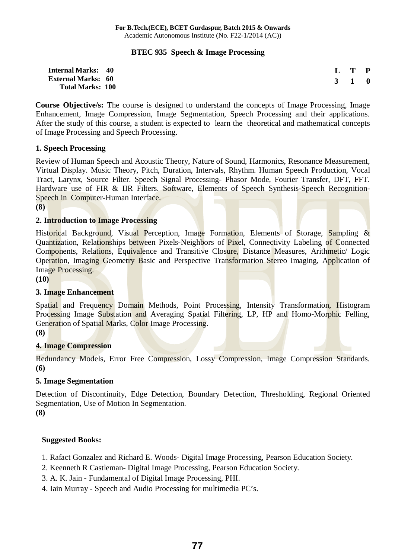# **BTEC 935 Speech & Image Processing**

| <b>Internal Marks: 40</b> |       | L T P |  |
|---------------------------|-------|-------|--|
| <b>External Marks: 60</b> | 3 1 0 |       |  |
| <b>Total Marks: 100</b>   |       |       |  |

**Course Objective/s:** The course is designed to understand the concepts of Image Processing, Image Enhancement, Image Compression, Image Segmentation, Speech Processing and their applications. After the study of this course, a student is expected to learn the theoretical and mathematical concepts of Image Processing and Speech Processing.

### **1. Speech Processing**

Review of Human Speech and Acoustic Theory, Nature of Sound, Harmonics, Resonance Measurement, Virtual Display. Music Theory, Pitch, Duration, Intervals, Rhythm. Human Speech Production, Vocal Tract, Larynx, Source Filter. Speech Signal Processing- Phasor Mode, Fourier Transfer, DFT, FFT. Hardware use of FIR & IIR Filters. Software, Elements of Speech Synthesis-Speech Recognition-Speech in Computer-Human Interface.

**(8)**

# **2. Introduction to Image Processing**

Historical Background, Visual Perception, Image Formation, Elements of Storage, Sampling & Quantization, Relationships between Pixels-Neighbors of Pixel, Connectivity Labeling of Connected Components, Relations, Equivalence and Transitive Closure, Distance Measures, Arithmetic/ Logic Operation, Imaging Geometry Basic and Perspective Transformation Stereo Imaging, Application of Image Processing.

**(10)**

# **3. Image Enhancement**

Spatial and Frequency Domain Methods, Point Processing, Intensity Transformation, Histogram Processing Image Substation and Averaging Spatial Filtering, LP, HP and Homo-Morphic Felling, Generation of Spatial Marks, Color Image Processing.

**(8)** 

# **4. Image Compression**

Redundancy Models, Error Free Compression, Lossy Compression, Image Compression Standards. **(6)**

# **5. Image Segmentation**

Detection of Discontinuity, Edge Detection, Boundary Detection, Thresholding, Regional Oriented Segmentation, Use of Motion In Segmentation.

**(8)**

# **Suggested Books:**

1. Rafact Gonzalez and Richard E. Woods- Digital Image Processing, Pearson Education Society.

- 2. Keenneth R Castleman- Digital Image Processing, Pearson Education Society.
- 3. A. K. Jain Fundamental of Digital Image Processing, PHI.
- 4. Iain Murray Speech and Audio Processing for multimedia PC's.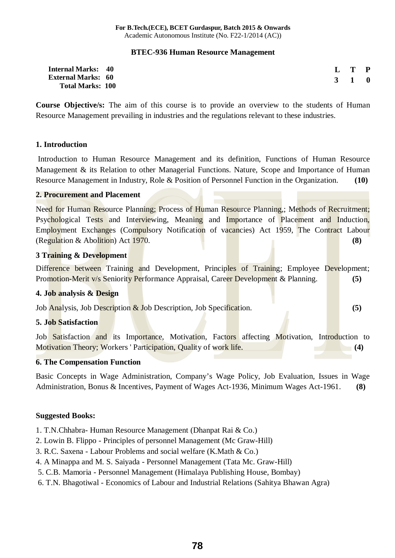### **BTEC-936 Human Resource Management**

| <b>Internal Marks: 40</b> |  | $L$ T P             |  |
|---------------------------|--|---------------------|--|
| <b>External Marks: 60</b> |  | $3 \quad 1 \quad 0$ |  |
| <b>Total Marks: 100</b>   |  |                     |  |

**Course Objective/s:** The aim of this course is to provide an overview to the students of Human Resource Management prevailing in industries and the regulations relevant to these industries.

### **1. Introduction**

Introduction to Human Resource Management and its definition, Functions of Human Resource Management & its Relation to other Managerial Functions. Nature, Scope and Importance of Human Resource Management in Industry, Role & Position of Personnel Function in the Organization. **(10)**

### **2. Procurement and Placement**

Need for Human Resource Planning; Process of Human Resource Planning,; Methods of Recruitment; Psychological Tests and Interviewing, Meaning and Importance of Placement and Induction, Employment Exchanges (Compulsory Notification of vacancies) Act 1959, The Contract Labour (Regulation & Abolition) Act 1970. **(8)**

### **3 Training & Development**

Difference between Training and Development, Principles of Training; Employee Development; Promotion-Merit v/s Seniority Performance Appraisal, Career Development & Planning. **(5)**

### **4. Job analysis & Design**

Job Analysis, Job Description & Job Description, Job Specification. **(5)**

### **5. Job Satisfaction**

Job Satisfaction and its Importance, Motivation, Factors affecting Motivation, Introduction to Motivation Theory; Workers ' Participation, Quality of work life. **(4)**

### **6. The Compensation Function**

Basic Concepts in Wage Administration, Company's Wage Policy, Job Evaluation, Issues in Wage Administration, Bonus & Incentives, Payment of Wages Act-1936, Minimum Wages Act-1961. **(8)**

- 1. T.N.Chhabra- Human Resource Management (Dhanpat Rai & Co.)
- 2. Lowin B. Flippo Principles of personnel Management (Mc Graw-Hill)
- 3. R.C. Saxena Labour Problems and social welfare (K.Math & Co.)
- 4. A Minappa and M. S. Saiyada Personnel Management (Tata Mc. Graw-Hill)
- 5. C.B. Mamoria Personnel Management (Himalaya Publishing House, Bombay)
- 6. T.N. Bhagotiwal Economics of Labour and Industrial Relations (Sahitya Bhawan Agra)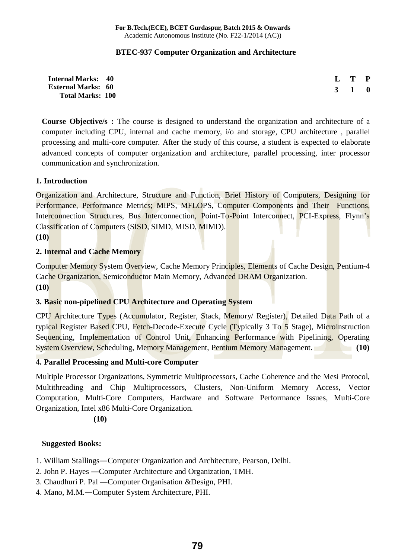### **BTEC-937 Computer Organization and Architecture**

| <b>Internal Marks: 40</b> | L T P               |  |
|---------------------------|---------------------|--|
| <b>External Marks: 60</b> | $3 \quad 1 \quad 0$ |  |
| <b>Total Marks: 100</b>   |                     |  |

**Course Objective/s :** The course is designed to understand the organization and architecture of a computer including CPU, internal and cache memory, i/o and storage, CPU architecture , parallel processing and multi-core computer. After the study of this course, a student is expected to elaborate advanced concepts of computer organization and architecture, parallel processing, inter processor communication and synchronization.

### **1. Introduction**

Organization and Architecture, Structure and Function, Brief History of Computers, Designing for Performance, Performance Metrics; MIPS, MFLOPS, Computer Components and Their Functions, Interconnection Structures, Bus Interconnection, Point-To-Point Interconnect, PCI-Express, Flynn's Classification of Computers (SISD, SIMD, MISD, MIMD).

### **(10)**

### **2. Internal and Cache Memory**

Computer Memory System Overview, Cache Memory Principles, Elements of Cache Design, Pentium-4 Cache Organization, Semiconductor Main Memory, Advanced DRAM Organization. **(10)**

# **3. Basic non-pipelined CPU Architecture and Operating System**

CPU Architecture Types (Accumulator, Register, Stack, Memory/ Register), Detailed Data Path of a typical Register Based CPU, Fetch-Decode-Execute Cycle (Typically 3 To 5 Stage), Microinstruction Sequencing, Implementation of Control Unit, Enhancing Performance with Pipelining, Operating System Overview, Scheduling, Memory Management, Pentium Memory Management. **(10)** 

### **4. Parallel Processing and Multi-core Computer**

Multiple Processor Organizations, Symmetric Multiprocessors, Cache Coherence and the Mesi Protocol, Multithreading and Chip Multiprocessors, Clusters, Non-Uniform Memory Access, Vector Computation, Multi-Core Computers, Hardware and Software Performance Issues, Multi-Core Organization, Intel x86 Multi-Core Organization.

### **(10)**

- 1. William Stallings—Computer Organization and Architecture, Pearson, Delhi.
- 2. John P. Hayes Computer Architecture and Organization, TMH.
- 3. Chaudhuri P. Pal —Computer Organisation &Design, PHI.
- 4. Mano, M.M.-Computer System Architecture, PHI.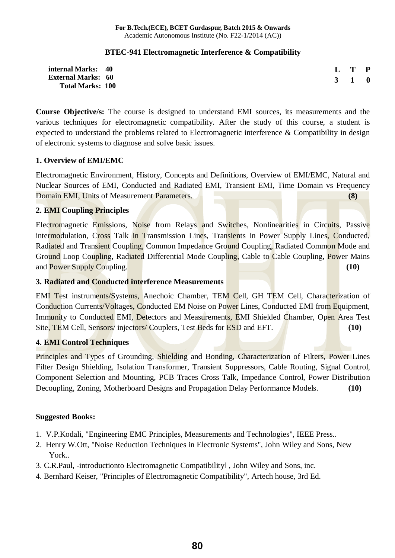### **BTEC-941 Electromagnetic Interference & Compatibility**

| internal Marks: 40        |  | $L$ T P             |  |
|---------------------------|--|---------------------|--|
| <b>External Marks: 60</b> |  | $3 \quad 1 \quad 0$ |  |
| <b>Total Marks: 100</b>   |  |                     |  |

**Course Objective/s:** The course is designed to understand EMI sources, its measurements and the various techniques for electromagnetic compatibility. After the study of this course, a student is expected to understand the problems related to Electromagnetic interference & Compatibility in design of electronic systems to diagnose and solve basic issues.

#### **1. Overview of EMI/EMC**

Electromagnetic Environment, History, Concepts and Definitions, Overview of EMI/EMC, Natural and Nuclear Sources of EMI, Conducted and Radiated EMI, Transient EMI, Time Domain vs Frequency Domain EMI, Units of Measurement Parameters. **(8)** 

### **2. EMI Coupling Principles**

Electromagnetic Emissions, Noise from Relays and Switches, Nonlinearities in Circuits, Passive intermodulation, Cross Talk in Transmission Lines, Transients in Power Supply Lines, Conducted, Radiated and Transient Coupling, Common Impedance Ground Coupling, Radiated Common Mode and Ground Loop Coupling, Radiated Differential Mode Coupling, Cable to Cable Coupling, Power Mains and Power Supply Coupling. **(10)**

#### **3. Radiated and Conducted interference Measurements**

EMI Test instruments/Systems, Anechoic Chamber, TEM Cell, GH TEM Cell, Characterization of Conduction Currents/Voltages, Conducted EM Noise on Power Lines, Conducted EMI from Equipment, Immunity to Conducted EMI, Detectors and Measurements, EMI Shielded Chamber, Open Area Test Site, TEM Cell, Sensors/ injectors/ Couplers, Test Beds for ESD and EFT. **(10)**

### **4. EMI Control Techniques**

Principles and Types of Grounding, Shielding and Bonding, Characterization of Filters, Power Lines Filter Design Shielding, Isolation Transformer, Transient Suppressors, Cable Routing, Signal Control, Component Selection and Mounting, PCB Traces Cross Talk, Impedance Control, Power Distribution Decoupling, Zoning, Motherboard Designs and Propagation Delay Performance Models. **(10)**

- 1. V.P.Kodali, "Engineering EMC Principles, Measurements and Technologies", IEEE Press..
- 2. Henry W.Ott, "Noise Reduction Techniques in Electronic Systems", John Wiley and Sons, New York..
- 3. C.R.Paul, -introductionto Electromagnetic Compatibility , John Wiley and Sons, inc.
- 4. Bernhard Keiser, "Principles of Electromagnetic Compatibility", Artech house, 3rd Ed.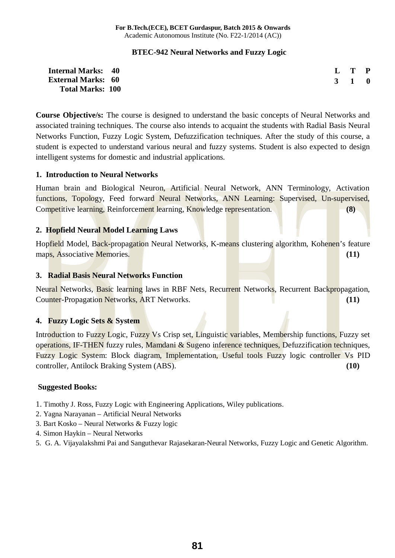### **BTEC-942 Neural Networks and Fuzzy Logic**

| <b>Internal Marks: 40</b> |  |                     | L T P |  |
|---------------------------|--|---------------------|-------|--|
| <b>External Marks: 60</b> |  | $3 \quad 1 \quad 0$ |       |  |
| <b>Total Marks: 100</b>   |  |                     |       |  |

**Course Objective/s:** The course is designed to understand the basic concepts of Neural Networks and associated training techniques. The course also intends to acquaint the students with Radial Basis Neural Networks Function, Fuzzy Logic System, Defuzzification techniques. After the study of this course, a student is expected to understand various neural and fuzzy systems. Student is also expected to design intelligent systems for domestic and industrial applications.

### **1. Introduction to Neural Networks**

Human brain and Biological Neuron, Artificial Neural Network, ANN Terminology, Activation functions, Topology, Feed forward Neural Networks, ANN Learning: Supervised, Un-supervised, Competitive learning, Reinforcement learning, Knowledge representation. **(8)** 

# **2. Hopfield Neural Model Learning Laws**

Hopfield Model, Back-propagation Neural Networks, K-means clustering algorithm, Kohenen's feature maps, Associative Memories. **(11) (11) (11) (11)** 

### **3. Radial Basis Neural Networks Function**

Neural Networks, Basic learning laws in RBF Nets, Recurrent Networks, Recurrent Backpropagation, Counter-Propagation Networks, ART Networks. **(11)** 

# **4. Fuzzy Logic Sets & System**

Introduction to Fuzzy Logic, Fuzzy Vs Crisp set, Linguistic variables, Membership functions, Fuzzy set operations, IF-THEN fuzzy rules, Mamdani & Sugeno inference techniques, Defuzzification techniques, Fuzzy Logic System: Block diagram, Implementation, Useful tools Fuzzy logic controller Vs PID controller, Antilock Braking System (ABS). **(10)** 

- 1. Timothy J. Ross, Fuzzy Logic with Engineering Applications, Wiley publications.
- 2. Yagna Narayanan Artificial Neural Networks
- 3. Bart Kosko Neural Networks & Fuzzy logic
- 4. Simon Haykin Neural Networks
- 5. G. A. Vijayalakshmi Pai and Sanguthevar Rajasekaran-Neural Networks, Fuzzy Logic and Genetic Algorithm.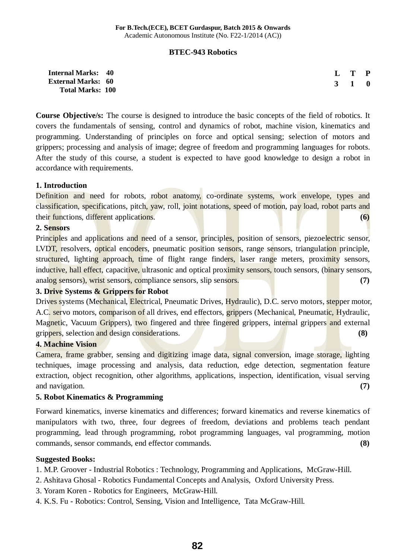#### **BTEC-943 Robotics**

| <b>Internal Marks: 40</b> |  | L T P               |  |
|---------------------------|--|---------------------|--|
| <b>External Marks: 60</b> |  | $3 \quad 1 \quad 0$ |  |
| <b>Total Marks: 100</b>   |  |                     |  |

**Course Objective/s:** The course is designed to introduce the basic concepts of the field of robotics. It covers the fundamentals of sensing, control and dynamics of robot, machine vision, kinematics and programming. Understanding of principles on force and optical sensing; selection of motors and grippers; processing and analysis of image; degree of freedom and programming languages for robots. After the study of this course, a student is expected to have good knowledge to design a robot in accordance with requirements.

### **1. Introduction**

Definition and need for robots, robot anatomy, co-ordinate systems, work envelope, types and classification, specifications, pitch, yaw, roll, joint notations, speed of motion, pay load, robot parts and their functions, different applications. **(6) (6) (6) (6) (6) (6) (6) (6) (6) (6) (6) (6) (6) (6) (6) (6) (6) (6) (6) (6) (6) (6) (6) (6) (6) (6) (6) (6) (6) (6)**

#### **2. Sensors**

Principles and applications and need of a sensor, principles, position of sensors, piezoelectric sensor, LVDT, resolvers, optical encoders, pneumatic position sensors, range sensors, triangulation principle, structured, lighting approach, time of flight range finders, laser range meters, proximity sensors, inductive, hall effect, capacitive, ultrasonic and optical proximity sensors, touch sensors, (binary sensors, analog sensors), wrist sensors, compliance sensors, slip sensors. **(7)** 

### **3. Drive Systems & Grippers for Robot**

Drives systems (Mechanical, Electrical, Pneumatic Drives, Hydraulic), D.C. servo motors, stepper motor, A.C. servo motors, comparison of all drives, end effectors, grippers (Mechanical, Pneumatic, Hydraulic, Magnetic, Vacuum Grippers), two fingered and three fingered grippers, internal grippers and external grippers, selection and design considerations. (8) **(8) (8)** 

### **4. Machine Vision**

Camera, frame grabber, sensing and digitizing image data, signal conversion, image storage, lighting techniques, image processing and analysis, data reduction, edge detection, segmentation feature extraction, object recognition, other algorithms, applications, inspection, identification, visual serving and navigation. **(7)** 

### **5. Robot Kinematics & Programming**

Forward kinematics, inverse kinematics and differences; forward kinematics and reverse kinematics of manipulators with two, three, four degrees of freedom, deviations and problems teach pendant programming, lead through programming, robot programming languages, val programming, motion commands, sensor commands, end effector commands. **(8)** 

### **Suggested Books:**

1. M.P. Groover - Industrial Robotics : Technology, Programming and Applications, McGraw-Hill.

- 2. Ashitava Ghosal Robotics Fundamental Concepts and Analysis, Oxford University Press.
- 3. Yoram Koren Robotics for Engineers, McGraw-Hill.
- 4. K.S. Fu Robotics: Control, Sensing, Vision and Intelligence, Tata McGraw-Hill.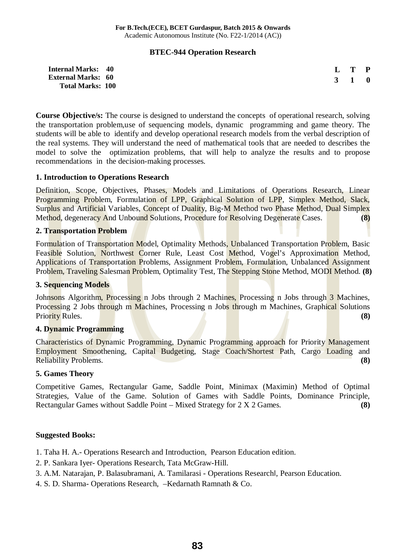### **BTEC-944 Operation Research**

| <b>Internal Marks: 40</b> |  | L T P               |  |
|---------------------------|--|---------------------|--|
| <b>External Marks: 60</b> |  | $3 \quad 1 \quad 0$ |  |
| <b>Total Marks: 100</b>   |  |                     |  |

**Course Objective/s:** The course is designed to understand the concepts of operational research, solving the transportation problem,use of sequencing models, dynamic programming and game theory. The students will be able to identify and develop operational research models from the verbal description of the real systems. They will understand the need of mathematical tools that are needed to describes the model to solve the optimization problems, that will help to analyze the results and to propose recommendations in the decision-making processes.

### **1. Introduction to Operations Research**

Definition, Scope, Objectives, Phases, Models and Limitations of Operations Research, Linear Programming Problem, Formulation of LPP, Graphical Solution of LPP, Simplex Method, Slack, Surplus and Artificial Variables, Concept of Duality, Big-M Method two Phase Method, Dual Simplex Method, degeneracy And Unbound Solutions, Procedure for Resolving Degenerate Cases. **(8)**

### **2. Transportation Problem**

Formulation of Transportation Model, Optimality Methods, Unbalanced Transportation Problem, Basic Feasible Solution, Northwest Corner Rule, Least Cost Method, Vogel's Approximation Method, Applications of Transportation Problems, Assignment Problem, Formulation, Unbalanced Assignment Problem, Traveling Salesman Problem, Optimality Test, The Stepping Stone Method, MODI Method. **(8)**

### **3. Sequencing Models**

Johnsons Algorithm, Processing n Jobs through 2 Machines, Processing n Jobs through 3 Machines, Processing 2 Jobs through m Machines, Processing n Jobs through m Machines, Graphical Solutions Priority Rules. **(8)**

### **4. Dynamic Programming**

Characteristics of Dynamic Programming, Dynamic Programming approach for Priority Management Employment Smoothening, Capital Budgeting, Stage Coach/Shortest Path, Cargo Loading and Reliability Problems. **(8)**

### **5. Games Theory**

Competitive Games, Rectangular Game, Saddle Point, Minimax (Maximin) Method of Optimal Strategies, Value of the Game. Solution of Games with Saddle Points, Dominance Principle, Rectangular Games without Saddle Point – Mixed Strategy for 2 X 2 Games. **(8)**

- 1. Taha H. A.- Operations Research and Introduction, Pearson Education edition.
- 2. P. Sankara Iyer- Operations Research, Tata McGraw-Hill.
- 3. A.M. Natarajan, P. Balasubramani, A. Tamilarasi Operations Research, Pearson Education.
- 4. S. D. Sharma- Operations Research, –Kedarnath Ramnath & Co.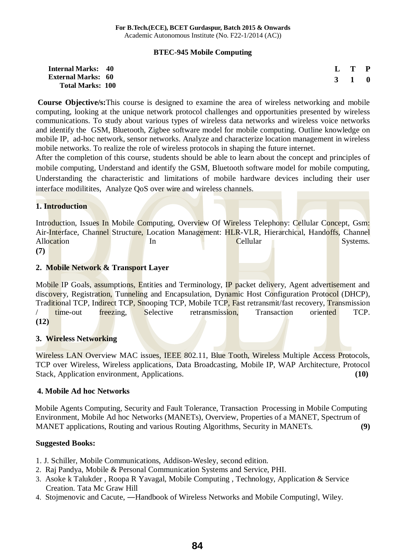### **BTEC-945 Mobile Computing**

| <b>Internal Marks: 40</b> |                     | L T P |  |
|---------------------------|---------------------|-------|--|
| <b>External Marks: 60</b> | $3 \quad 1 \quad 0$ |       |  |
| <b>Total Marks: 100</b>   |                     |       |  |

**Course Objective/s:**This course is designed to examine the area of wireless networking and mobile computing, looking at the unique network protocol challenges and opportunities presented by wireless communications. To study about various types of wireless data networks and wireless voice networks and identify the GSM, Bluetooth, Zigbee software model for mobile computing. Outline knowledge on mobile IP, ad-hoc network, sensor networks. Analyze and characterize location management in wireless mobile networks. To realize the role of wireless protocols in shaping the future internet.

After the completion of this course, students should be able to learn about the concept and principles of mobile computing, Understand and identify the GSM, Bluetooth software model for mobile computing, Understanding the characteristic and limitations of mobile hardware devices including their user interface modilitites, Analyze QoS over wire and wireless channels.

# **1. Introduction**

Introduction, Issues In Mobile Computing, Overview Of Wireless Telephony: Cellular Concept, Gsm: Air-Interface, Channel Structure, Location Management: HLR-VLR, Hierarchical, Handoffs, Channel Allocation In In Cellular Systems. **(7)**

### **2. Mobile Network & Transport Layer**

Mobile IP Goals, assumptions, Entities and Terminology, IP packet delivery, Agent advertisement and discovery, Registration, Tunneling and Encapsulation, Dynamic Host Configuration Protocol (DHCP), Traditional TCP, Indirect TCP, Snooping TCP, Mobile TCP, Fast retransmit/fast recovery, Transmission / time-out freezing, Selective retransmission, Transaction oriented TCP. **(12)** 

### **3. Wireless Networking**

Wireless LAN Overview MAC issues, IEEE 802.11, Blue Tooth, Wireless Multiple Access Protocols, TCP over Wireless, Wireless applications, Data Broadcasting, Mobile IP, WAP Architecture, Protocol Stack, Application environment, Applications. **(10)**

### **4. Mobile Ad hoc Networks**

Mobile Agents Computing, Security and Fault Tolerance, Transaction Processing in Mobile Computing Environment, Mobile Ad hoc Networks (MANETs), Overview, Properties of a MANET, Spectrum of MANET applications, Routing and various Routing Algorithms, Security in MANETs. **(9)** 

- 1. J. Schiller, Mobile Communications, Addison-Wesley, second edition.
- 2. Raj Pandya, Mobile & Personal Communication Systems and Service, PHI.
- 3. Asoke k Talukder , Roopa R Yavagal, Mobile Computing , Technology, Application & Service Creation. Tata Mc Graw Hill
- 4. Stojmenovic and Cacute, —Handbook of Wireless Networks and Mobile Computingl, Wiley.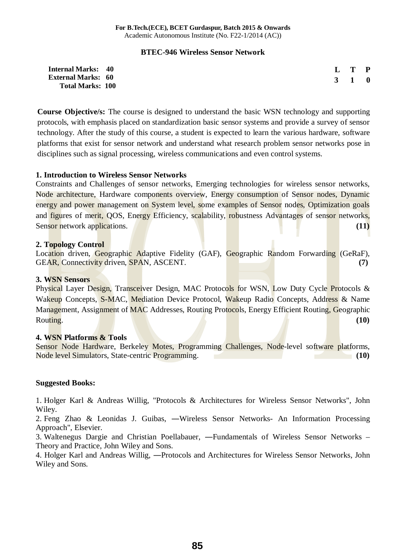#### **BTEC-946 Wireless Sensor Network**

| <b>Internal Marks: 40</b> |  | L T P               |  |
|---------------------------|--|---------------------|--|
| <b>External Marks: 60</b> |  | $3 \quad 1 \quad 0$ |  |
| <b>Total Marks: 100</b>   |  |                     |  |

**Course Objective/s:** The course is designed to understand the basic WSN technology and supporting protocols, with emphasis placed on standardization basic sensor systems and provide a survey of sensor technology. After the study of this course, a student is expected to learn the various hardware, software platforms that exist for sensor network and understand what research problem sensor networks pose in disciplines such as signal processing, wireless communications and even control systems.

### **1. Introduction to Wireless Sensor Networks**

Constraints and Challenges of sensor networks, Emerging technologies for wireless sensor networks, Node architecture, Hardware components overview, Energy consumption of Sensor nodes, Dynamic energy and power management on System level, some examples of Sensor nodes, Optimization goals and figures of merit, QOS, Energy Efficiency, scalability, robustness Advantages of sensor networks, Sensor network applications. **(11)** (11)

#### **2. Topology Control**

Location driven, Geographic Adaptive Fidelity (GAF), Geographic Random Forwarding (GeRaF), GEAR, Connectivity driven, SPAN, ASCENT. **(7)** (7)

#### **3. WSN Sensors**

Physical Layer Design, Transceiver Design, MAC Protocols for WSN, Low Duty Cycle Protocols & Wakeup Concepts, S-MAC, Mediation Device Protocol, Wakeup Radio Concepts, Address & Name Management, Assignment of MAC Addresses, Routing Protocols, Energy Efficient Routing, Geographic Routing. **(10)** 

### **4. WSN Platforms & Tools**

Sensor Node Hardware, Berkeley Motes, Programming Challenges, Node-level software platforms, Node level Simulators, State-centric Programming. **(10)**

### **Suggested Books:**

1. Holger Karl & Andreas Willig, "Protocols & Architectures for Wireless Sensor Networks", John Wiley.

2. Feng Zhao & Leonidas J. Guibas, -Wireless Sensor Networks- An Information Processing Approach", Elsevier.

3. Waltenegus Dargie and Christian Poellabauer, -Fundamentals of Wireless Sensor Networks – Theory and Practice, John Wiley and Sons.

4. Holger Karl and Andreas Willig, -Protocols and Architectures for Wireless Sensor Networks, John Wiley and Sons.